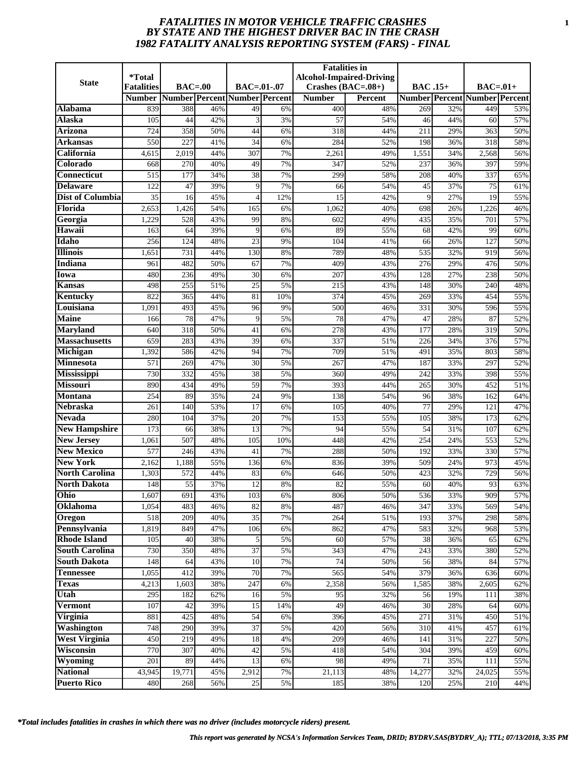# *FATALITIES IN MOTOR VEHICLE TRAFFIC CRASHES* **1** *BY STATE AND THE HIGHEST DRIVER BAC IN THE CRASH 1982 FATALITY ANALYSIS REPORTING SYSTEM (FARS) - FINAL*

|                       | *Total            |                      |            |                               |          | <b>Fatalities</b> in | <b>Alcohol-Impaired-Driving</b> |                 |            |                                      |            |
|-----------------------|-------------------|----------------------|------------|-------------------------------|----------|----------------------|---------------------------------|-----------------|------------|--------------------------------------|------------|
| <b>State</b>          | <b>Fatalities</b> | $\textbf{BAC} = .00$ |            | $BAC=.01-.07$                 |          | Crashes (BAC=.08+)   |                                 | <b>BAC.15+</b>  |            | $BAC=.01+$                           |            |
|                       | <b>Number</b>     |                      |            | Number Percent Number Percent |          | <b>Number</b>        | <b>Percent</b>                  |                 |            | <b>Number Percent Number Percent</b> |            |
| <b>Alabama</b>        | 839               | 388                  | 46%        | 49                            | 6%       | 400                  | 48%                             | 269             | 32%        | 449                                  | 53%        |
| <b>Alaska</b>         | 105               | 44                   | 42%        | 3                             | 3%       | 57                   | 54%                             | 46              | 44%        | 60                                   | 57%        |
| Arizona               | 724               | 358                  | 50%        | 44                            | 6%       | 318                  | 44%                             | 211             | 29%        | 363                                  | 50%        |
| Arkansas              | 550               | 227                  | 41%        | $\overline{34}$               | 6%       | 284                  | 52%                             | 198             | 36%        | 318                                  | 58%        |
| California            | 4,615             | 2,019                | 44%        | 307                           | 7%       | 2,261                | 49%                             | 1,551           | 34%        | 2,568                                | 56%        |
| Colorado              | 668               | 270                  | 40%        | 49                            | 7%       | 347                  | 52%                             | 237             | 36%        | 397                                  | 59%        |
| Connecticut           | 515               | 177                  | 34%        | $\overline{38}$               | 7%       | 299                  | 58%                             | 208             | 40%        | 337                                  | 65%        |
| Delaware              | 122               | 47                   | 39%        | 9                             | 7%       | 66                   | 54%                             | 45              | 37%        | 75                                   | 61%        |
| Dist of Columbia      | 35                | 16                   | 45%        | ⊿                             | 12%      | 15                   | 42%                             | 9               | 27%        | 19                                   | 55%        |
| Florida               | 2,653             | 1,426                | 54%        | 165                           | 6%       | 1,062                | 40%                             | 698             | 26%        | 1,226                                | 46%        |
| Georgia               | 1,229             | 528                  | 43%        | 99                            | 8%       | 602                  | 49%                             | 435             | 35%        | 701                                  | 57%        |
| Hawaii                | 163               | 64                   | 39%        | 9                             | 6%       | 89                   | 55%                             | 68              | 42%        | 99                                   | 60%        |
| Idaho                 | 256               | 124                  | 48%        | 23                            | 9%       | 104                  | 41%                             | 66              | 26%        | 127                                  | 50%        |
| <b>Illinois</b>       | 1,651             | 731                  | 44%        | 130                           | 8%       | 789                  | 48%                             | 535             | 32%        | 919                                  | 56%        |
| Indiana               | 961               | 482                  | 50%        | 67                            | 7%       | 409                  | 43%                             | 276             | 29%        | 476                                  | 50%        |
| <b>Iowa</b>           | 480               | 236                  | 49%        | 30                            | 6%       | 207                  | 43%                             | 128             | 27%        | 238                                  | 50%        |
| Kansas                | 498               | 255                  | 51%        | 25                            | 5%       | 215                  | 43%                             | 148             | 30%        | 240                                  | 48%        |
| Kentucky              | 822               | 365                  | 44%        | $\overline{81}$               | 10%      | 374                  | 45%                             | 269             | 33%        | 454                                  | 55%        |
| Louisiana             | 1,091             | 493                  | 45%        | 96                            | 9%       | 500                  | 46%                             | 331             | 30%        | 596                                  | 55%        |
| <b>Maine</b>          | 166               | 78                   | 47%        | 9                             | 5%       | 78                   | 47%                             | 47              | 28%        | 87                                   | 52%        |
| <b>Maryland</b>       | 640               | 318                  | 50%        | 41                            | 6%       | 278                  | 43%                             | 177             | 28%        | 319                                  | 50%        |
| <b>Massachusetts</b>  | 659               | 283                  | 43%        | 39                            | 6%       | 337                  | 51%                             | 226             | 34%        | 376                                  | 57%        |
| Michigan              | 1,392             | 586                  | 42%        | 94                            | 7%       | 709                  | 51%                             | 491             | 35%        | 803                                  | 58%        |
| <b>Minnesota</b>      | 571               | 269                  | 47%        | 30                            | 5%       | 267                  | 47%                             | 187             | 33%        | 297                                  | 52%        |
| <b>Mississippi</b>    | 730               | 332                  | 45%        | 38                            | 5%       | 360                  | 49%                             | 242             | 33%        | 398                                  | 55%        |
| <b>Missouri</b>       | 890               | 434                  | 49%        | 59                            | 7%       | 393                  | 44%                             | 265             | 30%        | 452                                  | 51%        |
| <b>Montana</b>        | 254               | 89                   | 35%        | 24                            | 9%       | 138                  | 54%                             | 96              | 38%        | 162                                  | 64%        |
| <b>Nebraska</b>       | 261               | 140                  | 53%        | 17                            | 6%       | 105                  | 40%                             | $\overline{77}$ | 29%        | 121                                  | 47%        |
| <b>Nevada</b>         | 280               | 104                  | 37%        | 20                            | 7%       | 153                  | 55%                             | 105             | 38%        | 173                                  | 62%        |
| <b>New Hampshire</b>  | 173               | 66                   | 38%        | 13                            | 7%       | 94                   | 55%                             | 54              | 31%        | 107                                  | 62%        |
| <b>New Jersey</b>     | 1,061             | 507                  | 48%        | 105                           | 10%      | 448                  | 42%                             | 254             | 24%        | 553                                  | 52%        |
| <b>New Mexico</b>     | 577               | 246                  | 43%        | 41                            | 7%       | 288                  | 50%                             | 192             | 33%        | 330                                  | 57%        |
| <b>New York</b>       | 2,162             | 1,188                | 55%        | 136                           | 6%       | 836                  | 39%                             | 509             | 24%        | 973                                  | 45%        |
| <b>North Carolina</b> | 1,303             | 572                  | 44%        | 83                            | 6%       | 646                  | 50%                             | 423<br>60       | 32%        | 729                                  | 56%        |
| <b>North Dakota</b>   | 148               | 55                   | 37%        | 12                            | 8%       | 82                   | 55%                             |                 | 40%        | 93<br>909                            | 63%        |
| Ohio<br>Oklahoma      | 1,607<br>1,054    | 691<br>483           | 43%<br>46% | 103<br>82                     | 6%<br>8% | 806<br>487           | 50%<br>46%                      | 536<br>347      | 33%<br>33% | 569                                  | 57%<br>54% |
| Oregon                | 518               | 209                  | 40%        | 35                            | 7%       | 264                  | 51%                             | 193             | 37%        | 298                                  | 58%        |
| Pennsylvania          | 1,819             | 849                  | 47%        | 106                           | 6%       | 862                  | 47%                             | 583             | 32%        | 968                                  | 53%        |
| <b>Rhode Island</b>   | 105               | 40                   | 38%        | 5                             | 5%       | 60                   | 57%                             | 38              | 36%        | 65                                   | 62%        |
| <b>South Carolina</b> | 730               | 350                  | 48%        | 37                            | 5%       | 343                  | 47%                             | 243             | 33%        | 380                                  | 52%        |
| <b>South Dakota</b>   | 148               | 64                   | 43%        | 10                            | 7%       | 74                   | 50%                             | 56              | 38%        | 84                                   | 57%        |
| <b>Tennessee</b>      | 1,055             | 412                  | 39%        | $\overline{70}$               | 7%       | 565                  | 54%                             | 379             | 36%        | 636                                  | 60%        |
| <b>Texas</b>          | 4,213             | 1,603                | 38%        | 247                           | 6%       | 2,358                | 56%                             | 1,585           | 38%        | 2,605                                | 62%        |
| Utah                  | 295               | 182                  | 62%        | 16                            | 5%       | 95                   | 32%                             | 56              | 19%        | 111                                  | 38%        |
| <b>Vermont</b>        | 107               | 42                   | 39%        | 15                            | 14%      | 49                   | 46%                             | 30              | 28%        | 64                                   | 60%        |
| <b>Virginia</b>       | 881               | 425                  | 48%        | 54                            | 6%       | 396                  | 45%                             | 271             | 31%        | 450                                  | 51%        |
| Washington            | 748               | 290                  | 39%        | 37                            | 5%       | 420                  | 56%                             | 310             | 41%        | 457                                  | 61%        |
| <b>West Virginia</b>  | 450               | 219                  | 49%        | 18                            | 4%       | 209                  | 46%                             | 141             | 31%        | 227                                  | 50%        |
| Wisconsin             | 770               | 307                  | 40%        | 42                            | 5%       | 418                  | 54%                             | 304             | 39%        | 459                                  | 60%        |
| Wyoming               | 201               | 89                   | 44%        | 13                            | 6%       | 98                   | 49%                             | 71              | 35%        | 111                                  | 55%        |
| <b>National</b>       | 43,945            | 19,771               | 45%        | 2,912                         | 7%       | 21,113               | 48%                             | 14,277          | 32%        | 24,025                               | 55%        |
| <b>Puerto Rico</b>    | 480               | 268                  | 56%        | 25                            | 5%       | 185                  | 38%                             | 120             | 25%        | 210                                  | 44%        |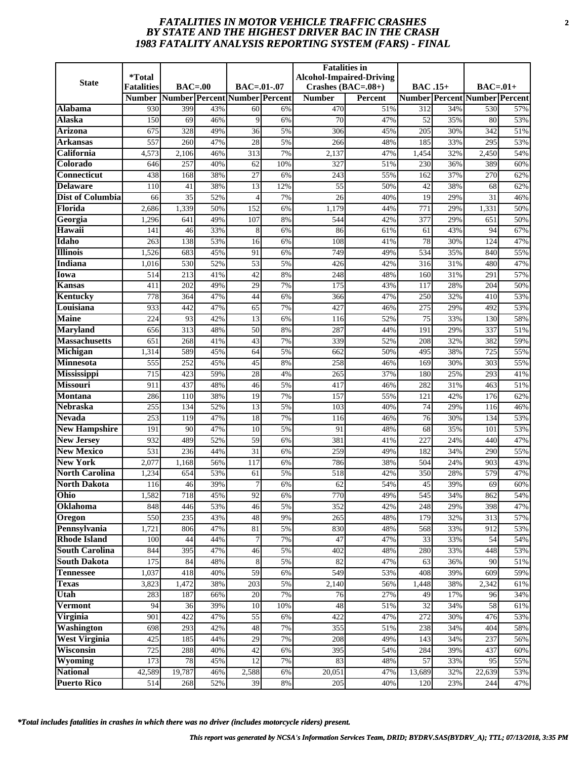# *FATALITIES IN MOTOR VEHICLE TRAFFIC CRASHES* **2** *BY STATE AND THE HIGHEST DRIVER BAC IN THE CRASH 1983 FATALITY ANALYSIS REPORTING SYSTEM (FARS) - FINAL*

|                                        | *Total            |                      |                  |                               |          | <b>Fatalities</b> in | <b>Alcohol-Impaired-Driving</b> |                |            |                                      |            |
|----------------------------------------|-------------------|----------------------|------------------|-------------------------------|----------|----------------------|---------------------------------|----------------|------------|--------------------------------------|------------|
| <b>State</b>                           | <b>Fatalities</b> | $\textbf{BAC} = .00$ |                  | $BAC=.01-.07$                 |          | Crashes (BAC=.08+)   |                                 | <b>BAC.15+</b> |            | $BAC=.01+$                           |            |
|                                        | <b>Number</b>     |                      |                  | Number Percent Number Percent |          | <b>Number</b>        | <b>Percent</b>                  |                |            | <b>Number Percent Number Percent</b> |            |
| Alabama                                | 930               | 399                  | 43%              | 60                            | 6%       | 470                  | 51%                             | 312            | 34%        | 530                                  | 57%        |
| <b>Alaska</b>                          | 150               | 69                   | 46%              | 9                             | 6%       | 70                   | 47%                             | 52             | 35%        | 80                                   | 53%        |
| Arizona                                | 675               | 328                  | 49%              | 36                            | 5%       | 306                  | 45%                             | 205            | 30%        | 342                                  | 51%        |
| Arkansas                               | 557               | 260                  | 47%              | 28                            | 5%       | 266                  | 48%                             | 185            | 33%        | 295                                  | 53%        |
| California                             | 4,573             | 2,106                | 46%              | 313                           | 7%       | 2,137                | 47%                             | 1,454          | 32%        | 2,450                                | 54%        |
| Colorado                               | 646               | 257                  | 40%              | 62                            | 10%      | 327                  | 51%                             | 230            | 36%        | 389                                  | 60%        |
| Connecticut                            | 438               | 168                  | 38%              | 27                            | 6%       | 243                  | 55%                             | 162            | 37%        | 270                                  | 62%        |
| Delaware                               | 110               | 41                   | 38%              | 13                            | 12%      | 55                   | 50%                             | 42             | 38%        | 68                                   | 62%        |
| Dist of Columbia                       | 66                | 35                   | 52%              | 4                             | 7%       | 26                   | 40%                             | 19             | 29%        | 31                                   | 46%        |
| Florida                                | 2,686             | 1,339                | 50%              | 152                           | 6%       | 1,179                | 44%                             | 771            | 29%        | 1,331                                | 50%        |
| Georgia                                | 1,296             | 641                  | 49%              | 107                           | 8%       | 544                  | 42%                             | 377            | 29%        | 651                                  | 50%        |
| Hawaii                                 | 141               | 46                   | 33%              | 8                             | 6%       | 86                   | 61%                             | 61             | 43%        | 94                                   | 67%        |
| Idaho                                  | 263               | 138                  | 53%              | 16                            | 6%       | 108                  | 41%                             | 78             | 30%        | 124                                  | 47%        |
| <b>Illinois</b>                        | 1,526             | 683                  | 45%              | 91                            | 6%       | 749                  | 49%                             | 534            | 35%        | 840                                  | 55%        |
| Indiana                                | 1,016             | 530                  | 52%              | 53                            | 5%       | 426                  | 42%                             | 316            | 31%        | 480                                  | 47%        |
| <b>Iowa</b>                            | 514               | 213                  | 41%              | 42                            | 8%       | 248                  | 48%                             | 160            | 31%        | 291                                  | 57%        |
| Kansas                                 | 411               | 202                  | 49%              | 29                            | 7%       | 175                  | 43%                             | 117            | 28%        | 204                                  | 50%        |
| Kentucky                               | 778               | 364                  | 47%              | 44                            | 6%       | 366                  | 47%                             | 250            | 32%        | 410                                  | 53%        |
| Louisiana                              | 933               | 442                  | 47%              | 65                            | 7%       | 427                  | 46%                             | 275            | 29%        | 492                                  | 53%        |
| <b>Maine</b>                           | 224               | 93                   | 42%              | 13                            | 6%       | 116                  | 52%                             | 75             | 33%        | 130                                  | 58%        |
| <b>Maryland</b>                        | 656               | $\overline{313}$     | 48%              | $\overline{50}$               | 8%       | 287                  | 44%                             | 191            | 29%        | 337                                  | 51%        |
| <b>Massachusetts</b>                   | 651               | 268                  | 41%              | 43                            | 7%       | 339                  | 52%                             | 208            | 32%        | 382                                  | 59%        |
| Michigan                               | 1,314             | 589                  | 45%              | 64                            | 5%       | 662                  | 50%                             | 495            | 38%        | 725                                  | 55%        |
| <b>Minnesota</b>                       | 555               | 252                  | 45%              | 45                            | 8%       | 258                  | 46%                             | 169            | 30%        | 303                                  | 55%        |
| <b>Mississippi</b>                     | 715               | 423                  | 59%              | 28                            | 4%       | 265                  | 37%                             | 180            | 25%        | 293                                  | 41%        |
| <b>Missouri</b>                        | 911               | 437                  | 48%              | 46                            | 5%       | 417                  | 46%                             | 282            | 31%        | 463                                  | 51%        |
| <b>Montana</b>                         | 286               | 110                  | 38%              | 19                            | 7%       | 157                  | 55%                             | 121            | 42%        | 176                                  | 62%        |
| <b>Nebraska</b>                        | 255               | 134                  | 52%              | 13                            | 5%       | 103                  | 40%                             | 74             | 29%        | 116                                  | 46%        |
| Nevada                                 | 253               | 119                  | 47%              | 18                            | 7%       | 116                  | 46%                             | 76             | 30%        | 134                                  | 53%        |
| <b>New Hampshire</b>                   | 191               | 90<br>489            | 47%              | 10                            | 5%       | 91                   | 48%                             | 68             | 35%        | 101                                  | 53%        |
| <b>New Jersey</b><br><b>New Mexico</b> | 932<br>531        | 236                  | 52%<br>44%       | 59<br>$\overline{31}$         | 6%       | 381<br>259           | 41%<br>49%                      | 227<br>182     | 24%<br>34% | 440<br>290                           | 47%<br>55% |
| <b>New York</b>                        | 2,077             | 1,168                | 56%              | 117                           | 6%<br>6% | 786                  | 38%                             | 504            | 24%        | 903                                  | 43%        |
| <b>North Carolina</b>                  | 1,234             | 654                  | 53%              | 61                            | 5%       | 518                  | 42%                             | 350            | 28%        | 579                                  | 47%        |
| <b>North Dakota</b>                    | 116               | 46                   | 39%              | 7                             | 6%       | 62                   | 54%                             | 45             | 39%        | 69                                   | 60%        |
| Ohio                                   | 1,582             | 718                  | 45%              | 92                            | 6%       | 770                  | 49%                             | 545            | 34%        | 862                                  | 54%        |
| Oklahoma                               | 848               | 446                  | 53%              | 46                            | 5%       | 352                  | 42%                             | 248            | 29%        | 398                                  | 47%        |
| Oregon                                 | 550               | 235                  | 43%              | 48                            | 9%       | 265                  | 48%                             | 179            | 32%        | 313                                  | 57%        |
| Pennsylvania                           | 1,721             | 806                  | 47%              | 81                            | 5%       | 830                  | 48%                             | 568            | 33%        | 912                                  | 53%        |
| <b>Rhode Island</b>                    | 100               | 44                   | 44%              | 7                             | 7%       | 47                   | 47%                             | 33             | 33%        | 54                                   | 54%        |
| <b>South Carolina</b>                  | 844               | 395                  | 47%              | 46                            | 5%       | 402                  | 48%                             | 280            | 33%        | 448                                  | 53%        |
| <b>South Dakota</b>                    | 175               | 84                   | 48%              | 8                             | 5%       | 82                   | 47%                             | 63             | 36%        | 90                                   | 51%        |
| <b>Tennessee</b>                       | 1,037             | 418                  | 40%              | 59                            | 6%       | 549                  | 53%                             | 408            | 39%        | 609                                  | 59%        |
| <b>Texas</b>                           | 3,823             | 1,472                | 38%              | 203                           | 5%       | 2,140                | 56%                             | 1,448          | 38%        | 2,342                                | 61%        |
| Utah                                   | 283               | 187                  | 66%              | 20                            | 7%       | 76                   | 27%                             | 49             | 17%        | 96                                   | 34%        |
| <b>Vermont</b>                         | 94                | 36                   | 39%              | 10                            | 10%      | $\overline{48}$      | 51%                             | 32             | 34%        | 58                                   | 61%        |
| <b>Virginia</b>                        | 901               | 422                  | 47%              | 55                            | 6%       | 422                  | 47%                             | 272            | 30%        | 476                                  | 53%        |
| Washington                             | 698               | 293                  | 42%              | 48                            | 7%       | 355                  | 51%                             | 238            | 34%        | 404                                  | 58%        |
| <b>West Virginia</b>                   | 425               | 185                  | 44%              | 29                            | 7%       | 208                  | 49%                             | 143            | 34%        | 237                                  | 56%        |
| Wisconsin                              | 725               | 288                  | 40%              | 42                            | 6%       | 395                  | 54%                             | 284            | 39%        | 437                                  | 60%        |
| Wyoming                                | 173               | 78                   | 45%              | 12                            | 7%       | 83                   | 48%                             | 57             | 33%        | 95                                   | 55%        |
| <b>National</b>                        | 42,589            | 19,787               | 46%              | 2,588                         | 6%       | 20,051               | 47%                             | 13,689         | 32%        | $\overline{22,639}$                  | 53%        |
| <b>Puerto Rico</b>                     | 514               | 268                  | $\frac{1}{52}$ % | 39                            | 8%       | 205                  | 40%                             | 120            | 23%        | 244                                  | 47%        |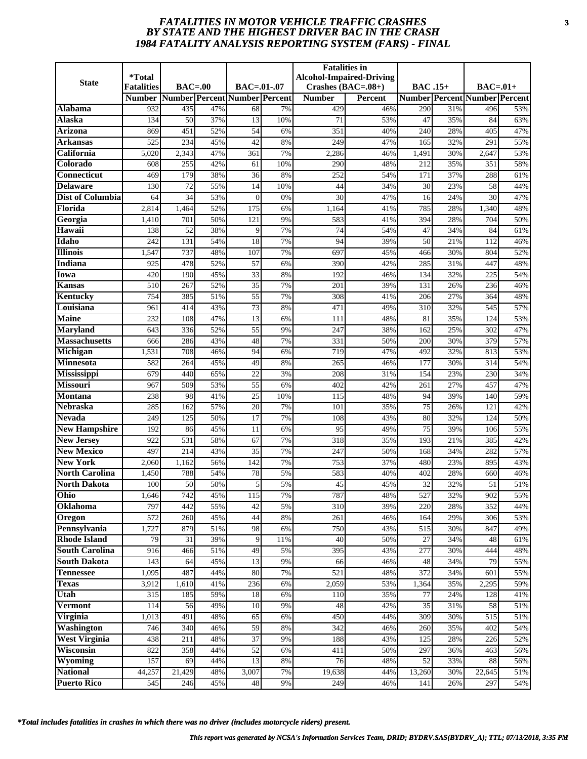# *FATALITIES IN MOTOR VEHICLE TRAFFIC CRASHES* **3** *BY STATE AND THE HIGHEST DRIVER BAC IN THE CRASH 1984 FATALITY ANALYSIS REPORTING SYSTEM (FARS) - FINAL*

|                                      | *Total            |                      |            |                               |          | <b>Fatalities</b> in | <b>Alcohol-Impaired-Driving</b> |                 |            |                                      |            |
|--------------------------------------|-------------------|----------------------|------------|-------------------------------|----------|----------------------|---------------------------------|-----------------|------------|--------------------------------------|------------|
| <b>State</b>                         | <b>Fatalities</b> | $\textbf{BAC} = .00$ |            | $BAC=.01-.07$                 |          | Crashes (BAC=.08+)   |                                 | <b>BAC.15+</b>  |            | $BAC=.01+$                           |            |
|                                      | <b>Number</b>     |                      |            | Number Percent Number Percent |          | <b>Number</b>        | <b>Percent</b>                  |                 |            | <b>Number Percent Number Percent</b> |            |
| <b>Alabama</b>                       | 932               | 435                  | 47%        | 68                            | 7%       | 429                  | 46%                             | 290             | 31%        | 496                                  | 53%        |
| <b>Alaska</b>                        | 134               | 50                   | 37%        | 13                            | 10%      | 71                   | 53%                             | 47              | 35%        | 84                                   | 63%        |
| Arizona                              | 869               | 451                  | 52%        | $\overline{54}$               | 6%       | 351                  | 40%                             | 240             | 28%        | 405                                  | 47%        |
| Arkansas                             | 525               | 234                  | 45%        | 42                            | 8%       | 249                  | 47%                             | 165             | 32%        | 291                                  | 55%        |
| California                           | 5,020             | 2,343                | 47%        | 361                           | 7%       | 2,286                | 46%                             | 1,491           | 30%        | 2,647                                | 53%        |
| Colorado                             | 608               | 255                  | 42%        | 61                            | 10%      | 290                  | 48%                             | 212             | 35%        | 351                                  | 58%        |
| Connecticut                          | 469               | 179                  | 38%        | 36                            | 8%       | 252                  | 54%                             | 171             | 37%        | 288                                  | 61%        |
| Delaware                             | 130               | 72                   | 55%        | 14                            | 10%      | 44                   | 34%                             | 30              | 23%        | 58                                   | 44%        |
| Dist of Columbia                     | 64                | 34                   | 53%        | $\mathbf{0}$                  | 0%       | 30                   | 47%                             | 16              | 24%        | 30                                   | 47%        |
| Florida                              | 2,814             | 1,464                | 52%        | 175                           | 6%       | 1,164                | 41%                             | 785             | 28%        | 1,340                                | 48%        |
| Georgia                              | 1,410             | 701                  | 50%        | 121                           | 9%       | 583                  | 41%                             | 394             | 28%        | 704                                  | 50%        |
| Hawaii                               | 138               | 52                   | 38%        | 9                             | 7%       | $\overline{74}$      | 54%                             | 47              | 34%        | 84                                   | 61%        |
| Idaho                                | 242               | 131                  | 54%        | 18                            | 7%       | 94                   | 39%                             | 50              | 21%        | 112                                  | 46%        |
| <b>Illinois</b>                      | 1,547             | 737                  | 48%        | 107                           | 7%       | 697                  | 45%                             | 466             | 30%        | 804                                  | 52%        |
| Indiana                              | 925               | 478                  | 52%        | 57                            | 6%       | 390                  | 42%                             | 285             | 31%        | 447                                  | 48%        |
| <b>Iowa</b>                          | 420               | 190                  | 45%        | 33                            | 8%       | 192                  | 46%                             | 134             | 32%        | 225                                  | 54%        |
| Kansas                               | 510               | 267                  | 52%        | $\overline{35}$               | 7%       | 201                  | 39%                             | 131             | 26%        | 236                                  | 46%        |
| Kentucky                             | 754               | 385                  | 51%        | $\overline{55}$               | 7%       | 308                  | 41%                             | 206             | 27%        | 364                                  | 48%        |
| Louisiana                            | 961               | 414                  | 43%        | 73                            | 8%       | 471                  | 49%                             | 310             | 32%        | 545                                  | 57%        |
| <b>Maine</b>                         | 232               | 108                  | 47%        | 13                            | 6%       | 111                  | 48%                             | 81              | 35%        | 124                                  | 53%        |
| <b>Maryland</b>                      | 643               | 336                  | 52%        | $\overline{55}$               | 9%       | 247                  | 38%                             | 162             | 25%        | 302                                  | 47%        |
| <b>Massachusetts</b>                 | 666               | 286                  | 43%        | 48                            | 7%       | 331                  | 50%                             | 200             | 30%        | 379                                  | 57%        |
| Michigan                             | 1,531             | 708                  | 46%        | 94                            | 6%       | 719                  | 47%                             | 492             | 32%        | 813                                  | 53%        |
| <b>Minnesota</b>                     | 582               | 264                  | 45%        | 49                            | 8%       | 265                  | 46%                             | 177             | 30%        | 314                                  | 54%        |
| <b>Mississippi</b>                   | 679               | 440                  | 65%        | $\overline{22}$               | 3%       | 208                  | 31%                             | 154             | 23%        | 230                                  | 34%        |
| <b>Missouri</b>                      | 967               | 509                  | 53%        | 55                            | 6%       | 402                  | 42%                             | 261             | 27%        | 457                                  | 47%        |
| Montana                              | 238               | 98                   | 41%        | 25                            | 10%      | 115                  | 48%                             | 94              | 39%        | 140                                  | 59%        |
| <b>Nebraska</b>                      | 285               | 162                  | 57%        | 20                            | 7%       | 101                  | 35%                             | $\overline{75}$ | 26%        | 121                                  | 42%        |
| Nevada                               | 249               | 125                  | 50%        | $\overline{17}$               | 7%       | 108                  | 43%                             | 80              | 32%        | 124                                  | 50%        |
| <b>New Hampshire</b>                 | 192               | 86                   | 45%        | 11                            | 6%       | 95                   | 49%                             | 75              | 39%        | 106                                  | 55%        |
| <b>New Jersey</b>                    | 922               | 531                  | 58%        | 67                            | 7%       | 318                  | 35%                             | 193             | 21%        | 385                                  | 42%        |
| <b>New Mexico</b><br><b>New York</b> | 497               | 214                  | 43%        | $\overline{35}$               | 7%       | 247                  | 50%                             | 168             | 34%        | 282                                  | 57%        |
| <b>North Carolina</b>                | 2,060<br>1,450    | 1,162<br>788         | 56%<br>54% | 142                           | 7%<br>5% | 753<br>583           | 37%                             | 480<br>402      | 23%<br>28% | 895                                  | 43%<br>46% |
| <b>North Dakota</b>                  | 100               | 50                   | 50%        | 78<br>5                       | 5%       | 45                   | 40%                             | 32              | 32%        | 660<br>51                            |            |
| Ohio                                 | 1,646             | 742                  | 45%        | 115                           | 7%       | 787                  | 45%<br>48%                      | 527             | 32%        | 902                                  | 51%<br>55% |
| Oklahoma                             | 797               | 442                  | 55%        | 42                            | 5%       | 310                  | 39%                             | 220             | 28%        | 352                                  | 44%        |
| Oregon                               | 572               | 260                  | 45%        | 44                            | 8%       | 261                  | 46%                             | 164             | 29%        | 306                                  | 53%        |
| Pennsylvania                         | 1,727             | 879                  | 51%        | 98                            | 6%       | 750                  | 43%                             | 515             | 30%        | 847                                  | 49%        |
| <b>Rhode Island</b>                  | 79                | 31                   | 39%        | 9                             | 11%      | 40                   | 50%                             | 27              | 34%        | 48                                   | 61%        |
| <b>South Carolina</b>                | 916               | 466                  | 51%        | 49                            | 5%       | 395                  | 43%                             | 277             | 30%        | 444                                  | 48%        |
| <b>South Dakota</b>                  | 143               | 64                   | 45%        | 13                            | 9%       | 66                   | 46%                             | 48              | 34%        | 79                                   | 55%        |
| <b>Tennessee</b>                     | 1,095             | 487                  | 44%        | 80                            | 7%       | 521                  | 48%                             | 372             | 34%        | 601                                  | 55%        |
| <b>Texas</b>                         | 3,912             | 1,610                | 41%        | 236                           | 6%       | 2,059                | 53%                             | 1,364           | 35%        | 2,295                                | 59%        |
| Utah                                 | 315               | 185                  | 59%        | 18                            | 6%       | 110                  | 35%                             | 77              | 24%        | 128                                  | 41%        |
| <b>Vermont</b>                       | 114               | 56                   | 49%        | 10                            | 9%       | 48                   | 42%                             | 35              | 31%        | 58                                   | 51%        |
| <b>Virginia</b>                      | 1,013             | 491                  | 48%        | 65                            | 6%       | 450                  | 44%                             | 309             | 30%        | 515                                  | 51%        |
| Washington                           | 746               | 340                  | 46%        | 59                            | 8%       | 342                  | 46%                             | 260             | 35%        | 402                                  | 54%        |
| <b>West Virginia</b>                 | 438               | 211                  | 48%        | 37                            | 9%       | 188                  | 43%                             | 125             | 28%        | 226                                  | 52%        |
| Wisconsin                            | 822               | 358                  | 44%        | 52                            | 6%       | 411                  | 50%                             | 297             | 36%        | 463                                  | 56%        |
| Wyoming                              | 157               | 69                   | 44%        | 13                            | 8%       | 76                   | 48%                             | 52              | 33%        | 88                                   | 56%        |
| <b>National</b>                      | 44,257            | 21,429               | 48%        | 3,007                         | 7%       | 19,638               | 44%                             | 13,260          | 30%        | $\overline{22,645}$                  | 51%        |
| <b>Puerto Rico</b>                   | 545               | 246                  | 45%        | 48                            | 9%       | 249                  | 46%                             | 141             | 26%        | 297                                  | 54%        |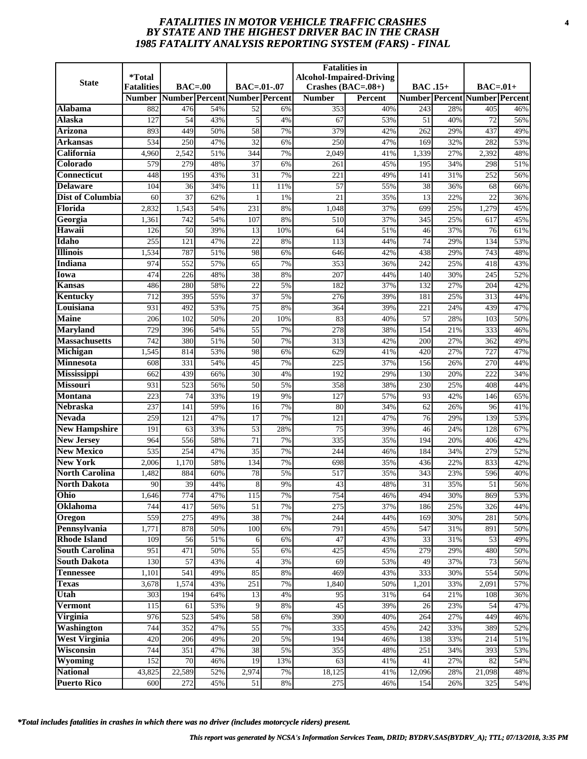# *FATALITIES IN MOTOR VEHICLE TRAFFIC CRASHES* **4** *BY STATE AND THE HIGHEST DRIVER BAC IN THE CRASH 1985 FATALITY ANALYSIS REPORTING SYSTEM (FARS) - FINAL*

| <b>State</b>                           | *Total<br><b>Fatalities</b> | $BAC=00$  |            | $BAC = .01-.07$                     |          | <b>Fatalities</b> in<br>Crashes $(BAC=.08+)$ | <b>Alcohol-Impaired-Driving</b> | <b>BAC</b> .15+ |            | $BAC=01+$                            |            |
|----------------------------------------|-----------------------------|-----------|------------|-------------------------------------|----------|----------------------------------------------|---------------------------------|-----------------|------------|--------------------------------------|------------|
|                                        | <b>Number</b>               |           |            | Number   Percent   Number   Percent |          | <b>Number</b>                                | Percent                         |                 |            | <b>Number Percent Number Percent</b> |            |
| Alabama                                | 882                         | 476       | 54%        | 52                                  | 6%       | 353                                          | 40%                             | 243             | 28%        | 405                                  | 46%        |
| Alaska                                 | 127                         | 54        | 43%        | 5                                   | 4%       | 67                                           | 53%                             | 51              | 40%        | 72                                   | 56%        |
| <b>Arizona</b>                         | 893                         | 449       | 50%        | $\overline{58}$                     | 7%       | 379                                          | 42%                             | 262             | 29%        | 437                                  | 49%        |
| Arkansas                               | 534                         | 250       | 47%        | $\overline{32}$                     | 6%       | 250                                          | 47%                             | 169             | 32%        | 282                                  | 53%        |
| California                             | 4,960                       | 2,542     | 51%        | 344                                 | 7%       | 2,049                                        | 41%                             | 1,339           | 27%        | 2,392                                | 48%        |
| Colorado                               | 579                         | 279       | 48%        | 37                                  | 6%       | 261                                          | 45%                             | 195             | 34%        | 298                                  | 51%        |
| <b>Connecticut</b>                     | 448                         | 195       | 43%        | $\overline{31}$                     | 7%       | 221                                          | 49%                             | 141             | 31%        | 252                                  | 56%        |
| <b>Delaware</b>                        | 104                         | 36        | 34%        | 11                                  | 11%      | 57                                           | 55%                             | 38              | 36%        | 68                                   | 66%        |
| Dist of Columbia                       | 60                          | 37        | 62%        | 1                                   | 1%       | 21                                           | 35%                             | 13              | 22%        | 22                                   | 36%        |
| Florida                                | 2,832                       | 1,543     | 54%        | 231                                 | 8%       | 1,048                                        | 37%                             | 699             | 25%        | 1,279                                | 45%        |
| Georgia                                | 1,361                       | 742       | 54%        | 107                                 | 8%       | 510                                          | 37%                             | 345             | 25%        | 617                                  | 45%        |
| Hawaii                                 | 126                         | 50        | 39%        | 13                                  | 10%      | 64                                           | 51%                             | 46              | 37%        | 76                                   | 61%        |
| Idaho                                  | 255                         | 121       | 47%        | 22                                  | 8%       | 113                                          | 44%                             | 74              | 29%        | 134                                  | 53%        |
| <b>Illinois</b>                        | 1,534                       | 787       | 51%        | 98                                  | 6%       | 646                                          | 42%                             | 438             | 29%        | 743                                  | 48%        |
| Indiana                                | 974                         | 552       | 57%        | 65                                  | 7%       | 353                                          | 36%                             | 242             | 25%        | 418                                  | 43%        |
| Iowa                                   | 474                         | 226       | 48%        | 38                                  | 8%       | 207                                          | 44%                             | 140             | 30%        | 245                                  | 52%        |
| Kansas                                 | 486                         | 280       | 58%        | 22                                  | 5%       | 182                                          | 37%                             | 132             | 27%        | 204                                  | 42%        |
| Kentucky                               | 712                         | 395       | 55%        | $\overline{37}$                     | 5%       | 276                                          | 39%                             | 181             | 25%        | 313                                  | 44%        |
| Louisiana                              | 931                         | 492       | 53%        | 75                                  | 8%       | 364                                          | 39%                             | 221             | 24%        | 439                                  | 47%        |
| <b>Maine</b>                           | 206                         | 102       | 50%        | 20                                  | 10%      | 83                                           | 40%                             | 57              | 28%        | 103                                  | 50%        |
| <b>Maryland</b>                        | 729                         | 396       | 54%        | 55                                  | 7%       | 278                                          | 38%                             | 154             | 21%        | 333                                  | 46%        |
| <b>Massachusetts</b>                   | 742                         | 380       | 51%        | 50                                  | 7%       | 313                                          | 42%                             | 200             | 27%        | 362                                  | 49%        |
| Michigan                               | 1,545                       | 814       | 53%        | 98                                  | 6%       | 629                                          | 41%                             | 420             | 27%        | 727                                  | 47%        |
| Minnesota                              | 608                         | 331       | 54%        | 45                                  | 7%       | 225                                          | 37%                             | 156             | 26%        | 270                                  | 44%        |
| <b>Mississippi</b>                     | 662                         | 439       | 66%        | 30                                  | 4%       | 192                                          | 29%                             | 130             | 20%        | 222                                  | 34%        |
| <b>Missouri</b>                        | 931                         | 523       | 56%        | 50                                  | 5%       | 358                                          | 38%                             | 230             | 25%        | 408                                  | 44%        |
| <b>Montana</b>                         | 223                         | 74        | 33%        | 19                                  | 9%       | 127                                          | 57%                             | 93              | 42%        | 146                                  | 65%        |
| <b>Nebraska</b>                        | 237                         | 141       | 59%        | 16                                  | 7%       | 80                                           | 34%                             | 62              | 26%        | 96                                   | 41%        |
| <b>Nevada</b>                          | 259                         | 121       | 47%        | 17                                  | 7%       | 121                                          | 47%                             | 76              | 29%        | 139                                  | 53%        |
| <b>New Hampshire</b>                   | 191                         | 63        | 33%        | 53                                  | 28%      | 75                                           | 39%                             | 46              | 24%        | 128                                  | 67%        |
| <b>New Jersey</b><br><b>New Mexico</b> | 964                         | 556       | 58%        | 71                                  | 7%       | 335                                          | 35%                             | 194             | 20%        | 406                                  | 42%        |
| <b>New York</b>                        | $\overline{535}$            | 254       | 47%        | $\overline{35}$                     | 7%       | 244                                          | 46%                             | 184             | 34%        | 279                                  | 52%        |
| <b>North Carolina</b>                  | 2,006                       | 1,170     | 58%        | 134                                 | 7%       | 698                                          | 35%                             | 436             | 22%        | 833                                  | 42%<br>40% |
| <b>North Dakota</b>                    | 1,482                       | 884<br>39 | 60%        | 78                                  | 5%       | 517<br>43                                    | 35%<br>48%                      | 343<br>31       | 23%        | 596<br>51                            |            |
| Ohio                                   | 90<br>1,646                 | 774       | 44%<br>47% | 8<br>115                            | 9%<br>7% | 754                                          | 46%                             | 494             | 35%<br>30% | 869                                  | 56%<br>53% |
| Oklahoma                               | 744                         | 417       | 56%        | 51                                  | 7%       | 275                                          | 37%                             | 186             | 25%        | 326                                  | 44%        |
| Oregon                                 | 559                         | 275       | 49%        | 38                                  | 7%       | 244                                          | 44%                             | 169             | 30%        | 281                                  | 50%        |
| Pennsylvania                           | 1,771                       | 878       | 50%        | 100                                 | 6%       | 791                                          | 45%                             | 547             | 31%        | 891                                  | 50%        |
| <b>Rhode Island</b>                    | 109                         | 56        | 51%        | 6                                   | 6%       | 47                                           | 43%                             | 33              | 31%        | 53                                   | 49%        |
| <b>South Carolina</b>                  | 951                         | 471       | 50%        | 55                                  | 6%       | 425                                          | 45%                             | 279             | 29%        | 480                                  | 50%        |
| <b>South Dakota</b>                    | 130                         | 57        | 43%        | $\overline{4}$                      | 3%       | 69                                           | 53%                             | 49              | 37%        | 73                                   | 56%        |
| <b>Tennessee</b>                       | 1,101                       | 541       | 49%        | 85                                  | 8%       | 469                                          | 43%                             | 333             | 30%        | 554                                  | 50%        |
| <b>Texas</b>                           | 3,678                       | 1,574     | 43%        | 251                                 | 7%       | 1,840                                        | 50%                             | 1,201           | 33%        | 2,091                                | 57%        |
| Utah                                   | 303                         | 194       | 64%        | 13                                  | 4%       | 95                                           | 31%                             | 64              | 21%        | 108                                  | 36%        |
| <b>Vermont</b>                         | 115                         | 61        | 53%        | 9                                   | 8%       | 45                                           | 39%                             | 26              | 23%        | 54                                   | 47%        |
| Virginia                               | 976                         | 523       | 54%        | 58                                  | 6%       | 390                                          | 40%                             | 264             | 27%        | 449                                  | 46%        |
| <b>Washington</b>                      | 744                         | 352       | 47%        | 55                                  | 7%       | 335                                          | 45%                             | 242             | 33%        | 389                                  | 52%        |
| <b>West Virginia</b>                   | 420                         | 206       | 49%        | 20                                  | 5%       | 194                                          | 46%                             | 138             | 33%        | 214                                  | 51%        |
| Wisconsin                              | 744                         | 351       | 47%        | 38                                  | 5%       | 355                                          | 48%                             | 251             | 34%        | 393                                  | 53%        |
| Wyoming                                | 152                         | 70        | 46%        | 19                                  | 13%      | 63                                           | 41%                             | 41              | 27%        | 82                                   | 54%        |
| <b>National</b>                        | 43,825                      | 22,589    | 52%        | 2,974                               | 7%       | 18,125                                       | 41%                             | 12,096          | 28%        | 21,098                               | 48%        |
| <b>Puerto Rico</b>                     | 600                         | 272       | 45%        | 51                                  | $8\%$    | 275                                          | 46%                             | 154             | 26%        | 325                                  | 54%        |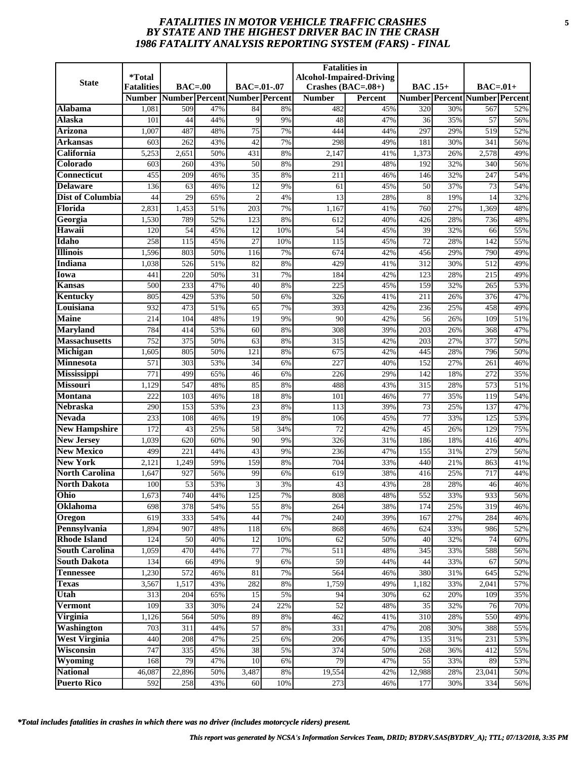# *FATALITIES IN MOTOR VEHICLE TRAFFIC CRASHES* **5** *BY STATE AND THE HIGHEST DRIVER BAC IN THE CRASH 1986 FATALITY ANALYSIS REPORTING SYSTEM (FARS) - FINAL*

| <b>State</b>            | *Total<br><b>Fatalities</b> | $BAC=00$  |            | $BAC=.01-.07$                 |           | <b>Fatalities in</b><br><b>Alcohol-Impaired-Driving</b><br>Crashes $(BAC=.08+)$ |                | <b>BAC</b> .15+  |            | $BAC=.01+$                           |            |
|-------------------------|-----------------------------|-----------|------------|-------------------------------|-----------|---------------------------------------------------------------------------------|----------------|------------------|------------|--------------------------------------|------------|
|                         | <b>Number</b>               |           |            | Number Percent Number Percent |           | <b>Number</b>                                                                   | <b>Percent</b> |                  |            | <b>Number Percent Number Percent</b> |            |
| Alabama                 | 1,081                       | 509       | 47%        | 84                            | 8%        | 482                                                                             | 45%            | 320              | 30%        | 567                                  | 52%        |
| <b>Alaska</b>           | 101                         | 44        | 44%        | 9                             | 9%        | 48                                                                              | 47%            | 36               | 35%        | 57                                   | 56%        |
| Arizona                 | 1,007                       | 487       | 48%        | $\overline{75}$               | 7%        | 444                                                                             | 44%            | 297              | 29%        | 519                                  | 52%        |
| Arkansas                | 603                         | 262       | 43%        | $\overline{42}$               | 7%        | 298                                                                             | 49%            | 181              | 30%        | 341                                  | 56%        |
| California              | 5,253                       | 2,651     | 50%        | 431                           | 8%        | 2,147                                                                           | 41%            | 1,373            | 26%        | 2,578                                | 49%        |
| Colorado                | 603                         | 260       | 43%        | 50                            | 8%        | 291                                                                             | 48%            | 192              | 32%        | 340                                  | 56%        |
| <b>Connecticut</b>      | 455                         | 209       | 46%        | $\overline{35}$               | 8%        | 211                                                                             | 46%            | 146              | 32%        | 247                                  | 54%        |
| <b>Delaware</b>         | 136                         | 63        | 46%        | 12                            | 9%        | 61                                                                              | 45%            | 50               | 37%        | 73                                   | 54%        |
| <b>Dist of Columbia</b> | 44                          | 29        | 65%        | $\mathcal{D}$                 | 4%        | 13                                                                              | 28%            | 8                | 19%        | 14                                   | 32%        |
| Florida                 | 2,831                       | 1,453     | 51%        | 203                           | 7%        | 1,167                                                                           | 41%            | 760              | 27%        | 1,369                                | 48%        |
| Georgia                 | 1,530                       | 789       | 52%        | 123                           | 8%        | 612                                                                             | 40%            | 426              | 28%        | 736                                  | 48%        |
| Hawaii                  | 120                         | 54        | 45%        | 12                            | 10%       | 54                                                                              | 45%            | 39               | 32%        | 66                                   | 55%        |
| Idaho                   | 258                         | 115       | 45%        | 27                            | 10%       | 115                                                                             | 45%            | 72               | 28%        | 142                                  | 55%        |
| <b>Illinois</b>         | 1,596                       | 803       | 50%        | 116                           | 7%        | 674                                                                             | 42%            | 456              | 29%        | 790                                  | 49%        |
| <b>Indiana</b>          | 1,038                       | 526       | 51%        | 82                            | 8%        | 429                                                                             | 41%            | 312              | 30%        | 512                                  | 49%        |
| Iowa                    | 441                         | 220       | 50%        | 31                            | 7%        | 184                                                                             | 42%            | 123              | 28%        | 215                                  | 49%        |
| <b>Kansas</b>           | 500                         | 233       | 47%        | 40                            | 8%        | 225                                                                             | 45%            | 159              | 32%        | 265                                  | 53%        |
| Kentucky                | 805                         | 429       | 53%        | $\overline{50}$               | 6%        | 326                                                                             | 41%            | $\overline{211}$ | 26%        | 376                                  | 47%        |
| Louisiana               | 932                         | 473       | 51%        | 65                            | 7%        | 393                                                                             | 42%            | 236              | 25%        | 458                                  | 49%        |
| <b>Maine</b>            | 214                         | 104       | 48%        | 19                            | 9%        | 90                                                                              | 42%            | 56               | 26%        | 109                                  | 51%        |
| <b>Maryland</b>         | 784                         | 414       | 53%        | 60                            | 8%        | 308                                                                             | 39%            | 203              | 26%        | 368                                  | 47%        |
| <b>Massachusetts</b>    | 752                         | 375       | 50%        | 63                            | 8%        | 315                                                                             | 42%            | 203              | 27%        | 377                                  | 50%        |
| Michigan                | 1,605                       | 805       | 50%        | 121                           | 8%        | 675                                                                             | 42%            | 445              | 28%        | 796                                  | 50%        |
| Minnesota               | 571                         | 303       | 53%        | 34                            | 6%        | 227                                                                             | 40%            | 152              | 27%        | 261                                  | 46%        |
| <b>Mississippi</b>      | 771                         | 499       | 65%        | 46                            | 6%        | 226                                                                             | 29%            | 142              | 18%        | 272                                  | 35%        |
| <b>Missouri</b>         | 1,129                       | 547       | 48%        | 85                            | 8%        | 488                                                                             | 43%            | 315              | 28%        | 573                                  | 51%        |
| <b>Montana</b>          | 222                         | 103       | 46%        | 18                            | 8%        | 101                                                                             | 46%            | 77               | 35%        | 119                                  | 54%        |
| Nebraska                | 290                         | 153       | 53%        | 23                            | 8%        | 113                                                                             | 39%            | 73               | 25%        | 137                                  | 47%        |
| <b>Nevada</b>           | 233                         | 108       | 46%        | 19                            | 8%        | 106                                                                             | 45%            | 77               | 33%        | 125                                  | 53%        |
| <b>New Hampshire</b>    | 172                         | 43        | 25%        | 58                            | 34%       | 72                                                                              | 42%            | 45               | 26%        | 129                                  | 75%        |
| <b>New Jersey</b>       | 1,039                       | 620       | 60%        | 90                            | 9%        | 326                                                                             | 31%            | 186              | 18%        | 416                                  | 40%        |
| <b>New Mexico</b>       | 499                         | 221       | 44%        | 43                            | 9%        | 236                                                                             | 47%            | 155              | 31%        | 279                                  | 56%        |
| <b>New York</b>         | 2,121                       | 1,249     | 59%        | 159                           | 8%        | 704                                                                             | 33%            | 440              | 21%        | 863                                  | 41%        |
| <b>North Carolina</b>   | 1,647                       | 927       | 56%        | 99                            | 6%        | 619                                                                             | 38%            | 416              | 25%        | 717                                  | 44%        |
| North Dakota            | 100                         | 53        | 53%        | 3                             | 3%        | 43                                                                              | 43%            | 28               | 28%        | 46                                   | 46%        |
| Ohio                    | 1,673                       | 740       | 44%        | 125                           | 7%        | 808                                                                             | 48%            | 552              | 33%        | 933                                  | 56%        |
| <b>Oklahoma</b>         | 698                         | 378       | 54%        | 55                            | 8%        | 264                                                                             | 38%            | 174              | 25%        | 319                                  | 46%        |
| Oregon<br>Pennsylvania  | 619                         | 333       | 54%<br>48% | 44                            | 7%        | 240                                                                             | 39%            | 167              | 27%        | 284                                  | 46%        |
| <b>Rhode Island</b>     | 1,894<br>124                | 907<br>50 | 40%        | 118<br>12                     | 6%<br>10% | 868<br>62                                                                       | 46%<br>50%     | 624<br>40        | 33%<br>32% | 986<br>74                            | 52%<br>60% |
| <b>South Carolina</b>   | 1,059                       | 470       | 44%        | $77 \,$                       | 7%        | 511                                                                             | 48%            | 345              | 33%        | 588                                  | 56%        |
| <b>South Dakota</b>     | 134                         | 66        | 49%        | 9                             | 6%        | 59                                                                              | 44%            | 44               | 33%        | 67                                   | 50%        |
| <b>Tennessee</b>        | 1,230                       | 572       | 46%        | 81                            | 7%        | 564                                                                             | 46%            | 380              | 31%        | 645                                  | 52%        |
| <b>Texas</b>            | 3,567                       | 1,517     | 43%        | 282                           | 8%        | 1,759                                                                           | 49%            | 1,182            | 33%        | 2,041                                | 57%        |
| Utah                    | 313                         | 204       | 65%        | 15                            | 5%        | 94                                                                              | 30%            | 62               | 20%        | 109                                  | 35%        |
| <b>Vermont</b>          | 109                         | 33        | 30%        | 24                            | 22%       | $\overline{52}$                                                                 | 48%            | 35               | 32%        | 76                                   | 70%        |
| Virginia                | 1,126                       | 564       | 50%        | 89                            | 8%        | 462                                                                             | 41%            | 310              | 28%        | 550                                  | 49%        |
| Washington              | 703                         | 311       | 44%        | 57                            | 8%        | 331                                                                             | 47%            | 208              | 30%        | 388                                  | 55%        |
| <b>West Virginia</b>    | 440                         | 208       | 47%        | 25                            | 6%        | 206                                                                             | 47%            | 135              | 31%        | 231                                  | 53%        |
| Wisconsin               | 747                         | 335       | 45%        | 38                            | 5%        | 374                                                                             | 50%            | 268              | 36%        | 412                                  | 55%        |
| Wyoming                 | 168                         | 79        | 47%        | 10                            | 6%        | 79                                                                              | 47%            | 55               | 33%        | 89                                   | 53%        |
| <b>National</b>         | 46,087                      | 22,896    | 50%        | 3,487                         | 8%        | 19,554                                                                          | 42%            | 12,988           | 28%        | 23,041                               | 50%        |
| <b>Puerto Rico</b>      | 592                         | 258       | 43%        | 60                            | 10%       | 273                                                                             | 46%            | 177              | 30%        | 334                                  | 56%        |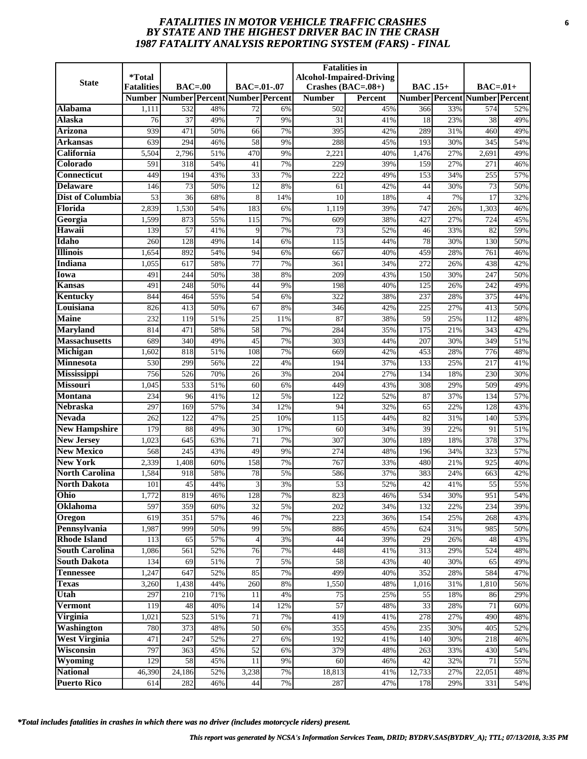# *FATALITIES IN MOTOR VEHICLE TRAFFIC CRASHES* **6** *BY STATE AND THE HIGHEST DRIVER BAC IN THE CRASH 1987 FATALITY ANALYSIS REPORTING SYSTEM (FARS) - FINAL*

| <b>State</b>                              | <i><b>*Total</b></i> |                         |            |                               |          | <b>Fatalities</b> in | <b>Alcohol-Impaired-Driving</b> |                 |            |                                      |            |
|-------------------------------------------|----------------------|-------------------------|------------|-------------------------------|----------|----------------------|---------------------------------|-----------------|------------|--------------------------------------|------------|
|                                           | <b>Fatalities</b>    | $BAC=00$                |            | $BAC = .01-.07$               |          | Crashes $(BAC=.08+)$ |                                 | <b>BAC</b> .15+ |            | $BAC=01+$                            |            |
|                                           | <b>Number</b>        |                         |            | Number Percent Number Percent |          | <b>Number</b>        | <b>Percent</b>                  |                 |            | <b>Number Percent Number Percent</b> |            |
| Alabama<br>Alaska                         | 1,111<br>76          | 532<br>37               | 48%<br>49% | 72<br>$\overline{7}$          | 6%<br>9% | 502<br>31            | 45%<br>41%                      | 366<br>18       | 33%<br>23% | 574<br>38                            | 52%<br>49% |
| <b>Arizona</b>                            | 939                  | 471                     | 50%        | 66                            | 7%       | 395                  | 42%                             | 289             | 31%        | 460                                  | 49%        |
| Arkansas                                  | 639                  | 294                     | 46%        | 58                            | 9%       | 288                  | 45%                             | 193             | 30%        | 345                                  | 54%        |
| California                                | 5,504                | 2,796                   | 51%        | 470                           | 9%       | 2,221                | 40%                             | 1,476           | 27%        | 2,691                                | 49%        |
| Colorado                                  | 591                  | 318                     | 54%        | 41                            | 7%       | 229                  | 39%                             | 159             | 27%        | 271                                  | 46%        |
| <b>Connecticut</b>                        | 449                  | 194                     | 43%        | $\overline{33}$               | 7%       | 222                  | 49%                             | 153             | 34%        | 255                                  | 57%        |
| <b>Delaware</b>                           | 146                  | 73                      | 50%        | 12                            | 8%       | 61                   | 42%                             | 44              | 30%        | 73                                   | 50%        |
| Dist of Columbia                          | 53                   | 36                      | 68%        | 8                             | 14%      | 10                   | 18%                             | $\overline{4}$  | 7%         | 17                                   | 32%        |
| Florida                                   | 2,839                | 1,530                   | 54%        | 183                           | 6%       | 1,119                | 39%                             | 747             | 26%        | 1,303                                | 46%        |
| Georgia                                   | 1,599                | 873                     | 55%        | 115                           | 7%       | 609                  | 38%                             | 427             | 27%        | 724                                  | 45%        |
| Hawaii                                    | 139                  | 57                      | 41%        | $\mathbf Q$                   | 7%       | 73                   | 52%                             | 46              | 33%        | 82                                   | 59%        |
| Idaho                                     | 260                  | 128                     | 49%        | 14                            | 6%       | 115                  | 44%                             | 78              | 30%        | 130                                  | 50%        |
| <b>Illinois</b>                           | 1,654                | 892                     | 54%        | 94                            | 6%       | 667                  | 40%                             | 459             | 28%        | 761                                  | 46%        |
| <b>Indiana</b>                            | 1,055                | 617                     | 58%        | 77                            | 7%       | 361                  | 34%                             | 272             | 26%        | 438                                  | 42%        |
| Iowa                                      | 491                  | 244                     | 50%        | 38                            | 8%       | 209                  | 43%                             | 150             | 30%        | 247                                  | 50%        |
| Kansas                                    | 491                  | 248                     | 50%        | 44                            | 9%       | 198                  | 40%                             | 125             | 26%        | 242                                  | 49%        |
| Kentucky                                  | 844                  | 464                     | 55%        | 54                            | 6%       | 322                  | 38%                             | 237             | 28%        | 375                                  | 44%        |
| Louisiana                                 | 826                  | 413                     | 50%        | 67                            | 8%       | 346                  | 42%                             | 225             | 27%        | 413                                  | 50%        |
| <b>Maine</b>                              | 232                  | 119                     | 51%        | 25                            | 11%      | 87                   | 38%                             | 59              | 25%        | 112                                  | 48%        |
| <b>Maryland</b>                           | 814                  | 471                     | 58%        | 58                            | 7%       | 284                  | 35%                             | 175             | 21%        | 343                                  | 42%        |
| <b>Massachusetts</b>                      | 689                  | 340                     | 49%        | 45                            | 7%       | 303                  | 44%                             | 207             | 30%        | 349                                  | 51%        |
| Michigan                                  | 1,602                | 818                     | 51%        | 108                           | 7%       | 669                  | 42%                             | 453             | 28%        | 776                                  | 48%        |
| <b>Minnesota</b>                          | 530                  | 299                     | 56%        | 22                            | 4%       | 194                  | 37%                             | 133             | 25%        | 217                                  | 41%        |
| <b>Mississippi</b>                        | 756                  | 526                     | 70%        | 26                            | 3%       | 204                  | 27%                             | 134             | 18%        | 230                                  | 30%        |
| <b>Missouri</b>                           | 1,045                | 533                     | 51%        | 60                            | 6%       | 449                  | 43%                             | 308             | 29%        | 509                                  | 49%        |
| <b>Montana</b>                            | 234                  | 96                      | 41%        | 12                            | 5%       | 122                  | 52%                             | 87              | 37%        | 134                                  | 57%        |
| <b>Nebraska</b>                           | 297                  | 169                     | 57%        | 34                            | 12%      | 94                   | 32%                             | 65              | 22%        | 128                                  | 43%        |
| <b>Nevada</b>                             | 262                  | 122                     | 47%        | 25                            | 10%      | 115                  | 44%                             | 82              | 31%        | 140                                  | 53%        |
| <b>New Hampshire</b><br><b>New Jersey</b> | 179                  | 88                      | 49%        | 30<br>71                      | 17%      | 60                   | 34%                             | 39              | 22%        | 91                                   | 51%        |
| <b>New Mexico</b>                         | 1,023<br>568         | 645<br>$\overline{245}$ | 63%<br>43% | 49                            | 7%<br>9% | 307<br>274           | 30%<br>48%                      | 189<br>196      | 18%<br>34% | 378<br>323                           | 37%<br>57% |
| <b>New York</b>                           | 2,339                | 1,408                   | 60%        | 158                           | 7%       | 767                  | 33%                             | 480             | 21%        | 925                                  | 40%        |
| <b>North Carolina</b>                     | 1,584                | 918                     | 58%        | 78                            | 5%       | 586                  | 37%                             | 383             | 24%        | 663                                  | 42%        |
| <b>North Dakota</b>                       | 101                  | 45                      | 44%        | 3                             | 3%       | 53                   | 52%                             | 42              | 41%        | 55                                   | 55%        |
| Ohio                                      | 1,772                | 819                     | 46%        | 128                           | 7%       | 823                  | 46%                             | 534             | 30%        | 951                                  | 54%        |
| Oklahoma                                  | 597                  | 359                     | 60%        | 32                            | 5%       | 202                  | 34%                             | 132             | 22%        | 234                                  | 39%        |
| Oregon                                    | 619                  | 351                     | 57%        | 46                            | 7%       | 223                  | 36%                             | 154             | 25%        | 268                                  | 43%        |
| Pennsylvania                              | 1,987                | 999                     | 50%        | 99                            | 5%       | 886                  | 45%                             | 624             | 31%        | 985                                  | 50%        |
| <b>Rhode Island</b>                       | 113                  | 65                      | 57%        | $\overline{4}$                | 3%       | 44                   | 39%                             | 29              | 26%        | 48                                   | 43%        |
| <b>South Carolina</b>                     | 1,086                | 561                     | 52%        | 76                            | 7%       | 448                  | 41%                             | 313             | 29%        | 524                                  | 48%        |
| <b>South Dakota</b>                       | 134                  | 69                      | 51%        | 7                             | 5%       | 58                   | 43%                             | 40              | 30%        | 65                                   | 49%        |
| <b>Tennessee</b>                          | 1,247                | 647                     | 52%        | 85                            | 7%       | 499                  | 40%                             | 352             | 28%        | 584                                  | 47%        |
| <b>Texas</b>                              | 3,260                | 1,438                   | 44%        | 260                           | 8%       | 1,550                | 48%                             | 1,016           | 31%        | 1,810                                | 56%        |
| Utah                                      | 297                  | 210                     | 71%        | 11                            | 4%       | 75                   | 25%                             | 55              | 18%        | 86                                   | 29%        |
| <b>Vermont</b>                            | 119                  | 48                      | 40%        | 14                            | 12%      | $\overline{57}$      | 48%                             | 33              | 28%        | 71                                   | 60%        |
| Virginia                                  | 1,021                | 523                     | 51%        | 71                            | 7%       | 419                  | 41%                             | 278             | 27%        | 490                                  | 48%        |
| <b>Washington</b>                         | 780                  | 373                     | 48%        | 50                            | 6%       | 355                  | 45%                             | 235             | 30%        | 405                                  | 52%        |
| <b>West Virginia</b>                      | 471                  | 247                     | 52%        | 27                            | 6%       | 192                  | 41%                             | 140             | 30%        | 218                                  | 46%        |
| Wisconsin                                 | 797                  | 363                     | 45%        | 52                            | 6%       | 379                  | 48%                             | 263             | 33%        | 430                                  | 54%        |
| Wyoming                                   | 129                  | 58                      | 45%        | 11                            | 9%       | 60                   | 46%                             | 42              | 32%        | 71                                   | 55%        |
| <b>National</b>                           | 46,390               | $\overline{24,186}$     | 52%        | 3,238                         | 7%       | 18,813               | 41%                             | 12,733          | 27%        | 22,051                               | 48%        |
| <b>Puerto Rico</b>                        | 614                  | 282                     | 46%        | 44                            | 7%       | 287                  | 47%                             | 178             | 29%        | 331                                  | 54%        |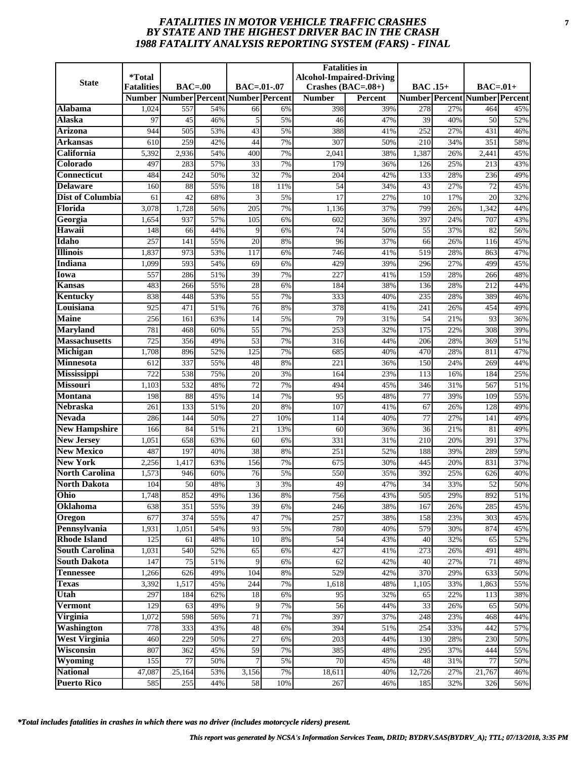# *FATALITIES IN MOTOR VEHICLE TRAFFIC CRASHES* **7** *BY STATE AND THE HIGHEST DRIVER BAC IN THE CRASH 1988 FATALITY ANALYSIS REPORTING SYSTEM (FARS) - FINAL*

|                                        | *Total            |            |            |                               |          | <b>Fatalities</b> in | <b>Alcohol-Impaired-Driving</b> |                |            |                                      |            |
|----------------------------------------|-------------------|------------|------------|-------------------------------|----------|----------------------|---------------------------------|----------------|------------|--------------------------------------|------------|
| <b>State</b>                           | <b>Fatalities</b> | $BAC=.00$  |            | $BAC=.01-.07$                 |          | Crashes (BAC=.08+)   |                                 | <b>BAC.15+</b> |            | $BAC=.01+$                           |            |
|                                        | <b>Number</b>     |            |            | Number Percent Number Percent |          | <b>Number</b>        | <b>Percent</b>                  |                |            | <b>Number Percent Number Percent</b> |            |
| <b>Alabama</b>                         | 1,024             | 557        | 54%        | 66                            | 6%       | 398                  | 39%                             | 278            | 27%        | 464                                  | 45%        |
| <b>Alaska</b>                          | 97                | 45         | 46%        | 5                             | 5%       | 46                   | 47%                             | 39             | 40%        | 50                                   | 52%        |
| Arizona                                | 944               | 505        | 53%        | 43                            | 5%       | 388                  | 41%                             | 252            | 27%        | 431                                  | 46%        |
| Arkansas                               | 610               | 259        | 42%        | 44                            | 7%       | 307                  | 50%                             | 210            | 34%        | 351                                  | 58%        |
| California                             | 5,392             | 2,936      | 54%        | 400                           | 7%       | 2,041                | 38%                             | 1,387          | 26%        | 2,441                                | 45%        |
| Colorado                               | 497               | 283        | 57%        | 33                            | 7%       | 179                  | 36%                             | 126            | 25%        | 213                                  | 43%        |
| Connecticut                            | 484               | 242        | 50%        | $\overline{32}$               | 7%       | 204                  | 42%                             | 133            | 28%        | 236                                  | 49%        |
| Delaware                               | 160               | 88         | 55%        | 18                            | 11%      | 54                   | 34%                             | 43             | 27%        | 72                                   | 45%        |
| Dist of Columbia                       | 61                | 42         | 68%        | 3                             | 5%       | 17                   | 27%                             | 10             | 17%        | 20                                   | 32%        |
| Florida                                | 3,078             | 1,728      | 56%        | 205                           | 7%       | 1,136                | 37%                             | 799            | 26%        | 1,342                                | 44%        |
| Georgia                                | 1,654             | 937        | 57%        | 105                           | 6%       | 602                  | 36%                             | 397            | 24%        | 707                                  | 43%        |
| Hawaii                                 | 148               | 66         | 44%        | 9                             | 6%       | $\overline{74}$      | 50%                             | 55             | 37%        | 82                                   | 56%        |
| Idaho                                  | 257               | 141        | 55%        | 20                            | 8%       | 96                   | 37%                             | 66             | 26%        | 116                                  | 45%        |
| <b>Illinois</b>                        | 1,837             | 973        | 53%        | 117                           | 6%       | 746                  | 41%                             | 519            | 28%        | 863                                  | 47%        |
| Indiana                                | 1,099             | 593        | 54%        | 69                            | 6%       | 429                  | 39%                             | 296            | 27%        | 499                                  | 45%        |
| <b>Iowa</b>                            | 557               | 286        | 51%        | 39                            | 7%       | 227                  | 41%                             | 159            | 28%        | 266                                  | 48%        |
| Kansas                                 | 483               | 266        | 55%        | 28                            | 6%       | 184                  | 38%                             | 136            | 28%        | 212                                  | 44%        |
| Kentucky                               | 838               | 448        | 53%        | $\overline{55}$               | 7%       | 333                  | 40%                             | 235            | 28%        | 389                                  | 46%        |
| Louisiana                              | 925               | 471        | 51%        | 76                            | 8%       | 378                  | 41%                             | 241            | 26%        | 454                                  | 49%        |
| <b>Maine</b>                           | 256               | 161        | 63%        | 14                            | 5%       | 79                   | 31%                             | 54             | 21%        | 93                                   | 36%        |
| <b>Maryland</b>                        | 781               | 468        | 60%        | $\overline{55}$               | 7%       | 253                  | 32%                             | 175            | 22%        | 308                                  | 39%        |
| <b>Massachusetts</b>                   | 725               | 356        | 49%        | 53                            | 7%       | 316                  | 44%                             | 206            | 28%        | 369                                  | 51%        |
| Michigan                               | 1,708             | 896        | 52%        | 125                           | 7%       | 685                  | 40%                             | 470            | 28%        | 811                                  | 47%        |
| <b>Minnesota</b>                       | 612               | 337        | 55%        | 48                            | 8%       | 221                  | 36%                             | 150            | 24%        | 269                                  | 44%        |
| <b>Mississippi</b>                     | 722               | 538        | 75%        | 20                            | 3%       | 164                  | 23%                             | 113            | 16%        | 184                                  | 25%        |
| <b>Missouri</b>                        | 1,103             | 532        | 48%        | 72                            | 7%       | 494                  | 45%                             | 346            | 31%        | 567                                  | 51%        |
| Montana                                | 198               | 88         | 45%        | 14                            | 7%       | 95                   | 48%                             | 77             | 39%        | 109                                  | 55%        |
| <b>Nebraska</b>                        | 261               | 133        | 51%        | 20                            | 8%       | 107                  | 41%                             | 67             | 26%        | 128                                  | 49%        |
| <b>Nevada</b>                          | 286               | 144        | 50%        | $\overline{27}$               | 10%      | 114                  | 40%                             | 77             | 27%        | 141                                  | 49%        |
| <b>New Hampshire</b>                   | 166               | 84         | 51%        | 21                            | 13%      | 60                   | 36%                             | 36             | 21%        | 81                                   | 49%        |
| <b>New Jersey</b><br><b>New Mexico</b> | 1,051<br>487      | 658<br>197 | 63%<br>40% | 60<br>$\overline{38}$         | 6%<br>8% | 331<br>251           | 31%<br>52%                      | 210<br>188     | 20%<br>39% | 391<br>289                           | 37%<br>59% |
| <b>New York</b>                        | 2,256             | 1,417      | 63%        | 156                           | 7%       | 675                  | 30%                             | 445            | 20%        | 831                                  | 37%        |
| <b>North Carolina</b>                  | 1,573             | 946        | 60%        | 76                            | 5%       | 550                  | 35%                             | 392            | 25%        | 626                                  | 40%        |
| <b>North Dakota</b>                    | 104               | 50         | 48%        | 3                             | 3%       | 49                   | 47%                             | 34             | 33%        | 52                                   | 50%        |
| Ohio                                   | 1,748             | 852        | 49%        | 136                           | 8%       | 756                  | 43%                             | 505            | 29%        | 892                                  | 51%        |
| Oklahoma                               | 638               | 351        | 55%        | 39                            | 6%       | 246                  | 38%                             | 167            | 26%        | 285                                  | 45%        |
| Oregon                                 | 677               | 374        | 55%        | 47                            | 7%       | 257                  | 38%                             | 158            | 23%        | 303                                  | 45%        |
| Pennsylvania                           | 1,931             | 1,051      | 54%        | 93                            | 5%       | 780                  | 40%                             | 579            | 30%        | 874                                  | 45%        |
| <b>Rhode Island</b>                    | 125               | 61         | 48%        | 10                            | 8%       | 54                   | 43%                             | 40             | 32%        | 65                                   | 52%        |
| <b>South Carolina</b>                  | 1,031             | 540        | 52%        | 65                            | 6%       | 427                  | 41%                             | 273            | 26%        | 491                                  | 48%        |
| <b>South Dakota</b>                    | 147               | 75         | 51%        | 9                             | 6%       | 62                   | 42%                             | 40             | 27%        | 71                                   | 48%        |
| <b>Tennessee</b>                       | 1,266             | 626        | 49%        | 104                           | 8%       | 529                  | 42%                             | 370            | 29%        | 633                                  | 50%        |
| <b>Texas</b>                           | 3,392             | 1,517      | 45%        | 244                           | 7%       | 1,618                | 48%                             | 1,105          | 33%        | 1,863                                | 55%        |
| Utah                                   | 297               | 184        | 62%        | 18                            | 6%       | 95                   | 32%                             | 65             | 22%        | 113                                  | 38%        |
| <b>Vermont</b>                         | 129               | 63         | 49%        | 9                             | 7%       | $\overline{56}$      | 44%                             | 33             | 26%        | 65                                   | 50%        |
| <b>Virginia</b>                        | 1,072             | 598        | 56%        | 71                            | 7%       | 397                  | 37%                             | 248            | 23%        | 468                                  | 44%        |
| Washington                             | 778               | 333        | 43%        | 48                            | 6%       | 394                  | 51%                             | 254            | 33%        | 442                                  | 57%        |
| <b>West Virginia</b>                   | 460               | 229        | 50%        | 27                            | 6%       | 203                  | 44%                             | 130            | 28%        | 230                                  | 50%        |
| Wisconsin                              | 807               | 362        | 45%        | 59                            | 7%       | 385                  | 48%                             | 295            | 37%        | 444                                  | 55%        |
| Wyoming                                | 155               | 77         | 50%        | $\overline{7}$                | 5%       | 70                   | 45%                             | 48             | 31%        | 77                                   | 50%        |
| <b>National</b>                        | 47,087            | 25,164     | 53%        | 3,156                         | 7%       | 18,611               | 40%                             | 12,726         | 27%        | 21,767                               | 46%        |
| <b>Puerto Rico</b>                     | 585               | 255        | 44%        | 58                            | 10%      | 267                  | 46%                             | 185            | 32%        | 326                                  | 56%        |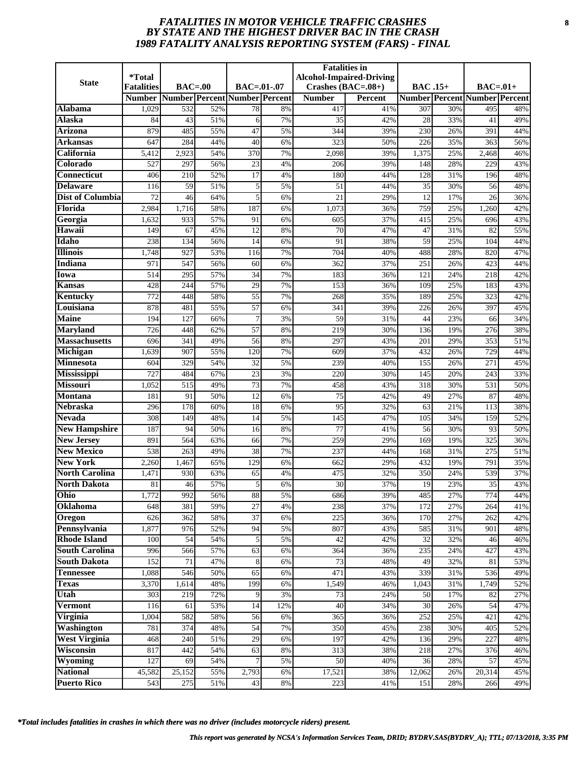# *FATALITIES IN MOTOR VEHICLE TRAFFIC CRASHES* **8** *BY STATE AND THE HIGHEST DRIVER BAC IN THE CRASH 1989 FATALITY ANALYSIS REPORTING SYSTEM (FARS) - FINAL*

| <b>State</b>                          | <i><b>*Total</b></i><br><b>Fatalities</b> | $BAC=00$         |            | $BAC = .01-.07$               |          | <b>Fatalities in</b><br>Crashes $(BAC=.08+)$ | <b>Alcohol-Impaired-Driving</b> | <b>BAC</b> .15+  |            | $BAC=01+$                            |            |
|---------------------------------------|-------------------------------------------|------------------|------------|-------------------------------|----------|----------------------------------------------|---------------------------------|------------------|------------|--------------------------------------|------------|
|                                       | <b>Number</b>                             |                  |            | Number Percent Number Percent |          | <b>Number</b>                                | <b>Percent</b>                  |                  |            | <b>Number Percent Number Percent</b> |            |
| Alabama                               | 1,029                                     | 532              | 52%        | 78                            | 8%       | 417                                          | 41%                             | 307              | 30%        | 495                                  | 48%        |
| Alaska                                | 84                                        | 43               | 51%        | 6                             | 7%       | 35                                           | 42%                             | 28               | 33%        | 41                                   | 49%        |
| <b>Arizona</b>                        | 879                                       | 485              | 55%        | $\overline{47}$               | 5%       | 344                                          | 39%                             | $\overline{230}$ | 26%        | 391                                  | 44%        |
| Arkansas                              | 647                                       | 284              | 44%        | 40                            | 6%       | 323                                          | 50%                             | 226              | 35%        | 363                                  | 56%        |
| California                            | 5,412                                     | 2,923            | 54%        | 370                           | 7%       | 2,098                                        | 39%                             | 1,375            | 25%        | 2,468                                | 46%        |
| Colorado                              | 527                                       | 297              | 56%        | 23                            | 4%       | 206                                          | 39%                             | 148              | 28%        | 229                                  | 43%        |
| <b>Connecticut</b>                    | 406                                       | $\overline{210}$ | 52%        | $\overline{17}$               | 4%       | 180                                          | 44%                             | 128              | 31%        | 196                                  | 48%        |
| <b>Delaware</b>                       | 116                                       | 59               | 51%        | 5                             | 5%       | 51                                           | 44%                             | 35               | 30%        | 56                                   | 48%        |
| Dist of Columbia                      | 72                                        | 46               | 64%        | 5                             | 6%       | 21                                           | 29%                             | 12               | 17%        | 26                                   | 36%        |
| Florida                               | 2,984                                     | 1,716            | 58%        | 187                           | 6%       | 1,073                                        | 36%                             | 759              | 25%        | 1,260                                | 42%        |
| Georgia                               | 1,632                                     | 933              | 57%        | 91                            | 6%       | 605                                          | 37%                             | 415              | 25%        | 696                                  | 43%        |
| Hawaii                                | 149                                       | 67               | 45%        | 12                            | 8%       | 70                                           | 47%                             | 47               | 31%        | 82                                   | 55%        |
| Idaho                                 | 238                                       | 134              | 56%        | 14                            | 6%       | 91                                           | 38%                             | 59               | 25%        | 104                                  | 44%        |
| <b>Illinois</b>                       | 1,748                                     | 927              | 53%        | 116                           | 7%       | 704                                          | 40%                             | 488              | 28%        | 820                                  | 47%        |
| <b>Indiana</b>                        | 971                                       | 547              | 56%        | 60                            | 6%       | 362                                          | 37%                             | 251              | 26%        | 423                                  | 44%        |
| Iowa                                  | 514                                       | 295              | 57%        | 34                            | 7%       | 183                                          | 36%                             | 121              | 24%        | 218                                  | 42%        |
| Kansas                                | 428                                       | 244              | 57%        | 29                            | 7%       | 153                                          | 36%                             | 109              | 25%        | 183                                  | 43%        |
| <b>Kentucky</b>                       | 772                                       | 448              | 58%        | $\overline{55}$               | 7%       | 268                                          | 35%                             | 189              | 25%        | 323                                  | 42%        |
| Louisiana                             | 878                                       | 481              | 55%        | $\overline{57}$               | 6%       | 341                                          | 39%                             | 226              | 26%        | 397                                  | 45%        |
| <b>Maine</b>                          | 194                                       | 127              | 66%        | 7                             | 3%       | 59                                           | 31%                             | 44               | 23%        | 66                                   | 34%        |
| <b>Maryland</b>                       | 726                                       | 448              | 62%        | 57                            | 8%       | 219                                          | 30%                             | 136              | 19%        | 276                                  | 38%        |
| <b>Massachusetts</b>                  | 696                                       | 341              | 49%        | 56                            | 8%       | 297                                          | 43%                             | 201              | 29%        | 353                                  | 51%        |
| Michigan                              | 1,639                                     | 907              | 55%        | 120                           | 7%       | 609                                          | 37%                             | 432              | 26%        | 729                                  | 44%        |
| <b>Minnesota</b>                      | 604<br>727                                | 329<br>484       | 54%<br>67% | 32<br>$\overline{23}$         | 5%<br>3% | 239<br>220                                   | 40%<br>30%                      | 155<br>145       | 26%<br>20% | 271<br>243                           | 45%<br>33% |
| <b>Mississippi</b><br><b>Missouri</b> | 1,052                                     | 515              | 49%        | 73                            | 7%       | 458                                          | 43%                             | 318              | 30%        | 531                                  | 50%        |
| <b>Montana</b>                        | 181                                       | 91               | 50%        | 12                            | 6%       | 75                                           | 42%                             | 49               | 27%        | 87                                   | 48%        |
| <b>Nebraska</b>                       | 296                                       | 178              | 60%        | 18                            | 6%       | $\overline{95}$                              | 32%                             | 63               | 21%        | 113                                  | 38%        |
| <b>Nevada</b>                         | 308                                       | 149              | 48%        | 14                            | 5%       | 145                                          | 47%                             | 105              | 34%        | 159                                  | 52%        |
| <b>New Hampshire</b>                  | 187                                       | 94               | 50%        | 16                            | 8%       | 77                                           | 41%                             | 56               | 30%        | 93                                   | 50%        |
| <b>New Jersey</b>                     | 891                                       | 564              | 63%        | 66                            | 7%       | 259                                          | 29%                             | 169              | 19%        | 325                                  | 36%        |
| <b>New Mexico</b>                     | 538                                       | 263              | 49%        | $\overline{38}$               | 7%       | 237                                          | 44%                             | 168              | 31%        | 275                                  | 51%        |
| <b>New York</b>                       | 2,260                                     | 1,467            | 65%        | 129                           | 6%       | 662                                          | 29%                             | 432              | 19%        | 791                                  | 35%        |
| <b>North Carolina</b>                 | 1,471                                     | 930              | 63%        | 65                            | 4%       | 475                                          | 32%                             | 350              | 24%        | 539                                  | 37%        |
| <b>North Dakota</b>                   | 81                                        | 46               | 57%        | 5                             | 6%       | 30                                           | 37%                             | 19               | 23%        | 35                                   | 43%        |
| Ohio                                  | 1,772                                     | 992              | 56%        | 88                            | 5%       | 686                                          | 39%                             | 485              | 27%        | 774                                  | 44%        |
| Oklahoma                              | 648                                       | 381              | 59%        | 27                            | 4%       | 238                                          | 37%                             | 172              | 27%        | 264                                  | 41%        |
| Oregon                                | 626                                       | 362              | 58%        | 37                            | 6%       | 225                                          | 36%                             | 170              | 27%        | 262                                  | 42%        |
| Pennsylvania                          | 1,877                                     | 976              | 52%        | 94                            | 5%       | 807                                          | 43%                             | 585              | 31%        | 901                                  | 48%        |
| <b>Rhode Island</b>                   | 100                                       | 54               | 54%        | 5                             | 5%       | 42                                           | 42%                             | 32               | 32%        | 46                                   | 46%        |
| <b>South Carolina</b>                 | 996                                       | 566              | 57%        | 63                            | 6%       | 364                                          | 36%                             | 235              | 24%        | 427                                  | 43%        |
| <b>South Dakota</b>                   | 152                                       | 71               | 47%        | 8                             | 6%       | 73                                           | 48%                             | 49               | 32%        | 81                                   | 53%        |
| <b>Tennessee</b>                      | 1,088                                     | 546              | 50%        | 65                            | 6%       | 471                                          | 43%                             | 339              | 31%        | 536                                  | 49%        |
| <b>Texas</b>                          | 3,370                                     | 1,614            | 48%        | 199                           | 6%       | 1,549                                        | 46%                             | 1,043            | 31%        | 1,749                                | 52%        |
| Utah                                  | 303                                       | 219              | 72%        | 9                             | 3%       | 73                                           | 24%                             | 50               | 17%        | 82                                   | 27%        |
| <b>Vermont</b>                        | 116                                       | 61               | 53%        | 14                            | 12%      | 40                                           | 34%                             | 30               | 26%        | 54                                   | 47%        |
| Virginia                              | 1,004                                     | 582              | 58%        | 56                            | 6%       | 365                                          | 36%                             | 252              | 25%        | 421                                  | 42%        |
| <b>Washington</b>                     | 781                                       | 374              | 48%        | 54                            | 7%       | 350                                          | 45%                             | 238              | 30%        | 405                                  | 52%        |
| <b>West Virginia</b><br>Wisconsin     | 468                                       | 240<br>442       | 51%        | 29                            | 6%       | 197                                          | 42%                             | 136              | 29%        | 227                                  | 48%        |
| Wyoming                               | 817<br>127                                | 69               | 54%<br>54% | 63                            | 8%<br>5% | 313<br>50                                    | 38%<br>40%                      | 218<br>36        | 27%<br>28% | 376<br>57                            | 46%<br>45% |
| <b>National</b>                       | 45,582                                    | 25,152           | 55%        | 2,793                         | 6%       | 17,521                                       | 38%                             | 12,062           | 26%        | 20,314                               | 45%        |
| <b>Puerto Rico</b>                    | $\overline{543}$                          | 275              | 51%        | 43                            | 8%       | 223                                          | 41%                             | 151              | 28%        | 266                                  | 49%        |
|                                       |                                           |                  |            |                               |          |                                              |                                 |                  |            |                                      |            |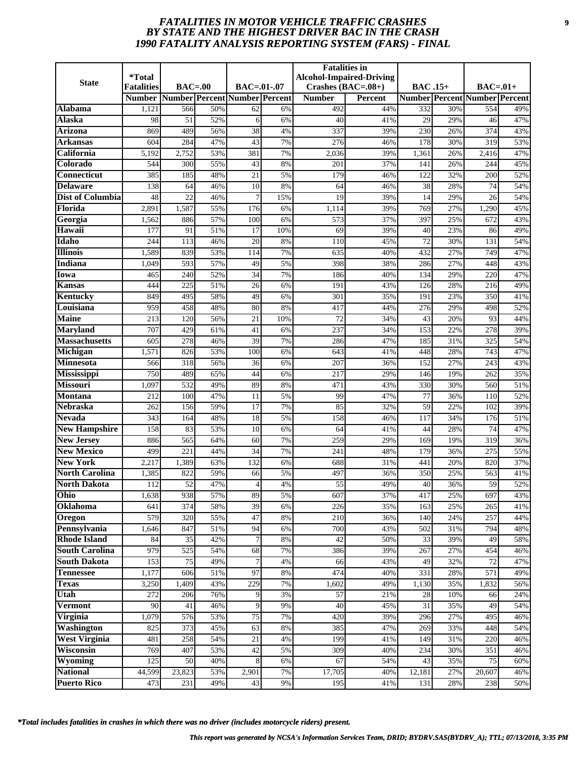# *FATALITIES IN MOTOR VEHICLE TRAFFIC CRASHES* **9** *BY STATE AND THE HIGHEST DRIVER BAC IN THE CRASH 1990 FATALITY ANALYSIS REPORTING SYSTEM (FARS) - FINAL*

| <b>State</b>                             | <i><b>*Total</b></i> |                               |            |                 |          | <b>Fatalities in</b> | <b>Alcohol-Impaired-Driving</b> |                 |            |                                      |            |
|------------------------------------------|----------------------|-------------------------------|------------|-----------------|----------|----------------------|---------------------------------|-----------------|------------|--------------------------------------|------------|
|                                          | <b>Fatalities</b>    | $BAC=00$                      |            | $BAC = .01-.07$ |          | Crashes $(BAC=.08+)$ |                                 | <b>BAC</b> .15+ |            | $BAC=01+$                            |            |
|                                          | <b>Number</b>        | Number Percent Number Percent |            |                 |          | <b>Number</b>        | <b>Percent</b>                  |                 |            | <b>Number Percent Number Percent</b> |            |
| Alabama                                  | 1,121                | 566                           | 50%        | 62              | 6%       | 492                  | 44%                             | 332             | 30%        | 554                                  | 49%        |
| Alaska                                   | 98                   | 51                            | 52%        | 6               | 6%       | 40                   | 41%                             | 29              | 29%        | 46                                   | 47%        |
| <b>Arizona</b>                           | 869                  | 489                           | 56%        | $\overline{38}$ | 4%       | 337                  | 39%                             | 230             | 26%        | 374                                  | 43%        |
| Arkansas<br>California                   | 604                  | 284                           | 47%        | 43              | 7%       | 276                  | 46%                             | 178             | 30%        | 319                                  | 53%        |
| Colorado                                 | 5,192<br>544         | 2,752<br>300                  | 53%<br>55% | 381<br>43       | 7%<br>8% | 2,036<br>201         | 39%<br>37%                      | 1,361<br>141    | 26%<br>26% | 2,416<br>244                         | 47%<br>45% |
| <b>Connecticut</b>                       | 385                  | 185                           | 48%        | $\overline{21}$ | 5%       | 179                  | 46%                             | 122             | 32%        | 200                                  | 52%        |
| <b>Delaware</b>                          | 138                  | 64                            | 46%        | 10              | 8%       | 64                   | 46%                             | 38              | 28%        | 74                                   | 54%        |
| Dist of Columbia                         | 48                   | 22                            | 46%        | 7               | 15%      | 19                   | 39%                             | 14              | 29%        | 26                                   | 54%        |
| Florida                                  | 2,891                | 1,587                         | 55%        | 176             | 6%       | 1,114                | 39%                             | 769             | 27%        | 1,290                                | 45%        |
| Georgia                                  | 1,562                | 886                           | 57%        | 100             | 6%       | 573                  | 37%                             | 397             | 25%        | 672                                  | 43%        |
| Hawaii                                   | 177                  | 91                            | 51%        | 17              | 10%      | 69                   | 39%                             | 40              | 23%        | 86                                   | 49%        |
| Idaho                                    | 244                  | 113                           | 46%        | 20              | 8%       | 110                  | 45%                             | 72              | 30%        | 131                                  | 54%        |
| <b>Illinois</b>                          | 1,589                | 839                           | 53%        | 114             | 7%       | 635                  | 40%                             | 432             | 27%        | 749                                  | 47%        |
| <b>Indiana</b>                           | 1,049                | 593                           | 57%        | 49              | 5%       | 398                  | 38%                             | 286             | 27%        | 448                                  | 43%        |
| Iowa                                     | 465                  | 240                           | 52%        | 34              | 7%       | 186                  | 40%                             | 134             | 29%        | 220                                  | 47%        |
| Kansas                                   | 444                  | 225                           | 51%        | 26              | 6%       | 191                  | 43%                             | 126             | 28%        | 216                                  | 49%        |
| <b>Kentucky</b>                          | 849                  | 495                           | 58%        | 49              | 6%       | 301                  | 35%                             | 191             | 23%        | 350                                  | 41%        |
| Louisiana                                | 959                  | 458                           | 48%        | 80              | 8%       | 417                  | 44%                             | 276             | 29%        | 498                                  | 52%        |
| <b>Maine</b>                             | 213                  | 120                           | 56%        | 21              | 10%      | 72                   | 34%                             | 43              | 20%        | 93                                   | 44%        |
| <b>Maryland</b>                          | 707                  | 429                           | 61%        | 41              | 6%       | 237                  | 34%                             | 153             | 22%        | 278                                  | 39%        |
| <b>Massachusetts</b>                     | 605                  | 278                           | 46%        | 39              | 7%       | 286                  | 47%                             | 185             | 31%        | 325                                  | 54%        |
| Michigan                                 | 1,571                | 826                           | 53%        | 100             | 6%       | 643                  | 41%                             | 448             | 28%        | 743                                  | 47%        |
| <b>Minnesota</b>                         | 566                  | 318                           | 56%        | 36              | 6%       | 207                  | 36%                             | 152             | 27%        | 243                                  | 43%        |
| <b>Mississippi</b>                       | 750                  | 489                           | 65%        | 44              | 6%       | 217                  | 29%                             | 146             | 19%        | 262                                  | 35%        |
| <b>Missouri</b>                          | 1,097                | 532                           | 49%        | 89              | 8%       | 471                  | 43%                             | 330             | 30%        | 560                                  | 51%        |
| <b>Montana</b>                           | 212                  | 100                           | 47%        | 11              | 5%       | 99                   | 47%                             | 77              | 36%        | 110                                  | 52%        |
| <b>Nebraska</b>                          | 262                  | 156                           | 59%        | $\overline{17}$ | 7%       | $\overline{85}$      | 32%                             | 59              | 22%        | 102                                  | 39%        |
| <b>Nevada</b>                            | 343                  | 164                           | 48%        | 18              | 5%       | 158                  | 46%                             | 117             | 34%        | 176                                  | 51%        |
| <b>New Hampshire</b>                     | 158                  | 83                            | 53%        | 10              | 6%       | 64                   | 41%                             | 44              | 28%        | 74                                   | 47%        |
| <b>New Jersey</b>                        | 886                  | 565                           | 64%        | 60              | 7%       | 259                  | 29%                             | 169             | 19%        | 319                                  | 36%        |
| <b>New Mexico</b>                        | 499                  | $\overline{221}$              | 44%        | $\overline{34}$ | 7%       | 241                  | 48%                             | 179             | 36%        | 275                                  | 55%        |
| <b>New York</b><br><b>North Carolina</b> | 2,217                | 1,389                         | 63%        | 132             | 6%       | 688                  | 31%                             | 441             | 20%        | 820                                  | 37%        |
| <b>North Dakota</b>                      | 1,385<br>112         | 822<br>52                     | 59%        | 66              | 5%       | 497<br>55            | 36%<br>49%                      | 350<br>40       | 25%        | 563<br>59                            | 41%        |
| Ohio                                     | 1,638                | 938                           | 47%<br>57% | 4<br>89         | 4%<br>5% | 607                  | 37%                             | 417             | 36%<br>25% | 697                                  | 52%<br>43% |
| Oklahoma                                 | 641                  | 374                           | 58%        | 39              | 6%       | 226                  | 35%                             | 163             | 25%        | 265                                  | 41%        |
| Oregon                                   | 579                  | 320                           | 55%        | 47              | $8\%$    | 210                  | 36%                             | 140             | 24%        | 257                                  | 44%        |
| Pennsylvania                             | 1,646                | 847                           | 51%        | 94              | 6%       | 700                  | 43%                             | 502             | 31%        | 794                                  | 48%        |
| <b>Rhode Island</b>                      | 84                   | 35                            | 42%        | 7               | 8%       | 42                   | 50%                             | 33              | 39%        | 49                                   | 58%        |
| <b>South Carolina</b>                    | 979                  | 525                           | 54%        | 68              | 7%       | 386                  | 39%                             | 267             | 27%        | 454                                  | 46%        |
| <b>South Dakota</b>                      | 153                  | 75                            | 49%        | 7               | 4%       | 66                   | 43%                             | 49              | 32%        | 72                                   | 47%        |
| <b>Tennessee</b>                         | 1,177                | 606                           | 51%        | 97              | 8%       | 474                  | 40%                             | 331             | 28%        | 571                                  | 49%        |
| <b>Texas</b>                             | 3,250                | 1,409                         | 43%        | 229             | 7%       | 1,602                | 49%                             | 1,130           | 35%        | 1,832                                | 56%        |
| Utah                                     | 272                  | 206                           | 76%        | 9               | 3%       | 57                   | 21%                             | 28              | 10%        | 66                                   | 24%        |
| <b>Vermont</b>                           | 90                   | 41                            | 46%        | 9               | 9%       | 40                   | 45%                             | 31              | 35%        | 49                                   | 54%        |
| Virginia                                 | 1,079                | 576                           | 53%        | 75              | 7%       | 420                  | 39%                             | 296             | 27%        | 495                                  | 46%        |
| <b>Washington</b>                        | 825                  | 373                           | 45%        | 63              | 8%       | 385                  | 47%                             | 269             | 33%        | 448                                  | 54%        |
| <b>West Virginia</b>                     | 481                  | 258                           | 54%        | 21              | 4%       | 199                  | 41%                             | 149             | 31%        | 220                                  | 46%        |
| Wisconsin                                | 769                  | 407                           | 53%        | 42              | 5%       | 309                  | 40%                             | 234             | 30%        | 351                                  | 46%        |
| Wyoming                                  | 125                  | 50                            | 40%        | 8               | 6%       | 67                   | 54%                             | 43              | 35%        | 75                                   | 60%        |
| <b>National</b>                          | 44,599               | 23,823                        | 53%        | 2,901           | 7%       | 17,705               | 40%                             | 12,181          | 27%        | 20,607                               | 46%        |
| <b>Puerto Rico</b>                       | 473                  | 231                           | 49%        | 43              | 9%       | 195                  | 41%                             | 131             | 28%        | 238                                  | 50%        |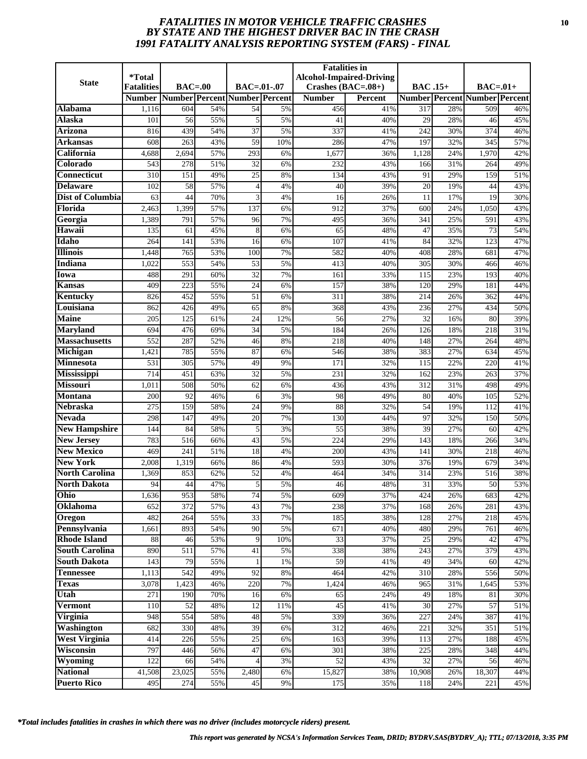# *FATALITIES IN MOTOR VEHICLE TRAFFIC CRASHES* **10** *BY STATE AND THE HIGHEST DRIVER BAC IN THE CRASH 1991 FATALITY ANALYSIS REPORTING SYSTEM (FARS) - FINAL*

| <b>State</b>                           | <i>*</i> Total<br><b>Fatalities</b> | $BAC=00$                |            | BAC=.01-.07                   |          | <b>Fatalities</b> in<br>Crashes $(BAC=.08+)$ | <b>Alcohol-Impaired-Driving</b> | <b>BAC</b> .15+ |            | $BAC=.01+$                           |            |
|----------------------------------------|-------------------------------------|-------------------------|------------|-------------------------------|----------|----------------------------------------------|---------------------------------|-----------------|------------|--------------------------------------|------------|
|                                        | <b>Number</b>                       |                         |            | Number Percent Number Percent |          | <b>Number</b>                                | Percent                         |                 |            | <b>Number Percent Number Percent</b> |            |
| Alabama                                | 1,116                               | 604                     | 54%        | 54                            | 5%       | 456                                          | 41%                             | 317             | 28%        | 509                                  | 46%        |
| <b>Alaska</b>                          | 101                                 | 56                      | 55%        | 5                             | 5%       | 41                                           | 40%                             | 29              | 28%        | 46                                   | 45%        |
| Arizona                                | 816                                 | 439                     | 54%        | 37                            | 5%       | 337                                          | 41%                             | 242             | 30%        | 374                                  | 46%        |
| Arkansas                               | 608                                 | 263                     | 43%        | $\overline{59}$               | 10%      | 286                                          | 47%                             | 197             | 32%        | 345                                  | 57%        |
| California                             | 4,688                               | 2,694                   | 57%        | 293                           | 6%       | 1,677                                        | 36%                             | 1,128           | 24%        | 1,970                                | 42%        |
| Colorado                               | 543                                 | 278                     | 51%        | 32                            | 6%       | 232                                          | 43%                             | 166             | 31%        | 264                                  | 49%        |
| <b>Connecticut</b>                     | 310                                 | 151                     | 49%        | $\overline{25}$               | 8%       | 134                                          | 43%                             | 91              | 29%        | 159                                  | 51%        |
| <b>Delaware</b>                        | 102                                 | 58                      | 57%        | $\Delta$                      | 4%       | 40                                           | 39%                             | 20              | 19%        | 44                                   | 43%        |
| <b>Dist of Columbia</b>                | 63                                  | 44                      | 70%        | 3                             | 4%       | 16                                           | 26%                             | 11              | 17%        | 19                                   | 30%        |
| Florida                                | 2,463                               | 1,399                   | 57%        | 137                           | 6%       | 912                                          | 37%                             | 600             | 24%        | 1,050                                | 43%        |
| Georgia                                | 1,389                               | 791                     | 57%        | 96                            | 7%       | 495                                          | 36%                             | 341             | 25%        | 591                                  | 43%        |
| Hawaii                                 | 135                                 | 61                      | 45%        | 8                             | 6%       | 65                                           | 48%                             | 47              | 35%        | 73                                   | 54%        |
| Idaho                                  | 264                                 | 141                     | 53%        | 16                            | 6%       | 107                                          | 41%                             | 84              | 32%        | 123                                  | 47%        |
| <b>Illinois</b>                        | 1,448                               | 765                     | 53%        | 100                           | 7%       | 582                                          | 40%                             | 408             | 28%        | 681                                  | 47%        |
| <b>Indiana</b>                         | 1,022                               | 553                     | 54%        | 53                            | 5%       | 413                                          | 40%                             | 305             | 30%        | 466                                  | 46%        |
| Iowa                                   | 488                                 | 291                     | 60%        | 32                            | 7%       | 161                                          | 33%                             | 115             | 23%        | 193                                  | 40%        |
| Kansas                                 | 409                                 | 223                     | 55%        | 24                            | 6%       | 157                                          | 38%                             | 120             | 29%        | 181                                  | 44%        |
| Kentucky                               | 826                                 | 452                     | 55%        | $\overline{51}$               | 6%       | 311                                          | 38%                             | 214             | 26%        | 362                                  | 44%        |
| Louisiana                              | 862                                 | 426                     | 49%        | 65                            | 8%       | 368                                          | 43%                             | 236             | 27%        | 434                                  | 50%        |
| <b>Maine</b>                           | 205                                 | 125                     | 61%        | 24                            | 12%      | 56                                           | 27%                             | 32              | 16%        | 80                                   | 39%        |
| <b>Maryland</b>                        | 694                                 | 476                     | 69%        | $\overline{34}$               | 5%       | 184                                          | 26%                             | 126             | 18%        | 218                                  | 31%        |
| <b>Massachusetts</b>                   | 552                                 | 287                     | 52%        | 46                            | 8%       | 218                                          | 40%                             | 148             | 27%        | 264                                  | 48%        |
| Michigan                               | 1,421                               | 785                     | 55%        | 87                            | 6%       | 546                                          | 38%                             | 383             | 27%        | 634                                  | 45%        |
| Minnesota                              | 531                                 | 305                     | 57%        | 49                            | 9%       | 171                                          | 32%                             | 115             | 22%        | 220                                  | 41%        |
| Mississippi                            | 714                                 | 451                     | 63%        | $\overline{32}$               | 5%       | 231                                          | 32%                             | 162             | 23%        | 263                                  | 37%        |
| <b>Missouri</b>                        | 1,011                               | 508                     | 50%        | 62                            | 6%       | 436                                          | 43%                             | 312             | 31%        | 498                                  | 49%        |
| <b>Montana</b>                         | 200                                 | 92                      | 46%        | 6                             | 3%       | 98                                           | 49%                             | 80              | 40%        | 105                                  | 52%        |
| <b>Nebraska</b>                        | 275                                 | 159                     | 58%        | 24                            | 9%       | 88                                           | 32%                             | 54              | 19%        | 112                                  | 41%        |
| <b>Nevada</b>                          | 298                                 | 147                     | 49%        | 20                            | 7%       | 130                                          | 44%                             | 97              | 32%        | 150                                  | 50%        |
| <b>New Hampshire</b>                   | 144                                 | 84                      | 58%        | 5                             | 3%       | 55                                           | 38%                             | 39              | 27%        | 60                                   | 42%        |
| <b>New Jersey</b><br><b>New Mexico</b> | 783<br>469                          | 516<br>$\overline{241}$ | 66%<br>51% | 43<br>$\overline{18}$         | 5%<br>4% | 224<br>200                                   | 29%<br>43%                      | 143<br>141      | 18%<br>30% | 266<br>218                           | 34%<br>46% |
| <b>New York</b>                        | 2,008                               | 1,319                   | 66%        | 86                            | 4%       | 593                                          | 30%                             | 376             | 19%        | 679                                  | 34%        |
| <b>North Carolina</b>                  | 1,369                               | 853                     | 62%        | 52                            | 4%       | 464                                          | 34%                             | 314             | 23%        | 516                                  | 38%        |
| <b>North Dakota</b>                    | 94                                  | 44                      | 47%        | 5                             | 5%       | 46                                           | 48%                             | 31              | 33%        | 50                                   | 53%        |
| Ohio                                   | 1,636                               | 953                     | 58%        | 74                            | 5%       | 609                                          | 37%                             | 424             | 26%        | 683                                  | 42%        |
| Oklahoma                               | 652                                 | 372                     | 57%        | 43                            | 7%       | 238                                          | 37%                             | 168             | 26%        | 281                                  | 43%        |
| Oregon                                 | 482                                 | 264                     | 55%        | 33                            | 7%       | 185                                          | 38%                             | 128             | 27%        | 218                                  | 45%        |
| Pennsylvania                           | 1,661                               | 893                     | 54%        | 90                            | 5%       | 671                                          | 40%                             | 480             | 29%        | 761                                  | 46%        |
| <b>Rhode Island</b>                    | 88                                  | 46                      | 53%        | 9                             | 10%      | $\overline{33}$                              | 37%                             | 25              | 29%        | 42                                   | 47%        |
| <b>South Carolina</b>                  | 890                                 | 511                     | 57%        | 41                            | 5%       | 338                                          | 38%                             | 243             | 27%        | 379                                  | 43%        |
| <b>South Dakota</b>                    | 143                                 | 79                      | 55%        | 1                             | 1%       | 59                                           | 41%                             | 49              | 34%        | 60                                   | 42%        |
| <b>Tennessee</b>                       | 1,113                               | 542                     | 49%        | 92                            | 8%       | 464                                          | 42%                             | 310             | 28%        | 556                                  | 50%        |
| <b>Texas</b>                           | 3,078                               | 1,423                   | 46%        | 220                           | 7%       | 1,424                                        | 46%                             | 965             | 31%        | 1,645                                | 53%        |
| Utah                                   | 271                                 | 190                     | 70%        | 16                            | 6%       | 65                                           | 24%                             | 49              | 18%        | 81                                   | 30%        |
| <b>Vermont</b>                         | 110                                 | 52                      | 48%        | 12                            | 11%      | 45                                           | 41%                             | 30              | 27%        | 57                                   | 51%        |
| Virginia                               | 948                                 | 554                     | 58%        | 48                            | 5%       | 339                                          | 36%                             | 227             | 24%        | 387                                  | 41%        |
| Washington                             | 682                                 | 330                     | 48%        | 39                            | 6%       | 312                                          | 46%                             | 221             | 32%        | 351                                  | 51%        |
| <b>West Virginia</b>                   | 414                                 | 226                     | 55%        | 25                            | 6%       | 163                                          | 39%                             | 113             | 27%        | 188                                  | 45%        |
| Wisconsin                              | 797                                 | 446                     | 56%        | 47                            | 6%       | 301                                          | 38%                             | 225             | 28%        | 348                                  | 44%        |
| Wyoming                                | 122                                 | 66                      | 54%        | 4                             | 3%       | 52                                           | 43%                             | 32              | 27%        | 56                                   | 46%        |
| <b>National</b>                        | 41,508                              | 23,025                  | 55%        | 2,480                         | 6%       | 15,827                                       | 38%                             | 10,908          | 26%        | 18,307                               | 44%        |
| <b>Puerto Rico</b>                     | 495                                 | 274                     | 55%        | 45                            | 9%       | 175                                          | 35%                             | 118             | 24%        | 221                                  | 45%        |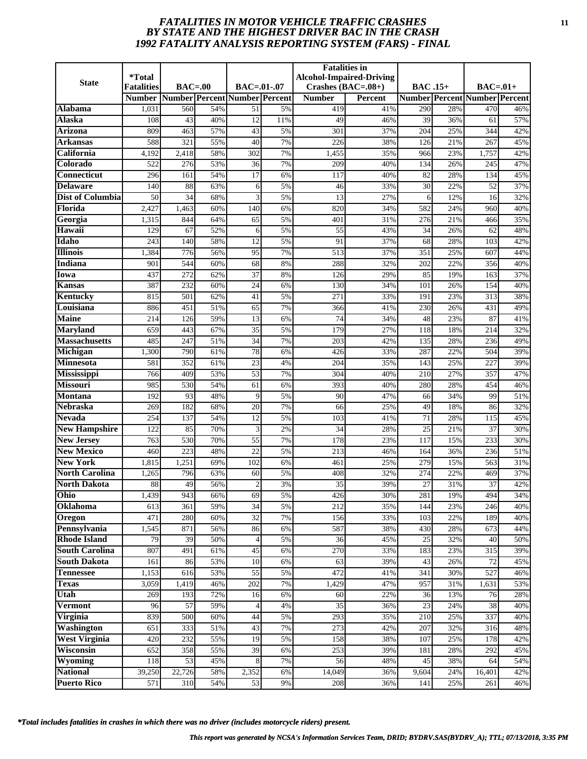# *FATALITIES IN MOTOR VEHICLE TRAFFIC CRASHES* **11** *BY STATE AND THE HIGHEST DRIVER BAC IN THE CRASH 1992 FATALITY ANALYSIS REPORTING SYSTEM (FARS) - FINAL*

|                           | <i><b>*Total</b></i> |                               |            |                 |          | <b>Fatalities in</b> | <b>Alcohol-Impaired-Driving</b> |                 |            |                                      |            |
|---------------------------|----------------------|-------------------------------|------------|-----------------|----------|----------------------|---------------------------------|-----------------|------------|--------------------------------------|------------|
| <b>State</b>              | <b>Fatalities</b>    | $BAC=00$                      |            | $BAC = .01-.07$ |          | Crashes $(BAC=.08+)$ |                                 | <b>BAC</b> .15+ |            | $BAC=01+$                            |            |
|                           | <b>Number</b>        | Number Percent Number Percent |            |                 |          | <b>Number</b>        | <b>Percent</b>                  |                 |            | <b>Number Percent Number Percent</b> |            |
| Alabama                   | 1,031                | 560                           | 54%        | 51              | 5%       | 419                  | 41%                             | 290             | 28%        | 470                                  | 46%        |
| Alaska                    | 108                  | 43                            | 40%        | 12              | 11%      | 49                   | 46%                             | 39              | 36%        | 61                                   | 57%        |
| <b>Arizona</b>            | 809                  | 463                           | 57%        | 43              | 5%       | 301                  | 37%                             | 204             | 25%        | 344                                  | 42%        |
| Arkansas                  | 588                  | 321                           | 55%        | 40              | 7%       | $\overline{226}$     | 38%                             | 126             | 21%        | 267                                  | 45%        |
| California                | 4,192                | 2,418                         | 58%        | 302             | 7%       | 1,455                | 35%                             | 966             | 23%        | 1,757                                | 42%        |
| Colorado                  | 522                  | 276                           | 53%        | 36              | 7%       | 209                  | 40%                             | 134             | 26%        | 245                                  | 47%        |
| <b>Connecticut</b>        | 296                  | 161                           | 54%        | $\overline{17}$ | 6%       | 117                  | 40%                             | 82              | 28%        | 134                                  | 45%        |
| <b>Delaware</b>           | 140                  | 88                            | 63%        | 6               | 5%       | 46                   | 33%                             | 30              | 22%        | 52                                   | 37%        |
| <b>Dist of Columbia</b>   | 50                   | 34                            | 68%        | 3               | 5%       | 13                   | 27%                             | 6               | 12%        | 16                                   | 32%        |
| Florida                   | 2,427                | 1,463                         | 60%        | 140             | 6%       | 820                  | 34%                             | 582             | 24%        | 960                                  | 40%        |
| Georgia                   | 1,315                | 844                           | 64%        | 65              | 5%       | 401                  | 31%                             | 276             | 21%        | 466                                  | 35%        |
| Hawaii                    | 129                  | 67                            | 52%        | 6               | 5%       | 55                   | 43%                             | 34              | 26%        | 62                                   | 48%        |
| Idaho                     | 243                  | 140                           | 58%        | 12              | 5%       | 91                   | 37%                             | 68              | 28%        | 103                                  | 42%        |
| <b>Illinois</b>           | 1,384                | 776                           | 56%        | 95              | 7%       | 513                  | 37%                             | 351             | 25%        | 607                                  | 44%        |
| <b>Indiana</b>            | 901                  | 544                           | 60%        | 68              | 8%       | 288                  | 32%                             | 202             | 22%        | 356                                  | 40%        |
| Iowa                      | 437                  | 272                           | 62%        | 37<br>24        | 8%       | 126                  | 29%                             | 85              | 19%        | 163                                  | 37%        |
| Kansas<br><b>Kentucky</b> | 387<br>815           | 232<br>501                    | 60%<br>62% | 41              | 6%<br>5% | 130<br>271           | 34%<br>33%                      | 101<br>191      | 26%<br>23% | 154<br>313                           | 40%<br>38% |
| Louisiana                 | 886                  | 451                           | 51%        | 65              | 7%       | 366                  | 41%                             | 230             | 26%        | 431                                  | 49%        |
| <b>Maine</b>              | 214                  | 126                           | 59%        | 13              | 6%       | 74                   | 34%                             | 48              | 23%        | 87                                   | 41%        |
| <b>Maryland</b>           | 659                  | 443                           | 67%        | 35              | 5%       | 179                  | 27%                             | 118             | 18%        | 214                                  | 32%        |
| <b>Massachusetts</b>      | 485                  | 247                           | 51%        | $\overline{34}$ | 7%       | 203                  | 42%                             | 135             | 28%        | 236                                  | 49%        |
| Michigan                  | 1,300                | 790                           | 61%        | 78              | 6%       | 426                  | 33%                             | 287             | 22%        | 504                                  | 39%        |
| <b>Minnesota</b>          | 581                  | 352                           | 61%        | 23              | 4%       | 204                  | 35%                             | 143             | 25%        | 227                                  | 39%        |
| <b>Mississippi</b>        | 766                  | 409                           | 53%        | $\overline{53}$ | 7%       | 304                  | 40%                             | 210             | 27%        | 357                                  | 47%        |
| <b>Missouri</b>           | 985                  | 530                           | 54%        | 61              | 6%       | 393                  | 40%                             | 280             | 28%        | 454                                  | 46%        |
| <b>Montana</b>            | 192                  | 93                            | 48%        | 9               | 5%       | 90                   | 47%                             | 66              | 34%        | 99                                   | 51%        |
| <b>Nebraska</b>           | 269                  | 182                           | 68%        | 20              | 7%       | 66                   | 25%                             | 49              | 18%        | 86                                   | 32%        |
| <b>Nevada</b>             | 254                  | 137                           | 54%        | $\overline{12}$ | 5%       | 103                  | 41%                             | 71              | 28%        | 115                                  | 45%        |
| <b>New Hampshire</b>      | 122                  | 85                            | 70%        | 3               | 2%       | 34                   | 28%                             | 25              | 21%        | 37                                   | 30%        |
| <b>New Jersey</b>         | 763                  | 530                           | 70%        | 55              | 7%       | 178                  | 23%                             | 117             | 15%        | 233                                  | 30%        |
| <b>New Mexico</b>         | 460                  | $\overline{223}$              | 48%        | $\overline{22}$ | 5%       | 213                  | 46%                             | 164             | 36%        | 236                                  | 51%        |
| <b>New York</b>           | 1,815                | 1,251                         | 69%        | 102             | 6%       | 461                  | 25%                             | 279             | 15%        | 563                                  | 31%        |
| <b>North Carolina</b>     | 1,265                | 796                           | 63%        | 60              | 5%       | 408                  | 32%                             | 274             | 22%        | 469                                  | 37%        |
| <b>North Dakota</b>       | 88                   | 49                            | 56%        | $\overline{c}$  | 3%       | 35                   | 39%                             | 27              | 31%        | 37                                   | 42%        |
| Ohio                      | 1,439                | 943                           | 66%        | 69              | 5%       | 426                  | 30%                             | 281             | 19%        | 494                                  | 34%        |
| Oklahoma                  | 613                  | 361                           | 59%        | 34              | 5%       | 212                  | 35%                             | 144             | 23%        | 246                                  | 40%        |
| Oregon                    | 471                  | 280                           | 60%        | 32              | 7%       | 156                  | 33%                             | 103             | 22%        | 189                                  | 40%        |
| Pennsylvania              | 1,545                | 871                           | 56%        | 86              | 6%       | 587                  | 38%                             | 430             | 28%        | 673                                  | 44%        |
| <b>Rhode Island</b>       | 79                   | 39                            | 50%        | $\overline{4}$  | 5%       | 36                   | 45%                             | 25              | 32%        | 40                                   | 50%        |
| <b>South Carolina</b>     | 807                  | 491                           | 61%        | 45              | 6%       | 270                  | 33%                             | 183             | 23%        | 315                                  | 39%        |
| <b>South Dakota</b>       | 161                  | 86                            | 53%        | 10              | 6%       | 63                   | 39%                             | 43              | 26%        | 72                                   | 45%        |
| <b>Tennessee</b>          | 1,153                | 616                           | 53%        | 55              | 5%       | 472                  | 41%                             | 341             | 30%        | 527                                  | 46%        |
| <b>Texas</b>              | 3,059                | 1,419                         | 46%        | 202             | 7%       | 1,429                | 47%                             | 957             | 31%        | 1,631                                | 53%        |
| Utah                      | 269                  | 193                           | 72%        | 16              | 6%       | 60                   | 22%                             | 36              | 13%        | 76                                   | 28%        |
| <b>Vermont</b>            | 96                   | 57                            | 59%        |                 | 4%       | $\overline{35}$      | 36%                             | 23              | 24%        | 38                                   | 40%        |
| Virginia                  | 839                  | 500                           | 60%        | 44              | 5%       | 293                  | 35%                             | 210             | 25%        | 337                                  | 40%        |
| <b>Washington</b>         | 651                  | 333                           | 51%        | 43              | 7%       | 273                  | 42%                             | 207             | 32%        | 316                                  | 48%        |
| <b>West Virginia</b>      | 420                  | 232                           | 55%        | 19              | 5%       | 158                  | 38%                             | 107             | 25%        | 178                                  | 42%        |
| Wisconsin                 | 652                  | 358                           | 55%        | 39              | 6%       | 253                  | 39%                             | 181             | 28%        | 292                                  | 45%        |
| Wyoming                   | 118                  | 53                            | 45%        | 8               | 7%       | 56                   | 48%                             | 45              | 38%        | 64                                   | 54%        |
| <b>National</b>           | 39,250               | 22,726                        | 58%        | 2,352           | 6%       | 14,049               | 36%                             | 9,604           | 24%        | 16,401                               | 42%        |
| <b>Puerto Rico</b>        | 571                  | 310                           | 54%        | 53              | 9%       | 208                  | 36%                             | 141             | 25%        | 261                                  | 46%        |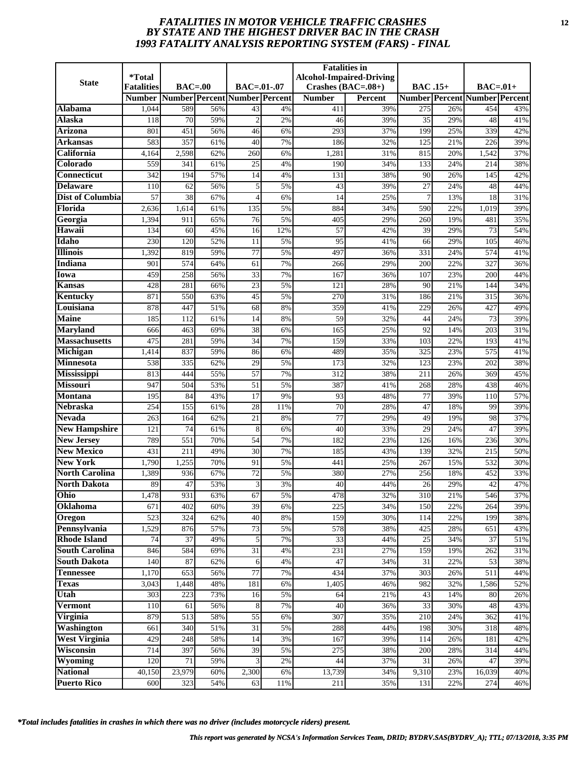# *FATALITIES IN MOTOR VEHICLE TRAFFIC CRASHES* **12** *BY STATE AND THE HIGHEST DRIVER BAC IN THE CRASH 1993 FATALITY ANALYSIS REPORTING SYSTEM (FARS) - FINAL*

| <b>State</b>                          | <i><b>*Total</b></i> |                  |            |                               |          | <b>Fatalities in</b> | <b>Alcohol-Impaired-Driving</b> |                 |            |                                      |            |
|---------------------------------------|----------------------|------------------|------------|-------------------------------|----------|----------------------|---------------------------------|-----------------|------------|--------------------------------------|------------|
|                                       | <b>Fatalities</b>    | $BAC=00$         |            | $BAC = .01-.07$               |          | Crashes $(BAC=.08+)$ |                                 | <b>BAC</b> .15+ |            | $BAC=01+$                            |            |
|                                       | <b>Number</b>        |                  |            | Number Percent Number Percent |          | <b>Number</b>        | <b>Percent</b>                  |                 |            | <b>Number Percent Number Percent</b> |            |
| Alabama<br>Alaska                     | 1,044<br>118         | 589<br>70        | 56%<br>59% | 43<br>$\overline{2}$          | 4%<br>2% | 411<br>46            | 39%<br>39%                      | 275<br>35       | 26%<br>29% | 454<br>48                            | 43%<br>41% |
| <b>Arizona</b>                        | 801                  | 451              | 56%        | 46                            | 6%       | 293                  | 37%                             | 199             | 25%        | 339                                  | 42%        |
| Arkansas                              | 583                  | 357              | 61%        | 40                            | 7%       | 186                  | 32%                             | 125             | 21%        | 226                                  | 39%        |
| California                            | 4,164                | 2,598            | 62%        | 260                           | 6%       | 1,281                | 31%                             | 815             | 20%        | 1,542                                | 37%        |
| Colorado                              | 559                  | 341              | 61%        | 25                            | 4%       | 190                  | 34%                             | 133             | 24%        | 214                                  | 38%        |
| <b>Connecticut</b>                    | 342                  | 194              | 57%        | 14                            | 4%       | 131                  | 38%                             | 90              | 26%        | 145                                  | 42%        |
| <b>Delaware</b>                       | 110                  | 62               | 56%        | 5                             | 5%       | 43                   | 39%                             | 27              | 24%        | 48                                   | 44%        |
| <b>Dist of Columbia</b>               | 57                   | 38               | 67%        | 4                             | 6%       | 14                   | 25%                             | $\overline{7}$  | 13%        | 18                                   | 31%        |
| Florida                               | 2,636                | 1,614            | 61%        | 135                           | 5%       | 884                  | 34%                             | 590             | 22%        | 1,019                                | 39%        |
| Georgia                               | 1,394                | 911              | 65%        | 76                            | 5%       | 405                  | 29%                             | 260             | 19%        | 481                                  | 35%        |
| Hawaii                                | 134                  | 60               | 45%        | 16                            | 12%      | 57                   | 42%                             | 39              | 29%        | 73                                   | 54%        |
| Idaho                                 | 230                  | 120              | 52%        | 11                            | 5%       | 95                   | 41%                             | 66              | 29%        | 105                                  | 46%        |
| <b>Illinois</b>                       | 1,392                | 819              | 59%        | 77                            | 5%       | 497                  | 36%                             | 331             | 24%        | 574                                  | 41%        |
| <b>Indiana</b>                        | 901                  | 574              | 64%        | 61                            | 7%       | 266                  | 29%                             | 200             | 22%        | 327                                  | 36%        |
| Iowa                                  | 459                  | 258              | 56%        | 33                            | 7%       | 167                  | 36%                             | 107             | 23%        | 200                                  | 44%        |
| Kansas                                | 428                  | 281              | 66%        | 23                            | 5%       | 121                  | 28%                             | 90              | 21%        | 144                                  | 34%        |
| Kentucky                              | 871                  | 550              | 63%        | 45                            | 5%       | 270                  | 31%                             | 186             | 21%        | 315                                  | 36%        |
| Louisiana                             | 878                  | 447              | 51%        | 68                            | 8%       | 359                  | 41%                             | 229             | 26%        | 427                                  | 49%        |
| <b>Maine</b>                          | 185                  | 112              | 61%        | 14                            | 8%       | 59                   | 32%                             | 44              | 24%        | 73                                   | 39%        |
| <b>Maryland</b>                       | 666                  | 463              | 69%        | 38                            | 6%       | 165                  | 25%                             | 92              | 14%        | 203                                  | 31%        |
| <b>Massachusetts</b>                  | 475                  | 281              | 59%        | $\overline{34}$               | 7%       | 159                  | 33%                             | 103             | 22%        | 193                                  | 41%        |
| Michigan                              | 1,414                | 837              | 59%        | 86                            | 6%       | 489                  | 35%                             | 325             | 23%        | 575                                  | 41%        |
| <b>Minnesota</b>                      | 538                  | 335              | 62%        | 29                            | 5%       | 173                  | 32%                             | 123             | 23%        | 202                                  | 38%        |
| <b>Mississippi</b>                    | 813                  | 444              | 55%        | $\overline{57}$               | 7%       | 312                  | 38%                             | 211             | 26%        | 369                                  | 45%        |
| <b>Missouri</b>                       | 947                  | 504              | 53%        | 51                            | 5%       | 387                  | 41%                             | 268             | 28%        | 438                                  | 46%        |
| <b>Montana</b>                        | 195                  | 84               | 43%        | 17                            | 9%       | 93                   | 48%                             | 77              | 39%        | 110                                  | 57%        |
| <b>Nebraska</b>                       | 254                  | 155              | 61%        | 28                            | 11%      | 70                   | 28%                             | 47              | 18%        | 99                                   | 39%        |
| <b>Nevada</b><br><b>New Hampshire</b> | 263                  | 164              | 62%        | $\overline{21}$               | 8%       | 77                   | 29%                             | 49              | 19%        | 98<br>47                             | 37%        |
| <b>New Jersey</b>                     | 121<br>789           | 74<br>551        | 61%<br>70% | 8<br>54                       | 6%<br>7% | 40<br>182            | 33%<br>23%                      | 29<br>126       | 24%<br>16% | 236                                  | 39%<br>30% |
| <b>New Mexico</b>                     | 431                  | $\overline{211}$ | 49%        | $\overline{30}$               | 7%       | 185                  | 43%                             | 139             | 32%        | 215                                  | 50%        |
| <b>New York</b>                       | 1,790                | 1,255            | 70%        | 91                            | 5%       | 441                  | 25%                             | 267             | 15%        | 532                                  | 30%        |
| <b>North Carolina</b>                 | 1,389                | 936              | 67%        | 72                            | 5%       | 380                  | 27%                             | 256             | 18%        | 452                                  | 33%        |
| <b>North Dakota</b>                   | 89                   | 47               | 53%        | 3                             | 3%       | 40                   | 44%                             | 26              | 29%        | 42                                   | 47%        |
| Ohio                                  | 1,478                | 931              | 63%        | 67                            | 5%       | 478                  | 32%                             | 310             | 21%        | 546                                  | 37%        |
| Oklahoma                              | 671                  | 402              | 60%        | 39                            | 6%       | 225                  | 34%                             | 150             | 22%        | 264                                  | 39%        |
| Oregon                                | 523                  | 324              | 62%        | 40                            | $8\%$    | 159                  | 30%                             | 114             | 22%        | 199                                  | 38%        |
| Pennsylvania                          | 1,529                | 876              | 57%        | 73                            | 5%       | 578                  | 38%                             | 425             | 28%        | 651                                  | 43%        |
| <b>Rhode Island</b>                   | 74                   | 37               | 49%        | 5                             | 7%       | 33                   | 44%                             | 25              | 34%        | 37                                   | 51%        |
| <b>South Carolina</b>                 | 846                  | 584              | 69%        | 31                            | 4%       | 231                  | 27%                             | 159             | 19%        | 262                                  | 31%        |
| <b>South Dakota</b>                   | 140                  | 87               | 62%        | 6                             | 4%       | 47                   | 34%                             | 31              | 22%        | 53                                   | 38%        |
| <b>Tennessee</b>                      | 1,170                | 653              | 56%        | 77                            | 7%       | 434                  | 37%                             | 303             | 26%        | 511                                  | 44%        |
| <b>Texas</b>                          | 3,043                | 1,448            | 48%        | 181                           | 6%       | 1,405                | 46%                             | 982             | 32%        | 1,586                                | 52%        |
| Utah                                  | 303                  | 223              | 73%        | 16                            | 5%       | 64                   | $\overline{21}\%$               | 43              | 14%        | 80                                   | 26%        |
| <b>Vermont</b>                        | 110                  | 61               | 56%        | 8                             | 7%       | 40                   | 36%                             | 33              | 30%        | 48                                   | 43%        |
| Virginia                              | 879                  | 513              | 58%        | 55                            | 6%       | 307                  | 35%                             | 210             | 24%        | 362                                  | 41%        |
| <b>Washington</b>                     | 661                  | 340              | 51%        | 31                            | 5%       | 288                  | 44%                             | 198             | 30%        | 318                                  | 48%        |
| <b>West Virginia</b>                  | 429                  | 248              | 58%        | 14                            | 3%       | 167                  | 39%                             | 114             | 26%        | 181                                  | 42%        |
| Wisconsin                             | 714                  | 397              | 56%        | 39                            | 5%       | 275                  | 38%                             | 200             | 28%        | 314                                  | 44%        |
| Wyoming                               | 120                  | 71               | 59%        |                               | 2%       | 44                   | 37%                             | 31              | 26%        | 47                                   | 39%        |
| <b>National</b>                       | 40,150               | 23,979           | 60%        | 2,300                         | 6%       | 13,739               | 34%                             | 9,310           | 23%        | 16,039                               | 40%        |
| <b>Puerto Rico</b>                    | 600                  | 323              | 54%        | 63                            | 11%      | 211                  | 35%                             | 131             | 22%        | 274                                  | 46%        |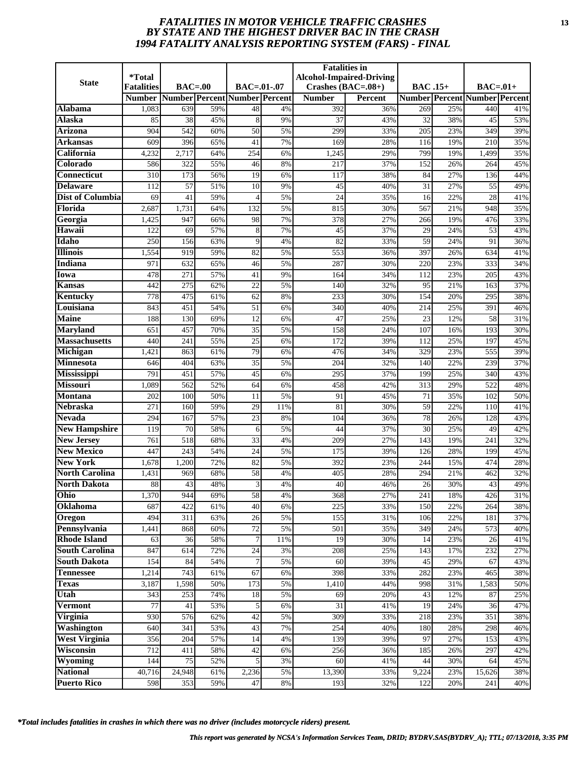# *FATALITIES IN MOTOR VEHICLE TRAFFIC CRASHES* **13** *BY STATE AND THE HIGHEST DRIVER BAC IN THE CRASH 1994 FATALITY ANALYSIS REPORTING SYSTEM (FARS) - FINAL*

| <b>State</b>                           | <i>*</i> Total<br><b>Fatalities</b> | $BAC=00$                |            | BAC=.01-.07                   |          | <b>Fatalities</b> in<br>Crashes $(BAC=.08+)$ | <b>Alcohol-Impaired-Driving</b> | <b>BAC</b> .15+ |            | $BAC=.01+$                           |            |
|----------------------------------------|-------------------------------------|-------------------------|------------|-------------------------------|----------|----------------------------------------------|---------------------------------|-----------------|------------|--------------------------------------|------------|
|                                        | <b>Number</b>                       |                         |            | Number Percent Number Percent |          | <b>Number</b>                                | Percent                         |                 |            | <b>Number Percent Number Percent</b> |            |
| Alabama                                | 1,083                               | 639                     | 59%        | 48                            | 4%       | 392                                          | 36%                             | 269             | 25%        | 440                                  | 41%        |
| <b>Alaska</b>                          | 85                                  | 38                      | 45%        | 8                             | 9%       | 37                                           | 43%                             | 32              | 38%        | 45                                   | 53%        |
| Arizona                                | 904                                 | 542                     | 60%        | 50                            | 5%       | 299                                          | 33%                             | 205             | 23%        | 349                                  | 39%        |
| Arkansas                               | 609                                 | 396                     | 65%        | 41                            | 7%       | 169                                          | 28%                             | 116             | 19%        | 210                                  | 35%        |
| California                             | 4,232                               | 2,717                   | 64%        | 254                           | 6%       | 1,245                                        | 29%                             | 799             | 19%        | 1,499                                | 35%        |
| Colorado                               | 586                                 | 322                     | 55%        | 46                            | 8%       | 217                                          | 37%                             | 152             | 26%        | 264                                  | 45%        |
| <b>Connecticut</b>                     | 310                                 | 173                     | 56%        | $\overline{19}$               | 6%       | 117                                          | 38%                             | 84              | 27%        | 136                                  | 44%        |
| <b>Delaware</b>                        | 112                                 | 57                      | 51%        | 10                            | 9%       | 45                                           | 40%                             | 31              | 27%        | 55                                   | 49%        |
| <b>Dist of Columbia</b>                | 69                                  | 41                      | 59%        | $\overline{4}$                | 5%       | 24                                           | 35%                             | 16              | 22%        | 28                                   | 41%        |
| Florida                                | 2,687                               | 1,731                   | 64%        | 132                           | 5%       | 815                                          | 30%                             | 567             | 21%        | 948                                  | 35%        |
| Georgia                                | 1,425                               | 947                     | 66%        | 98                            | 7%       | 378                                          | 27%                             | 266             | 19%        | 476                                  | 33%        |
| Hawaii                                 | 122                                 | 69                      | 57%        | 8                             | 7%       | 45                                           | 37%                             | 29              | 24%        | 53                                   | 43%        |
| Idaho                                  | 250                                 | 156                     | 63%        | 9                             | 4%       | 82                                           | 33%                             | 59              | 24%        | 91                                   | 36%        |
| <b>Illinois</b>                        | 1,554                               | 919                     | 59%        | 82                            | 5%       | 553                                          | 36%                             | 397             | 26%        | 634                                  | 41%        |
| <b>Indiana</b>                         | 971                                 | 632                     | 65%        | 46                            | 5%       | 287                                          | 30%                             | 220             | 23%        | 333                                  | 34%        |
| Iowa                                   | 478                                 | 271                     | 57%        | 41                            | 9%       | 164                                          | 34%                             | 112             | 23%        | 205                                  | 43%        |
| <b>Kansas</b>                          | 442                                 | 275                     | 62%        | 22                            | 5%       | 140                                          | 32%                             | 95              | 21%        | 163                                  | 37%        |
| Kentucky                               | 778                                 | 475                     | 61%        | 62                            | 8%       | 233                                          | 30%                             | 154             | 20%        | 295                                  | 38%        |
| Louisiana                              | 843                                 | 451                     | 54%        | 51                            | 6%       | 340                                          | 40%                             | 214             | 25%        | 391                                  | 46%        |
| <b>Maine</b>                           | 188                                 | 130                     | 69%        | 12                            | 6%       | 47                                           | 25%                             | 23              | 12%        | 58                                   | 31%        |
| <b>Maryland</b>                        | 651                                 | 457                     | 70%        | $\overline{35}$               | 5%       | 158                                          | 24%                             | 107             | 16%        | 193                                  | 30%        |
| <b>Massachusetts</b>                   | 440                                 | 241                     | 55%        | $\overline{25}$               | 6%       | 172                                          | 39%                             | 112             | 25%        | 197                                  | 45%        |
| Michigan                               | 1,421                               | 863                     | 61%        | 79                            | 6%       | 476                                          | 34%                             | 329             | 23%        | 555                                  | 39%        |
| Minnesota                              | 646                                 | 404                     | 63%        | 35                            | 5%       | 204                                          | 32%                             | 140             | 22%        | 239                                  | 37%        |
| Mississippi                            | 791                                 | 451                     | 57%        | 45                            | 6%       | 295                                          | 37%                             | 199             | 25%        | 340                                  | 43%        |
| <b>Missouri</b>                        | 1,089                               | 562                     | 52%        | 64                            | 6%       | 458                                          | 42%                             | 313             | 29%        | 522                                  | 48%        |
| <b>Montana</b>                         | 202                                 | 100                     | 50%        | 11                            | 5%       | 91                                           | 45%                             | 71              | 35%        | 102                                  | 50%        |
| <b>Nebraska</b>                        | 271                                 | 160                     | 59%        | 29                            | 11%      | 81                                           | 30%                             | 59              | 22%        | 110                                  | 41%        |
| <b>Nevada</b>                          | 294                                 | 167                     | 57%        | 23                            | 8%       | 104                                          | 36%                             | 78              | 26%        | 128                                  | 43%        |
| <b>New Hampshire</b>                   | 119                                 | 70                      | 58%        | 6                             | 5%       | 44                                           | 37%                             | 30              | 25%        | 49                                   | 42%        |
| <b>New Jersey</b><br><b>New Mexico</b> | 761<br>447                          | 518<br>$\overline{243}$ | 68%<br>54% | 33<br>$\overline{24}$         | 4%<br>5% | 209<br>175                                   | 27%<br>39%                      | 143<br>126      | 19%<br>28% | 241<br>199                           | 32%<br>45% |
| <b>New York</b>                        | 1,678                               | 1,200                   | 72%        | 82                            | 5%       | 392                                          | 23%                             | 244             | 15%        | 474                                  | 28%        |
| <b>North Carolina</b>                  | 1,431                               | 969                     | 68%        | 58                            | 4%       | 405                                          | 28%                             | 294             | 21%        | 462                                  | 32%        |
| <b>North Dakota</b>                    | 88                                  | 43                      | 48%        | 3                             | 4%       | 40                                           | 46%                             | 26              | 30%        | 43                                   | 49%        |
| Ohio                                   | 1,370                               | 944                     | 69%        | 58                            | 4%       | 368                                          | 27%                             | 241             | 18%        | 426                                  | 31%        |
| Oklahoma                               | 687                                 | 422                     | 61%        | 40                            | 6%       | 225                                          | 33%                             | 150             | 22%        | 264                                  | 38%        |
| Oregon                                 | 494                                 | 311                     | 63%        | 26                            | 5%       | 155                                          | 31%                             | 106             | 22%        | 181                                  | 37%        |
| Pennsylvania                           | 1,441                               | 868                     | 60%        | $72\,$                        | 5%       | 501                                          | 35%                             | 349             | 24%        | 573                                  | 40%        |
| <b>Rhode Island</b>                    | 63                                  | 36                      | 58%        | $\overline{7}$                | 11%      | 19                                           | 30%                             | 14              | 23%        | 26                                   | 41%        |
| <b>South Carolina</b>                  | 847                                 | 614                     | 72%        | 24                            | 3%       | 208                                          | 25%                             | 143             | 17%        | 232                                  | 27%        |
| <b>South Dakota</b>                    | 154                                 | 84                      | 54%        | 7                             | 5%       | 60                                           | 39%                             | 45              | 29%        | 67                                   | 43%        |
| <b>Tennessee</b>                       | 1,214                               | 743                     | 61%        | 67                            | 6%       | 398                                          | 33%                             | 282             | 23%        | 465                                  | 38%        |
| <b>Texas</b>                           | 3,187                               | 1,598                   | 50%        | 173                           | 5%       | 1,410                                        | 44%                             | 998             | 31%        | 1,583                                | 50%        |
| Utah                                   | 343                                 | 253                     | 74%        | 18                            | 5%       | 69                                           | 20%                             | 43              | 12%        | 87                                   | 25%        |
| <b>Vermont</b>                         | $\overline{77}$                     | 41                      | 53%        | 5                             | 6%       | $\overline{31}$                              | 41%                             | 19              | 24%        | 36                                   | 47%        |
| Virginia                               | 930                                 | 576                     | 62%        | 42                            | 5%       | 309                                          | 33%                             | 218             | 23%        | 351                                  | 38%        |
| Washington                             | 640                                 | 341                     | 53%        | 43                            | 7%       | 254                                          | 40%                             | 180             | 28%        | 298                                  | 46%        |
| <b>West Virginia</b>                   | 356                                 | 204                     | 57%        | 14                            | 4%       | 139                                          | 39%                             | 97              | 27%        | 153                                  | 43%        |
| Wisconsin                              | 712                                 | 411                     | 58%        | 42                            | 6%       | 256                                          | 36%                             | 185             | 26%        | 297                                  | 42%        |
| Wyoming                                | 144                                 | 75                      | 52%        | 5                             | 3%       | 60                                           | 41%                             | 44              | 30%        | 64                                   | 45%        |
| <b>National</b>                        | 40,716                              | 24,948                  | 61%        | 2,236                         | 5%       | 13,390                                       | 33%                             | 9,224           | 23%        | 15,626                               | 38%        |
| <b>Puerto Rico</b>                     | 598                                 | 353                     | 59%        | 47                            | 8%       | 193                                          | 32%                             | 122             | 20%        | 241                                  | 40%        |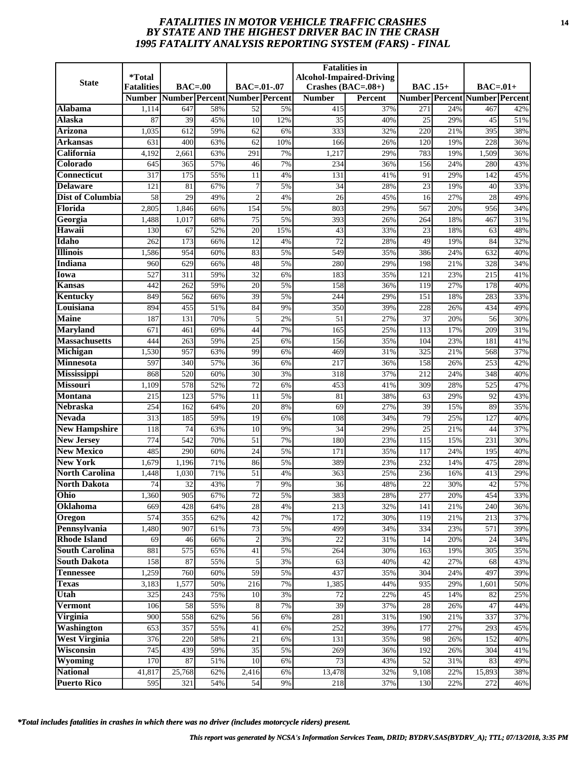# *FATALITIES IN MOTOR VEHICLE TRAFFIC CRASHES* **14** *BY STATE AND THE HIGHEST DRIVER BAC IN THE CRASH 1995 FATALITY ANALYSIS REPORTING SYSTEM (FARS) - FINAL*

|                                   | <i><b>*Total</b></i> |                               |            |                    |          | <b>Fatalities in</b> | <b>Alcohol-Impaired-Driving</b> |                 |            |                                      |            |
|-----------------------------------|----------------------|-------------------------------|------------|--------------------|----------|----------------------|---------------------------------|-----------------|------------|--------------------------------------|------------|
| <b>State</b>                      | <b>Fatalities</b>    | $BAC=00$                      |            | $BAC = .01-.07$    |          | Crashes $(BAC=.08+)$ |                                 | <b>BAC</b> .15+ |            | $BAC=01+$                            |            |
|                                   | <b>Number</b>        | Number Percent Number Percent |            |                    |          | <b>Number</b>        | <b>Percent</b>                  |                 |            | <b>Number Percent Number Percent</b> |            |
| Alabama                           | 1,114                | 647                           | 58%        | 52                 | 5%       | 415                  | 37%                             | 271             | 24%        | 467                                  | 42%        |
| Alaska                            | 87                   | 39                            | 45%        | 10                 | 12%      | 35                   | 40%                             | 25              | 29%        | 45                                   | 51%        |
| <b>Arizona</b>                    | 1,035                | 612                           | 59%        | 62                 | 6%       | 333                  | 32%                             | 220             | 21%        | 395                                  | 38%        |
| Arkansas                          | 631                  | 400                           | 63%        | 62                 | 10%      | 166                  | 26%                             | 120             | 19%        | 228                                  | 36%        |
| California                        | 4,192                | 2,661                         | 63%        | 291                | 7%       | 1,217                | 29%                             | 783             | 19%        | 1,509                                | 36%        |
| Colorado                          | 645                  | 365                           | 57%        | 46                 | 7%       | 234                  | 36%                             | 156             | 24%        | 280                                  | 43%        |
| <b>Connecticut</b>                | 317                  | $\overline{175}$              | 55%        | 11                 | 4%       | 131                  | 41%                             | 91              | 29%        | 142                                  | 45%        |
| <b>Delaware</b>                   | 121                  | 81                            | 67%        | 7                  | 5%       | 34                   | 28%                             | 23              | 19%        | 40                                   | 33%        |
| Dist of Columbia                  | 58                   | 29                            | 49%        | $\overline{c}$     | 4%       | 26                   | 45%                             | 16              | 27%        | 28                                   | 49%        |
| Florida                           | 2,805                | 1,846                         | 66%        | 154                | 5%       | 803                  | 29%                             | 567             | 20%        | 956                                  | 34%        |
| Georgia                           | 1,488                | 1,017                         | 68%        | 75                 | 5%       | 393                  | 26%                             | 264             | 18%        | 467                                  | 31%        |
| Hawaii                            | 130                  | 67                            | 52%        | 20                 | 15%      | 43                   | 33%                             | 23              | 18%        | 63                                   | 48%        |
| Idaho                             | 262                  | 173                           | 66%        | 12                 | 4%       | 72                   | 28%                             | 49              | 19%        | 84                                   | 32%        |
| <b>Illinois</b>                   | 1,586                | 954                           | 60%        | 83                 | 5%       | 549                  | 35%                             | 386             | 24%        | 632                                  | 40%        |
| <b>Indiana</b>                    | 960                  | 629                           | 66%        | 48                 | 5%       | 280                  | 29%                             | 198             | 21%        | 328                                  | 34%        |
| Iowa                              | 527                  | 311                           | 59%        | 32                 | 6%       | 183                  | 35%                             | 121             | 23%        | 215                                  | 41%        |
| Kansas<br><b>Kentucky</b>         | 442<br>849           | 262<br>562                    | 59%<br>66% | 20<br>39           | 5%<br>5% | 158<br>244           | 36%<br>29%                      | 119<br>151      | 27%<br>18% | 178<br>283                           | 40%<br>33% |
| Louisiana                         | 894                  | 455                           | 51%        | 84                 | 9%       | 350                  | 39%                             | 228             | 26%        | 434                                  | 49%        |
| <b>Maine</b>                      | 187                  | 131                           | 70%        | 5                  | 2%       | 51                   | 27%                             | 37              | 20%        | 56                                   | 30%        |
| <b>Maryland</b>                   | 671                  | 461                           | 69%        | 44                 | 7%       | 165                  | 25%                             | 113             | 17%        | 209                                  | 31%        |
| <b>Massachusetts</b>              | 444                  | 263                           | 59%        | $\overline{25}$    | 6%       | 156                  | 35%                             | 104             | 23%        | 181                                  | 41%        |
| Michigan                          | 1,530                | 957                           | 63%        | 99                 | 6%       | 469                  | 31%                             | 325             | 21%        | 568                                  | 37%        |
| <b>Minnesota</b>                  | 597                  | 340                           | 57%        | 36                 | 6%       | 217                  | 36%                             | 158             | 26%        | 253                                  | 42%        |
| <b>Mississippi</b>                | 868                  | 520                           | 60%        | $\overline{30}$    | 3%       | 318                  | 37%                             | 212             | 24%        | 348                                  | 40%        |
| <b>Missouri</b>                   | 1,109                | 578                           | 52%        | 72                 | 6%       | 453                  | 41%                             | 309             | 28%        | 525                                  | 47%        |
| <b>Montana</b>                    | 215                  | 123                           | 57%        | 11                 | 5%       | 81                   | 38%                             | 63              | 29%        | 92                                   | 43%        |
| <b>Nebraska</b>                   | 254                  | 162                           | 64%        | 20                 | 8%       | 69                   | 27%                             | 39              | 15%        | 89                                   | 35%        |
| <b>Nevada</b>                     | 313                  | 185                           | 59%        | $\overline{19}$    | 6%       | 108                  | 34%                             | 79              | 25%        | 127                                  | 40%        |
| <b>New Hampshire</b>              | 118                  | 74                            | 63%        | 10                 | 9%       | 34                   | 29%                             | 25              | 21%        | 44                                   | 37%        |
| <b>New Jersey</b>                 | 774                  | 542                           | 70%        | 51                 | 7%       | 180                  | 23%                             | 115             | 15%        | 231                                  | 30%        |
| <b>New Mexico</b>                 | 485                  | 290                           | 60%        | $\overline{24}$    | 5%       | 171                  | 35%                             | 117             | 24%        | 195                                  | 40%        |
| <b>New York</b>                   | 1,679                | 1,196                         | 71%        | 86                 | 5%       | 389                  | 23%                             | 232             | 14%        | 475                                  | 28%        |
| <b>North Carolina</b>             | 1,448                | 1,030                         | 71%        | 51                 | 4%       | 363                  | 25%                             | 236             | 16%        | 413                                  | 29%        |
| <b>North Dakota</b>               | 74                   | 32                            | 43%        | 7                  | 9%       | 36                   | 48%                             | 22              | 30%        | 42                                   | 57%        |
| Ohio                              | 1,360                | 905                           | 67%        | 72                 | 5%       | 383                  | 28%                             | 277             | 20%        | 454                                  | 33%        |
| Oklahoma                          | 669                  | 428                           | 64%        | 28                 | 4%       | 213                  | 32%                             | 141             | 21%        | 240                                  | 36%        |
| Oregon                            | 574                  | 355                           | 62%        | 42                 | 7%       | 172                  | 30%                             | 119             | 21%        | 213                                  | 37%        |
| Pennsylvania                      | 1,480                | 907                           | 61%        | 73                 | 5%       | 499                  | 34%                             | 334             | 23%        | 571                                  | 39%        |
| <b>Rhode Island</b>               | 69                   | 46                            | 66%        | $\overline{2}$     | 3%       | 22                   | 31%                             | 14              | 20%        | 24                                   | 34%        |
| <b>South Carolina</b>             | 881                  | 575                           | 65%        | 41                 | 5%       | 264                  | 30%                             | 163             | 19%        | 305                                  | 35%        |
| <b>South Dakota</b>               | 158                  | 87                            | 55%        | 5                  | 3%       | 63                   | 40%                             | 42              | 27%        | 68                                   | 43%        |
| <b>Tennessee</b>                  | 1,259                | 760                           | 60%        | 59                 | 5%       | 437                  | 35%                             | 304             | 24%        | 497                                  | 39%        |
| <b>Texas</b>                      | 3,183                | 1,577                         | 50%        | 216                | 7%       | 1,385                | 44%                             | 935             | 29%        | 1,601                                | 50%        |
| Utah                              | 325                  | 243                           | 75%        | 10                 | 3%       | 72                   | 22%                             | 45              | 14%        | 82                                   | 25%        |
| <b>Vermont</b>                    | 106                  | 58                            | 55%        | 8                  | 7%       | 39                   | 37%                             | 28              | 26%        | 47                                   | 44%        |
| Virginia                          | 900                  | 558                           | 62%        | 56                 | 6%       | 281                  | 31%                             | 190             | 21%        | 337                                  | 37%        |
| <b>Washington</b>                 | 653                  | 357                           | 55%        | 41                 | 6%       | 252                  | 39%                             | 177             | 27%        | 293                                  | 45%        |
| <b>West Virginia</b><br>Wisconsin | 376                  | 220<br>439                    | 58%        | 21                 | 6%<br>5% | 131                  | 35%                             | 98              | 26%        | 152                                  | 40%        |
| Wyoming                           | 745<br>170           | 87                            | 59%<br>51% | 35<br>10           | 6%       | 269<br>73            | 36%<br>43%                      | 192<br>52       | 26%<br>31% | 304<br>83                            | 41%<br>49% |
| <b>National</b>                   | 41,817               | 25,768                        | 62%        | $\overline{2,}416$ | 6%       | 13,478               | 32%                             | 9,108           | 22%        | 15,893                               | 38%        |
| <b>Puerto Rico</b>                | 595                  | 321                           | 54%        | 54                 | 9%       | 218                  | 37%                             | 130             | 22%        | 272                                  | 46%        |
|                                   |                      |                               |            |                    |          |                      |                                 |                 |            |                                      |            |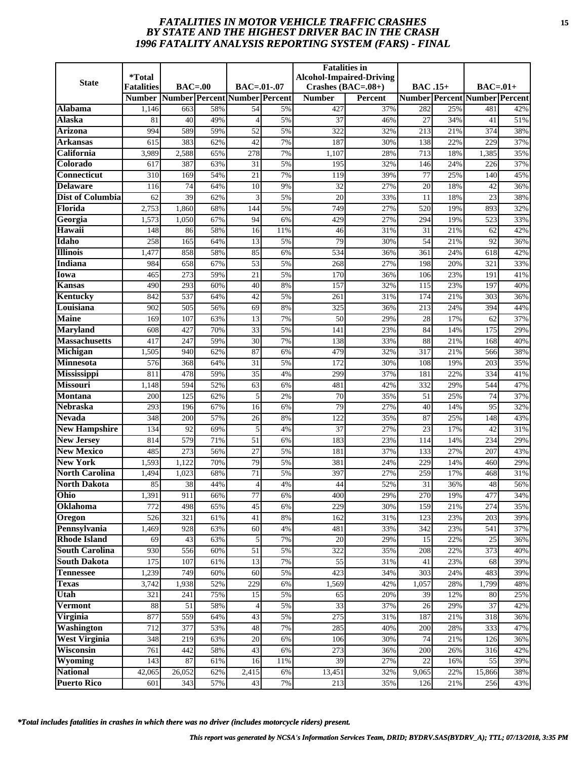# *FATALITIES IN MOTOR VEHICLE TRAFFIC CRASHES* **15** *BY STATE AND THE HIGHEST DRIVER BAC IN THE CRASH 1996 FATALITY ANALYSIS REPORTING SYSTEM (FARS) - FINAL*

| <b>State</b>            | <i><b>*Total</b></i>               | $BAC=00$                      |            | $BAC = .01-.07$    |             | <b>Fatalities in</b>                  | <b>Alcohol-Impaired-Driving</b> |                 |            |                                                   |            |
|-------------------------|------------------------------------|-------------------------------|------------|--------------------|-------------|---------------------------------------|---------------------------------|-----------------|------------|---------------------------------------------------|------------|
|                         | <b>Fatalities</b><br><b>Number</b> | Number Percent Number Percent |            |                    |             | Crashes $(BAC=.08+)$<br><b>Number</b> | <b>Percent</b>                  | <b>BAC</b> .15+ |            | $BAC=01+$<br><b>Number Percent Number Percent</b> |            |
| Alabama                 | 1,146                              | 663                           | 58%        | 54                 | 5%          | 427                                   | 37%                             | 282             | 25%        | 481                                               | 42%        |
| Alaska                  | 81                                 | 40                            | 49%        | $\overline{4}$     | 5%          | 37                                    | 46%                             | 27              | 34%        | 41                                                | 51%        |
| <b>Arizona</b>          | 994                                | 589                           | 59%        | $\overline{52}$    | 5%          | 322                                   | 32%                             | 213             | 21%        | 374                                               | 38%        |
| Arkansas                | 615                                | 383                           | 62%        | $\overline{42}$    | 7%          | 187                                   | 30%                             | 138             | 22%        | 229                                               | 37%        |
| California              | 3,989                              | 2,588                         | 65%        | 278                | 7%          | 1,107                                 | 28%                             | 713             | 18%        | 1,385                                             | 35%        |
| Colorado                | 617                                | 387                           | 63%        | 31                 | 5%          | 195                                   | 32%                             | 146             | 24%        | 226                                               | 37%        |
| <b>Connecticut</b>      | 310                                | 169                           | 54%        | $\overline{21}$    | 7%          | 119                                   | 39%                             | 77              | 25%        | 140                                               | 45%        |
| <b>Delaware</b>         | 116                                | 74                            | 64%        | 10                 | 9%          | 32                                    | 27%                             | 20              | 18%        | 42                                                | 36%        |
| <b>Dist of Columbia</b> | 62                                 | 39                            | 62%        | 3                  | 5%          | 20                                    | 33%                             | 11              | 18%        | 23                                                | 38%        |
| Florida                 | 2,753                              | 1,860                         | 68%        | 144                | 5%          | 749                                   | 27%                             | 520             | 19%        | 893                                               | 32%        |
| Georgia                 | 1,573                              | 1,050                         | 67%        | 94                 | 6%          | 429                                   | 27%                             | 294             | 19%        | 523                                               | 33%        |
| Hawaii                  | 148                                | 86                            | 58%        | 16                 | 11%         | 46                                    | 31%                             | 31              | 21%        | 62                                                | 42%        |
| Idaho                   | 258                                | 165                           | 64%        | 13                 | 5%          | 79                                    | 30%                             | 54              | 21%        | 92                                                | 36%        |
| <b>Illinois</b>         | 1,477                              | 858                           | 58%        | 85                 | 6%          | 534                                   | 36%                             | 361             | 24%        | 618                                               | 42%        |
| <b>Indiana</b>          | 984                                | 658                           | 67%        | 53                 | 5%          | 268                                   | 27%                             | 198             | 20%        | 321                                               | 33%        |
| Iowa                    | 465                                | 273                           | 59%        | 21                 | 5%          | 170                                   | 36%                             | 106             | 23%        | 191                                               | 41%        |
| Kansas                  | 490                                | 293                           | 60%        | 40                 | 8%          | 157                                   | 32%                             | 115             | 23%        | 197                                               | 40%        |
| Kentucky                | 842                                | 537                           | 64%        | 42                 | 5%          | 261                                   | 31%                             | 174             | 21%        | 303                                               | 36%        |
| Louisiana               | 902                                | 505                           | 56%        | 69                 | 8%          | 325                                   | 36%                             | 213             | 24%        | 394                                               | 44%        |
| <b>Maine</b>            | 169                                | 107                           | 63%        | 13                 | 7%          | 50                                    | 29%                             | 28              | 17%        | 62                                                | 37%        |
| <b>Maryland</b>         | 608                                | 427                           | 70%        | 33                 | 5%          | 141                                   | 23%                             | 84              | 14%        | 175                                               | 29%        |
| <b>Massachusetts</b>    | 417                                | 247                           | 59%        | $\overline{30}$    | 7%          | 138                                   | 33%                             | 88              | 21%        | 168                                               | 40%        |
| Michigan                | 1,505                              | 940                           | 62%        | 87                 | 6%          | 479                                   | 32%                             | 317             | 21%        | 566                                               | 38%        |
| <b>Minnesota</b>        | 576                                | 368                           | 64%        | 31                 | 5%          | 172                                   | 30%                             | 108             | 19%        | 203                                               | 35%        |
| <b>Mississippi</b>      | 811                                | 478                           | 59%        | $\overline{35}$    | 4%          | 299                                   | 37%                             | 181             | 22%        | 334                                               | 41%        |
| <b>Missouri</b>         | 1,148                              | 594                           | 52%        | 63                 | 6%          | 481                                   | 42%                             | 332             | 29%        | 544                                               | 47%        |
| <b>Montana</b>          | 200                                | 125                           | 62%        | 5                  | 2%          | 70                                    | 35%                             | 51              | 25%        | 74                                                | 37%        |
| <b>Nebraska</b>         | 293                                | 196                           | 67%        | 16                 | 6%          | 79                                    | 27%                             | 40              | 14%        | 95                                                | 32%        |
| <b>Nevada</b>           | 348                                | 200                           | 57%        | 26                 | 8%          | 122                                   | 35%                             | 87              | 25%        | 148                                               | 43%        |
| <b>New Hampshire</b>    | 134                                | 92                            | 69%        | 5                  | 4%          | 37                                    | 27%                             | 23              | 17%        | 42                                                | 31%        |
| <b>New Jersey</b>       | 814                                | 579                           | 71%        | 51                 | 6%          | 183                                   | 23%                             | 114             | 14%        | 234                                               | 29%        |
| <b>New Mexico</b>       | 485                                | $\overline{273}$              | 56%        | $\overline{27}$    | 5%          | 181                                   | 37%                             | 133             | 27%        | 207                                               | 43%        |
| <b>New York</b>         | 1,593                              | 1,122                         | 70%        | 79                 | 5%          | 381                                   | 24%                             | 229             | 14%        | 460                                               | 29%        |
| <b>North Carolina</b>   | 1,494                              | 1,023                         | 68%        | 71                 | 5%          | 397                                   | 27%                             | 259             | 17%        | 468                                               | 31%        |
| <b>North Dakota</b>     | 85                                 | 38                            | 44%        | 4                  | 4%          | 44                                    | 52%                             | 31              | 36%        | 48                                                | 56%        |
| Ohio                    | 1,391                              | 911                           | 66%        | 77                 | 6%          | 400                                   | 29%                             | 270             | 19%        | 477                                               | 34%        |
| Oklahoma                | 772                                | 498                           | 65%        | 45                 | 6%          | 229                                   | 30%                             | 159             | 21%        | 274                                               | 35%        |
| Oregon<br>Pennsylvania  | 526<br>1,469                       | 321<br>928                    | 61%<br>63% | 41<br>60           | $8\%$<br>4% | 162<br>481                            | 31%<br>33%                      | 123<br>342      | 23%<br>23% | 203<br>541                                        | 39%<br>37% |
| <b>Rhode Island</b>     | 69                                 | 43                            | 63%        | 5                  | 7%          | 20                                    | 29%                             | 15              | 22%        | 25                                                | 36%        |
| <b>South Carolina</b>   | 930                                | 556                           | 60%        | 51                 | 5%          | 322                                   | 35%                             | 208             | 22%        | 373                                               | 40%        |
| <b>South Dakota</b>     | 175                                | 107                           | 61%        | 13                 | 7%          | 55                                    | 31%                             | 41              | 23%        | 68                                                | 39%        |
| <b>Tennessee</b>        | 1,239                              | 749                           | 60%        | 60                 | 5%          | 423                                   | 34%                             | 303             | 24%        | 483                                               | 39%        |
| <b>Texas</b>            | 3,742                              | 1,938                         | 52%        | 229                | 6%          | 1,569                                 | 42%                             | 1,057           | 28%        | 1,799                                             | 48%        |
| Utah                    | 321                                | 241                           | 75%        | 15                 | 5%          | 65                                    | 20%                             | 39              | 12%        | 80                                                | 25%        |
| <b>Vermont</b>          | 88                                 | 51                            | 58%        | $\overline{4}$     | 5%          | $\overline{33}$                       | 37%                             | 26              | 29%        | 37                                                | 42%        |
| Virginia                | 877                                | 559                           | 64%        | 43                 | 5%          | 275                                   | 31%                             | 187             | 21%        | 318                                               | 36%        |
| <b>Washington</b>       | 712                                | 377                           | 53%        | 48                 | 7%          | 285                                   | 40%                             | 200             | 28%        | 333                                               | 47%        |
| <b>West Virginia</b>    | 348                                | 219                           | 63%        | 20                 | 6%          | 106                                   | 30%                             | 74              | 21%        | 126                                               | 36%        |
| Wisconsin               | 761                                | 442                           | 58%        | 43                 | 6%          | 273                                   | 36%                             | 200             | 26%        | 316                                               | 42%        |
| Wyoming                 | 143                                | 87                            | 61%        | 16                 | 11%         | 39                                    | 27%                             | 22              | 16%        | 55                                                | 39%        |
| <b>National</b>         | 42,065                             | 26,052                        | 62%        | $\overline{2,}415$ | 6%          | 13,451                                | 32%                             | 9,065           | 22%        | 15,866                                            | 38%        |
| <b>Puerto Rico</b>      | 601                                | 343                           | 57%        | 43                 | 7%          | 213                                   | 35%                             | 126             | 21%        | 256                                               | 43%        |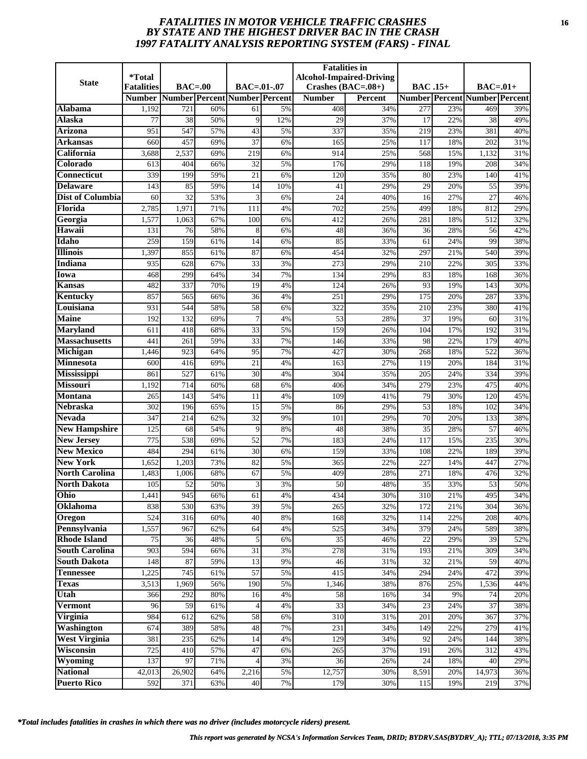# *FATALITIES IN MOTOR VEHICLE TRAFFIC CRASHES* **16** *BY STATE AND THE HIGHEST DRIVER BAC IN THE CRASH 1997 FATALITY ANALYSIS REPORTING SYSTEM (FARS) - FINAL*

| <b>State</b>                          | <i><b>*Total</b></i> |                               |            |                       |          | <b>Fatalities in</b> | <b>Alcohol-Impaired-Driving</b> |                                    |            |                                      |            |
|---------------------------------------|----------------------|-------------------------------|------------|-----------------------|----------|----------------------|---------------------------------|------------------------------------|------------|--------------------------------------|------------|
|                                       | <b>Fatalities</b>    | $BAC=00$                      |            | $BAC = .01-.07$       |          | Crashes $(BAC=.08+)$ |                                 | <b>BAC</b> .15+                    |            | $BAC=01+$                            |            |
|                                       | <b>Number</b>        | Number Percent Number Percent |            |                       |          | <b>Number</b>        | <b>Percent</b>                  |                                    |            | <b>Number Percent Number Percent</b> |            |
| Alabama                               | 1,192                | 721                           | 60%        | 61                    | 5%       | 408                  | 34%                             | 277                                | 23%        | 469                                  | 39%        |
| Alaska                                | 77                   | 38                            | 50%        | 9                     | 12%      | 29                   | 37%                             | 17                                 | 22%        | 38                                   | 49%        |
| <b>Arizona</b>                        | 951                  | 547                           | 57%        | 43                    | 5%       | 337                  | 35%                             | 219                                | 23%        | 381                                  | 40%        |
| Arkansas                              | 660                  | 457                           | 69%        | $\overline{37}$       | 6%       | 165                  | 25%                             | 117                                | 18%        | 202                                  | 31%        |
| California                            | 3,688                | 2,537                         | 69%        | 219                   | 6%       | 914                  | 25%                             | 568                                | 15%        | 1,132                                | 31%        |
| Colorado                              | 613                  | 404                           | 66%        | 32                    | 5%       | 176                  | 29%                             | 118                                | 19%        | 208                                  | 34%        |
| <b>Connecticut</b>                    | 339                  | 199                           | 59%        | $\overline{21}$       | 6%       | 120                  | 35%                             | 80                                 | 23%        | 140                                  | 41%        |
| <b>Delaware</b>                       | 143                  | 85                            | 59%        | 14                    | 10%      | 41                   | 29%                             | 29                                 | 20%        | 55                                   | 39%        |
| Dist of Columbia                      | 60                   | 32                            | 53%        | 3                     | 6%       | 24                   | 40%                             | 16                                 | 27%        | 27                                   | 46%        |
| Florida                               | 2,785                | 1,971                         | 71%        | 111                   | 4%       | 702                  | 25%                             | 499                                | 18%        | 812                                  | 29%        |
| Georgia                               | 1,577                | 1,063                         | 67%        | 100                   | 6%       | 412                  | 26%                             | 281                                | 18%        | 512                                  | 32%        |
| Hawaii                                | 131                  | 76                            | 58%        | 8                     | 6%       | 48                   | 36%                             | 36                                 | 28%        | 56                                   | 42%        |
| Idaho                                 | 259                  | 159                           | 61%        | 14                    | 6%       | 85                   | 33%                             | 61                                 | 24%        | 99                                   | 38%        |
| <b>Illinois</b>                       | 1,397                | 855                           | 61%        | 87                    | 6%       | 454                  | 32%                             | 297                                | 21%        | 540                                  | 39%        |
| <b>Indiana</b>                        | 935                  | 628                           | 67%        | 33                    | 3%       | 273                  | 29%                             | 210                                | 22%        | 305                                  | 33%        |
| Iowa                                  | 468                  | 299                           | 64%        | 34                    | 7%       | 134                  | 29%                             | 83                                 | 18%        | 168                                  | 36%        |
| Kansas                                | 482                  | 337                           | 70%        | 19                    | 4%       | 124                  | 26%                             | 93                                 | 19%        | 143                                  | 30%        |
| <b>Kentucky</b>                       | 857                  | 565                           | 66%        | $\overline{36}$       | 4%       | 251                  | 29%                             | 175                                | 20%        | 287                                  | 33%        |
| Louisiana                             | 931                  | 544                           | 58%        | 58                    | 6%       | 322                  | 35%                             | 210                                | 23%        | 380                                  | 41%        |
| <b>Maine</b>                          | 192                  | 132                           | 69%        | 7                     | 4%       | 53                   | 28%                             | 37                                 | 19%        | 60                                   | 31%        |
| <b>Maryland</b>                       | 611                  | 418                           | 68%        | 33                    | 5%       | 159                  | 26%                             | 104                                | 17%        | 192                                  | 31%        |
| <b>Massachusetts</b>                  | 441                  | $\overline{261}$              | 59%        | 33                    | 7%       | 146                  | 33%                             | 98                                 | 22%        | 179                                  | 40%        |
| Michigan                              | 1,446                | 923                           | 64%        | 95                    | 7%       | 427                  | 30%                             | 268                                | 18%        | 522                                  | 36%        |
| <b>Minnesota</b>                      | 600                  | 416                           | 69%        | 21                    | 4%       | 163                  | 27%                             | 119                                | 20%        | 184                                  | 31%        |
| <b>Mississippi</b>                    | 861                  | 527                           | 61%        | $\overline{30}$       | 4%       | 304                  | 35%                             | 205                                | 24%        | 334                                  | 39%        |
| <b>Missouri</b>                       | 1,192                | 714                           | 60%        | 68                    | 6%       | 406                  | 34%                             | 279                                | 23%        | 475                                  | 40%        |
| <b>Montana</b><br><b>Nebraska</b>     | 265                  | 143                           | 54%        | 11                    | 4%       | 109<br>86            | 41%                             | 79                                 | 30%<br>18% | 120                                  | 45%        |
|                                       | 302                  | 196                           | 65%        | 15<br>$\overline{32}$ | 5%       |                      | 29%                             | $\overline{53}$<br>$\overline{70}$ |            | 102                                  | 34%        |
| <b>Nevada</b><br><b>New Hampshire</b> | 347                  | 214                           | 62%        |                       | 9%       | 101                  | 29%                             |                                    | 20%        | 133                                  | 38%        |
| <b>New Jersey</b>                     | 125<br>775           | 68<br>538                     | 54%<br>69% | 9<br>52               | 8%<br>7% | 48<br>183            | 38%<br>24%                      | 35<br>117                          | 28%<br>15% | 57<br>235                            | 46%<br>30% |
| <b>New Mexico</b>                     | 484                  | 294                           | 61%        | $\overline{30}$       | 6%       | 159                  | 33%                             | 108                                | 22%        | 189                                  | 39%        |
| <b>New York</b>                       | 1,652                | 1,203                         | 73%        | 82                    | 5%       | 365                  | 22%                             | 227                                | 14%        | 447                                  | 27%        |
| <b>North Carolina</b>                 | 1,483                | 1,006                         | 68%        | 67                    | 5%       | 409                  | 28%                             | 271                                | 18%        | 476                                  | 32%        |
| <b>North Dakota</b>                   | 105                  | 52                            | 50%        | 3                     | 3%       | 50                   | 48%                             | 35                                 | 33%        | 53                                   | 50%        |
| Ohio                                  | 1,441                | 945                           | 66%        | 61                    | 4%       | 434                  | 30%                             | 310                                | 21%        | 495                                  | 34%        |
| Oklahoma                              | 838                  | 530                           | 63%        | 39                    | 5%       | 265                  | 32%                             | 172                                | 21%        | 304                                  | 36%        |
| Oregon                                | 524                  | 316                           | 60%        | 40                    | $8\%$    | 168                  | 32%                             | 114                                | 22%        | 208                                  | 40%        |
| Pennsylvania                          | 1,557                | 967                           | 62%        | 64                    | 4%       | 525                  | 34%                             | 379                                | 24%        | 589                                  | 38%        |
| <b>Rhode Island</b>                   | 75                   | 36                            | 48%        | 5                     | 6%       | 35                   | 46%                             | 22                                 | 29%        | 39                                   | 52%        |
| <b>South Carolina</b>                 | 903                  | 594                           | 66%        | 31                    | 3%       | 278                  | 31%                             | 193                                | 21%        | 309                                  | 34%        |
| <b>South Dakota</b>                   | 148                  | 87                            | 59%        | 13                    | 9%       | 46                   | 31%                             | 32                                 | 21%        | 59                                   | 40%        |
| <b>Tennessee</b>                      | 1,225                | 745                           | 61%        | $\overline{57}$       | 5%       | 415                  | 34%                             | 294                                | 24%        | 472                                  | 39%        |
| <b>Texas</b>                          | 3,513                | 1,969                         | 56%        | 190                   | 5%       | 1,346                | 38%                             | 876                                | 25%        | 1,536                                | 44%        |
| Utah                                  | 366                  | 292                           | 80%        | 16                    | 4%       | 58                   | 16%                             | 34                                 | 9%         | 74                                   | 20%        |
| <b>Vermont</b>                        | 96                   | 59                            | 61%        |                       | 4%       | $\overline{33}$      | 34%                             | 23                                 | 24%        | 37                                   | 38%        |
| Virginia                              | 984                  | 612                           | 62%        | 58                    | 6%       | 310                  | 31%                             | 201                                | 20%        | 367                                  | 37%        |
| <b>Washington</b>                     | 674                  | 389                           | 58%        | 48                    | 7%       | 231                  | 34%                             | 149                                | 22%        | 279                                  | 41%        |
| <b>West Virginia</b>                  | 381                  | 235                           | 62%        | 14                    | 4%       | 129                  | 34%                             | 92                                 | 24%        | 144                                  | 38%        |
| Wisconsin                             | 725                  | $\overline{410}$              | 57%        | 47                    | 6%       | 265                  | 37%                             | 191                                | 26%        | 312                                  | 43%        |
| Wyoming                               | 137                  | 97                            | 71%        |                       | 3%       | 36                   | 26%                             | 24                                 | 18%        | 40                                   | 29%        |
| <b>National</b>                       | 42,013               | 26,902                        | 64%        | 2,216                 | 5%       | 12,757               | 30%                             | 8,591                              | 20%        | 14,973                               | 36%        |
| <b>Puerto Rico</b>                    | 592                  | 371                           | 63%        | 40                    | 7%       | 179                  | 30%                             | 115                                | 19%        | 219                                  | 37%        |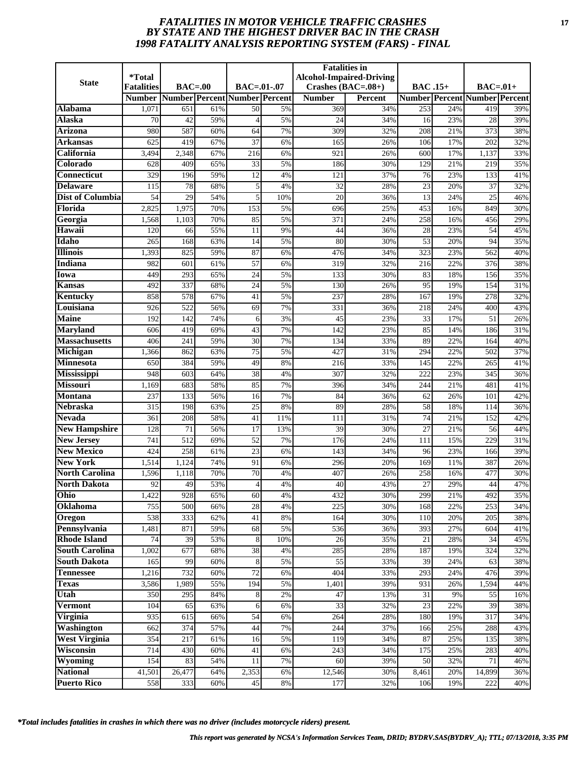# *FATALITIES IN MOTOR VEHICLE TRAFFIC CRASHES* **17** *BY STATE AND THE HIGHEST DRIVER BAC IN THE CRASH 1998 FATALITY ANALYSIS REPORTING SYSTEM (FARS) - FINAL*

| <b>State</b>                           | <i>*Total</i><br><b>Fatalities</b> | $BAC=00$   |            | <b>BAC=.01-.07</b>            |          | <b>Fatalities</b> in<br>Crashes $(BAC=.08+)$ | <b>Alcohol-Impaired-Driving</b> | <b>BAC.15+</b> |            | $BAC=01+$                            |            |
|----------------------------------------|------------------------------------|------------|------------|-------------------------------|----------|----------------------------------------------|---------------------------------|----------------|------------|--------------------------------------|------------|
|                                        | <b>Number</b>                      |            |            | Number Percent Number Percent |          | <b>Number</b>                                | Percent                         |                |            | <b>Number Percent Number Percent</b> |            |
| Alabama                                | 1,071                              | 651        | 61%        | 50                            | 5%       | 369                                          | 34%                             | 253            | 24%        | 419                                  | 39%        |
| Alaska                                 | 70                                 | 42         | 59%        | $\overline{4}$                | 5%       | 24                                           | 34%                             | 16             | 23%        | 28                                   | 39%        |
| Arizona                                | 980                                | 587        | 60%        | 64                            | 7%       | 309                                          | 32%                             | 208            | 21%        | 373                                  | 38%        |
| Arkansas                               | 625                                | 419        | 67%        | 37                            | 6%       | 165                                          | 26%                             | 106            | 17%        | 202                                  | 32%        |
| California                             | 3,494                              | 2,348      | 67%        | 216                           | 6%       | 921                                          | 26%                             | 600            | 17%        | 1,137                                | 33%        |
| Colorado                               | 628                                | 409        | 65%        | 33                            | 5%       | 186                                          | 30%                             | 129            | 21%        | 219                                  | 35%        |
| <b>Connecticut</b>                     | 329                                | 196        | 59%        | 12                            | 4%       | 121                                          | 37%                             | 76             | 23%        | 133                                  | 41%        |
| <b>Delaware</b>                        | 115                                | 78         | 68%        | 5                             | 4%       | 32                                           | 28%                             | 23             | 20%        | 37                                   | 32%        |
| <b>Dist of Columbia</b>                | 54                                 | 29         | 54%        | 5                             | 10%      | 20                                           | 36%                             | 13             | 24%        | 25                                   | 46%        |
| Florida                                | 2,825                              | 1,975      | 70%        | 153                           | 5%       | 696                                          | 25%                             | 453            | 16%        | 849                                  | 30%        |
| Georgia                                | 1,568                              | 1,103      | 70%        | 85                            | 5%       | 371                                          | 24%                             | 258            | 16%        | 456                                  | 29%        |
| Hawaii                                 | 120                                | 66         | 55%        | 11                            | 9%       | 44                                           | 36%                             | 28             | 23%        | 54                                   | 45%        |
| Idaho                                  | 265                                | 168        | 63%        | 14                            | 5%       | 80                                           | 30%                             | 53             | 20%        | 94                                   | 35%        |
| <b>Illinois</b>                        | 1,393                              | 825        | 59%        | 87                            | 6%       | 476                                          | 34%                             | 323            | 23%        | 562                                  | 40%        |
| <b>Indiana</b>                         | 982                                | 601        | 61%        | 57                            | 6%       | 319                                          | 32%                             | 216            | 22%        | 376                                  | 38%        |
| Iowa                                   | 449                                | 293        | 65%        | 24                            | 5%       | 133                                          | 30%                             | 83             | 18%        | 156                                  | 35%        |
| <b>Kansas</b>                          | 492                                | 337        | 68%        | 24                            | 5%       | 130                                          | 26%                             | 95             | 19%        | 154                                  | 31%        |
| Kentucky                               | 858                                | 578        | 67%        | 41                            | 5%       | 237                                          | 28%                             | 167            | 19%        | 278                                  | 32%        |
| Louisiana                              | 926                                | 522        | 56%        | 69                            | 7%       | 331                                          | 36%                             | 218            | 24%        | 400                                  | 43%        |
| <b>Maine</b>                           | 192                                | 142        | 74%        | 6                             | 3%       | 45                                           | 23%                             | 33             | 17%        | 51                                   | 26%        |
| <b>Maryland</b>                        | 606                                | 419        | 69%        | 43                            | 7%       | 142                                          | 23%                             | 85             | 14%        | 186                                  | 31%        |
| <b>Massachusetts</b>                   | 406                                | 241        | 59%        | 30                            | 7%       | 134                                          | 33%                             | 89             | 22%        | 164                                  | 40%        |
| Michigan                               | 1,366                              | 862        | 63%        | 75                            | 5%       | 427                                          | 31%                             | 294            | 22%        | 502                                  | 37%        |
| Minnesota                              | 650                                | 384        | 59%        | 49                            | 8%       | 216                                          | 33%                             | 145            | 22%        | 265                                  | 41%        |
| <b>Mississippi</b>                     | 948                                | 603        | 64%        | 38                            | 4%       | 307                                          | 32%                             | 222            | 23%        | 345                                  | 36%        |
| <b>Missouri</b>                        | 1,169                              | 683        | 58%        | 85                            | 7%       | 396                                          | 34%                             | 244            | 21%        | 481                                  | 41%        |
| <b>Montana</b>                         | 237                                | 133        | 56%        | 16                            | 7%       | 84                                           | 36%                             | 62             | 26%        | 101                                  | 42%        |
| Nebraska                               | 315                                | 198        | 63%        | 25                            | 8%       | 89                                           | 28%                             | 58             | 18%        | 114                                  | 36%        |
| <b>Nevada</b>                          | 361                                | 208        | 58%        | 41                            | 11%      | 111                                          | 31%                             | 74             | 21%        | 152                                  | 42%        |
| <b>New Hampshire</b>                   | 128                                | 71         | 56%        | 17                            | 13%      | 39                                           | 30%                             | 27             | 21%        | 56                                   | 44%        |
| <b>New Jersey</b><br><b>New Mexico</b> | 741<br>424                         | 512<br>258 | 69%<br>61% | 52<br>23                      | 7%       | 176<br>143                                   | 24%<br>34%                      | 111<br>96      | 15%<br>23% | 229                                  | 31%<br>39% |
| <b>New York</b>                        | 1,514                              | 1,124      | 74%        | 91                            | 6%<br>6% | 296                                          | 20%                             | 169            | 11%        | 166<br>387                           | 26%        |
| <b>North Carolina</b>                  | 1,596                              | 1.118      | 70%        | 70                            | 4%       | 407                                          | 26%                             | 258            | 16%        | 477                                  | 30%        |
| <b>North Dakota</b>                    | 92                                 | 49         | 53%        | 4                             | 4%       | 40                                           | 43%                             | 27             | 29%        | 44                                   | 47%        |
| Ohio                                   | 1,422                              | 928        | 65%        | 60                            | 4%       | 432                                          | 30%                             | 299            | 21%        | 492                                  | 35%        |
| Oklahoma                               | 755                                | 500        | 66%        | 28                            | 4%       | $\overline{225}$                             | 30%                             | 168            | 22%        | 253                                  | 34%        |
| Oregon                                 | 538                                | 333        | 62%        | 41                            | 8%       | 164                                          | 30%                             | 110            | 20%        | 205                                  | 38%        |
| Pennsylvania                           | 1,481                              | 871        | 59%        | 68                            | 5%       | 536                                          | 36%                             | 393            | 27%        | 604                                  | 41%        |
| <b>Rhode Island</b>                    | 74                                 | 39         | 53%        | 8                             | 10%      | $26\,$                                       | 35%                             | 21             | 28%        | 34                                   | 45%        |
| <b>South Carolina</b>                  | 1,002                              | 677        | 68%        | 38                            | 4%       | 285                                          | 28%                             | 187            | 19%        | 324                                  | 32%        |
| <b>South Dakota</b>                    | 165                                | 99         | 60%        | 8                             | 5%       | 55                                           | 33%                             | 39             | 24%        | 63                                   | 38%        |
| <b>Tennessee</b>                       | 1,216                              | 732        | 60%        | $\overline{72}$               | 6%       | 404                                          | 33%                             | 293            | 24%        | 476                                  | 39%        |
| <b>Texas</b>                           | 3,586                              | 1,989      | 55%        | 194                           | 5%       | 1,401                                        | 39%                             | 931            | 26%        | 1,594                                | 44%        |
| Utah                                   | 350                                | 295        | 84%        | 8                             | 2%       | 47                                           | 13%                             | 31             | 9%         | 55                                   | 16%        |
| Vermont                                | 104                                | 65         | 63%        | 6                             | 6%       | $\overline{33}$                              | 32%                             | 23             | 22%        | 39                                   | 38%        |
| Virginia                               | 935                                | 615        | 66%        | 54                            | 6%       | 264                                          | 28%                             | 180            | 19%        | 317                                  | 34%        |
| Washington                             | 662                                | 374        | 57%        | 44                            | 7%       | 244                                          | 37%                             | 166            | 25%        | 288                                  | 43%        |
| <b>West Virginia</b>                   | 354                                | 217        | 61%        | 16                            | 5%       | 119                                          | 34%                             | 87             | 25%        | 135                                  | 38%        |
| <b>Wisconsin</b>                       | 714                                | 430        | 60%        | 41                            | 6%       | 243                                          | 34%                             | 175            | 25%        | 283                                  | 40%        |
| <b>Wyoming</b>                         | 154                                | 83         | 54%        | 11                            | 7%       | 60                                           | 39%                             | 50             | 32%        | 71                                   | 46%        |
| <b>National</b>                        | 41,501                             | 26,477     | 64%        | 2,353                         | 6%       | 12,546                                       | 30%                             | 8,461          | 20%        | 14,899                               | 36%        |
| <b>Puerto Rico</b>                     | 558                                | 333        | 60%        | 45                            | 8%       | 177                                          | 32%                             | 106            | 19%        | 222                                  | 40%        |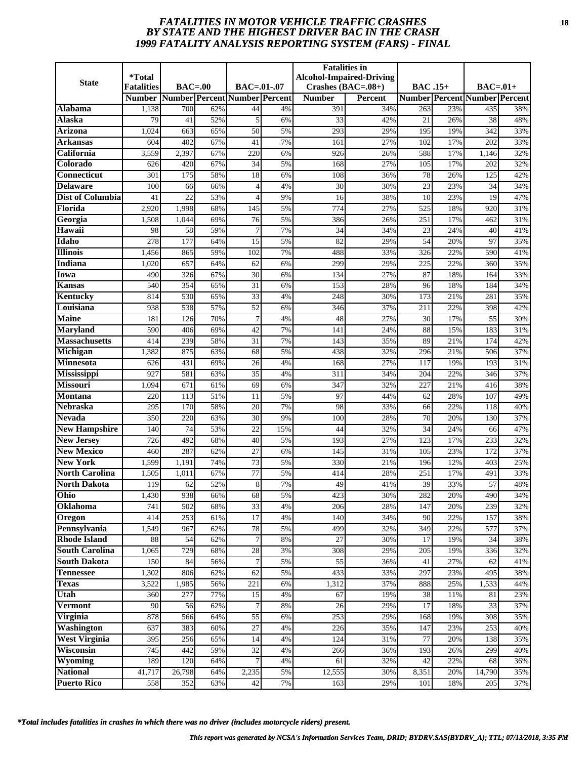# *FATALITIES IN MOTOR VEHICLE TRAFFIC CRASHES* **18** *BY STATE AND THE HIGHEST DRIVER BAC IN THE CRASH 1999 FATALITY ANALYSIS REPORTING SYSTEM (FARS) - FINAL*

| <b>State</b>                           | <i><b>*Total</b></i><br><b>Fatalities</b> | $BAC=00$                      |            | $BAC = .01-.07$       |          | <b>Fatalities in</b>                  | <b>Alcohol-Impaired-Driving</b> |                 |            |                                                   |            |
|----------------------------------------|-------------------------------------------|-------------------------------|------------|-----------------------|----------|---------------------------------------|---------------------------------|-----------------|------------|---------------------------------------------------|------------|
|                                        | <b>Number</b>                             | Number Percent Number Percent |            |                       |          | Crashes $(BAC=.08+)$<br><b>Number</b> | <b>Percent</b>                  | <b>BAC</b> .15+ |            | $BAC=01+$<br><b>Number Percent Number Percent</b> |            |
| Alabama                                | 1,138                                     | 700                           | 62%        | 44                    | 4%       | 391                                   | 34%                             | 263             | 23%        | 435                                               | 38%        |
| Alaska                                 | 79                                        | 41                            | 52%        | 5                     | 6%       | 33                                    | 42%                             | 21              | 26%        | 38                                                | 48%        |
| <b>Arizona</b>                         | 1,024                                     | 663                           | 65%        | $\overline{50}$       | 5%       | 293                                   | 29%                             | 195             | 19%        | 342                                               | 33%        |
| Arkansas                               | 604                                       | 402                           | 67%        | 41                    | 7%       | 161                                   | 27%                             | 102             | 17%        | 202                                               | 33%        |
| California                             | 3,559                                     | 2,397                         | 67%        | 220                   | 6%       | 926                                   | 26%                             | 588             | 17%        | 1,146                                             | 32%        |
| Colorado                               | 626                                       | 420                           | 67%        | 34                    | 5%       | 168                                   | 27%                             | 105             | 17%        | 202                                               | 32%        |
| <b>Connecticut</b>                     | 301                                       | 175                           | 58%        | 18                    | 6%       | 108                                   | 36%                             | $\overline{78}$ | 26%        | 125                                               | 42%        |
| <b>Delaware</b>                        | 100                                       | 66                            | 66%        | 4                     | 4%       | 30                                    | 30%                             | 23              | 23%        | 34                                                | 34%        |
| <b>Dist of Columbia</b>                | 41                                        | 22                            | 53%        |                       | 9%       | 16                                    | 38%                             | 10              | 23%        | 19                                                | 47%        |
| Florida                                | 2,920                                     | 1,998                         | 68%        | 145                   | 5%       | 774                                   | 27%                             | 525             | 18%        | 920                                               | 31%        |
| Georgia                                | 1,508                                     | 1,044                         | 69%        | 76                    | 5%       | 386                                   | 26%                             | 251             | 17%        | 462                                               | 31%        |
| Hawaii                                 | 98                                        | 58                            | 59%        | $\overline{7}$        | 7%       | 34                                    | 34%                             | 23              | 24%        | 40                                                | 41%        |
| Idaho                                  | 278                                       | 177                           | 64%        | 15                    | 5%       | 82                                    | 29%                             | 54              | 20%        | 97                                                | 35%        |
| <b>Illinois</b>                        | 1,456                                     | 865                           | 59%        | 102                   | 7%       | 488                                   | 33%                             | 326             | 22%        | 590                                               | 41%        |
| Indiana                                | 1,020                                     | 657                           | 64%        | 62                    | 6%       | 299                                   | 29%                             | 225             | 22%        | 360                                               | 35%        |
| Iowa                                   | 490                                       | 326                           | 67%        | 30                    | 6%       | 134                                   | 27%                             | 87              | 18%        | 164                                               | 33%        |
| Kansas                                 | 540                                       | 354                           | 65%        | 31                    | 6%       | 153                                   | 28%                             | 96              | 18%        | 184                                               | 34%        |
| Kentucky                               | 814                                       | 530                           | 65%        | 33                    | 4%       | 248                                   | 30%                             | 173             | 21%        | 281                                               | 35%        |
| Louisiana                              | 938                                       | 538                           | 57%        | $\overline{52}$       | 6%       | 346                                   | 37%                             | 211             | 22%        | 398                                               | 42%        |
| <b>Maine</b>                           | 181                                       | 126                           | 70%        | 7                     | 4%       | 48                                    | 27%                             | 30              | 17%        | 55                                                | 30%        |
| <b>Maryland</b>                        | 590                                       | 406                           | 69%        | 42                    | 7%       | 141                                   | 24%                             | 88              | 15%        | 183                                               | 31%        |
| <b>Massachusetts</b>                   | 414                                       | 239                           | 58%        | $\overline{31}$       | 7%       | 143                                   | 35%                             | 89              | 21%        | 174                                               | 42%        |
| Michigan                               | 1,382                                     | 875                           | 63%        | 68                    | 5%       | 438                                   | 32%                             | 296             | 21%        | 506                                               | 37%        |
| <b>Minnesota</b>                       | 626                                       | 431                           | 69%        | 26                    | 4%       | 168                                   | 27%                             | 117             | 19%        | 193                                               | 31%        |
| <b>Mississippi</b>                     | 927                                       | 581                           | 63%        | $\overline{35}$       | 4%       | 311                                   | 34%                             | 204             | 22%        | 346                                               | 37%        |
| <b>Missouri</b>                        | 1,094                                     | 671                           | 61%        | 69                    | 6%       | 347                                   | 32%                             | 227             | 21%        | 416                                               | 38%        |
| <b>Montana</b>                         | 220                                       | 113                           | 51%        | 11                    | 5%       | 97                                    | 44%                             | 62              | 28%        | 107                                               | 49%        |
| <b>Nebraska</b>                        | 295                                       | 170                           | 58%        | 20                    | 7%       | 98                                    | 33%                             | 66              | 22%        | 118                                               | 40%        |
| <b>Nevada</b>                          | 350                                       | 220                           | 63%        | 30                    | 9%       | 100                                   | 28%                             | 70              | 20%        | 130                                               | 37%        |
| <b>New Hampshire</b>                   | 140                                       | 74                            | 53%        | 22                    | 15%      | 44                                    | 32%                             | 34              | 24%        | 66                                                | 47%        |
| <b>New Jersey</b><br><b>New Mexico</b> | 726                                       | 492                           | 68%        | 40                    | 5%       | 193                                   | 27%                             | 123             | 17%        | 233                                               | 32%        |
| <b>New York</b>                        | 460<br>1,599                              | 287<br>1,191                  | 62%<br>74% | $\overline{27}$<br>73 | 6%<br>5% | 145<br>330                            | 31%<br>21%                      | 105<br>196      | 23%<br>12% | 172<br>403                                        | 37%<br>25% |
| <b>North Carolina</b>                  | 1,505                                     | 1,011                         | 67%        | 77                    | 5%       | 414                                   | 28%                             | 251             | 17%        | 491                                               | 33%        |
| <b>North Dakota</b>                    | 119                                       | 62                            | 52%        | 8                     | 7%       | 49                                    | 41%                             | 39              | 33%        | 57                                                | 48%        |
| Ohio                                   | 1,430                                     | 938                           | 66%        | 68                    | 5%       | 423                                   | 30%                             | 282             | 20%        | 490                                               | 34%        |
| Oklahoma                               | 741                                       | 502                           | 68%        | $\overline{33}$       | 4%       | 206                                   | 28%                             | 147             | 20%        | 239                                               | 32%        |
| Oregon                                 | 414                                       | 253                           | 61%        | 17                    | 4%       | 140                                   | 34%                             | 90              | 22%        | 157                                               | 38%        |
| Pennsylvania                           | 1,549                                     | 967                           | 62%        | 78                    | 5%       | 499                                   | 32%                             | 349             | 22%        | 577                                               | 37%        |
| <b>Rhode Island</b>                    | 88                                        | 54                            | 62%        | 7                     | 8%       | 27                                    | 30%                             | 17              | 19%        | 34                                                | 38%        |
| <b>South Carolina</b>                  | 1,065                                     | 729                           | 68%        | 28                    | 3%       | 308                                   | 29%                             | 205             | 19%        | 336                                               | 32%        |
| <b>South Dakota</b>                    | 150                                       | 84                            | 56%        | $\overline{7}$        | 5%       | 55                                    | 36%                             | 41              | 27%        | 62                                                | 41%        |
| <b>Tennessee</b>                       | 1,302                                     | 806                           | 62%        | 62                    | 5%       | 433                                   | 33%                             | 297             | 23%        | 495                                               | 38%        |
| <b>Texas</b>                           | 3,522                                     | 1,985                         | 56%        | 221                   | 6%       | 1,312                                 | 37%                             | 888             | 25%        | 1,533                                             | 44%        |
| Utah                                   | 360                                       | 277                           | 77%        | 15                    | 4%       | 67                                    | 19%                             | 38              | 11%        | 81                                                | 23%        |
| <b>Vermont</b>                         | 90                                        | 56                            | 62%        | 7                     | 8%       | 26                                    | 29%                             | 17              | 18%        | 33                                                | 37%        |
| Virginia                               | 878                                       | 566                           | 64%        | 55                    | 6%       | 253                                   | 29%                             | 168             | 19%        | 308                                               | 35%        |
| <b>Washington</b>                      | 637                                       | 383                           | 60%        | 27                    | 4%       | 226                                   | 35%                             | 147             | 23%        | 253                                               | 40%        |
| <b>West Virginia</b>                   | 395                                       | 256                           | 65%        | 14                    | 4%       | 124                                   | 31%                             | 77              | 20%        | 138                                               | 35%        |
| Wisconsin                              | 745                                       | 442                           | 59%        | 32                    | 4%       | 266                                   | 36%                             | 193             | 26%        | 299                                               | 40%        |
| Wyoming                                | 189                                       | 120                           | 64%        |                       | 4%       | 61                                    | 32%                             | 42              | 22%        | 68                                                | 36%        |
| <b>National</b>                        | 41,717                                    | 26,798                        | 64%        | 2,235                 | 5%       | 12,555                                | 30%                             | 8,351           | 20%        | $\overline{14,790}$                               | 35%        |
| <b>Puerto Rico</b>                     | 558                                       | 352                           | 63%        | 42                    | 7%       | 163                                   | 29%                             | 101             | 18%        | 205                                               | 37%        |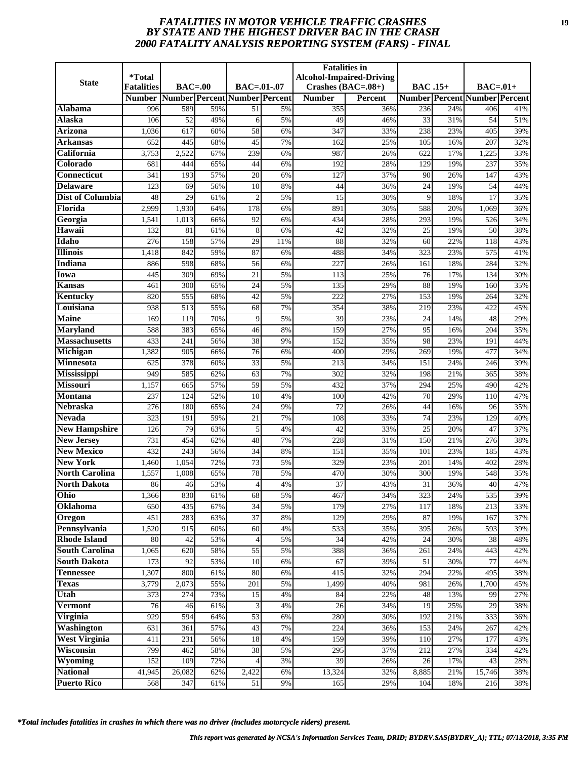# *FATALITIES IN MOTOR VEHICLE TRAFFIC CRASHES* **19** *BY STATE AND THE HIGHEST DRIVER BAC IN THE CRASH 2000 FATALITY ANALYSIS REPORTING SYSTEM (FARS) - FINAL*

| <b>State</b>                          | <i><b>*Total</b></i> |                               |            |                 |          | <b>Fatalities in</b> | <b>Alcohol-Impaired-Driving</b> |                  |            |                                      |            |
|---------------------------------------|----------------------|-------------------------------|------------|-----------------|----------|----------------------|---------------------------------|------------------|------------|--------------------------------------|------------|
|                                       | <b>Fatalities</b>    | $BAC=00$                      |            | $BAC = .01-.07$ |          | Crashes $(BAC=.08+)$ |                                 | <b>BAC</b> .15+  |            | $BAC=01+$                            |            |
|                                       | <b>Number</b>        | Number Percent Number Percent |            |                 |          | <b>Number</b>        | <b>Percent</b>                  |                  |            | <b>Number Percent Number Percent</b> |            |
| Alabama                               | 996                  | 589                           | 59%        | 51              | 5%       | 355                  | 36%                             | 236              | 24%        | 406                                  | 41%        |
| Alaska                                | 106                  | 52                            | 49%        | 6               | 5%       | 49                   | 46%                             | 33               | 31%        | 54                                   | 51%        |
| <b>Arizona</b>                        | 1,036                | 617                           | 60%        | $\overline{58}$ | 6%       | 347                  | 33%                             | $\overline{238}$ | 23%        | 405                                  | 39%        |
| Arkansas                              | 652                  | 445                           | 68%        | 45              | 7%       | 162                  | 25%                             | 105              | 16%        | 207                                  | 32%        |
| California                            | 3,753                | 2,522                         | 67%        | 239             | 6%       | 987                  | 26%                             | 622              | 17%        | 1,225                                | 33%        |
| Colorado                              | 681                  | 444                           | 65%        | 44              | 6%       | 192                  | 28%                             | 129              | 19%        | 237                                  | 35%        |
| <b>Connecticut</b>                    | 341                  | 193                           | 57%        | $\overline{20}$ | 6%       | 127                  | 37%                             | 90               | 26%        | 147                                  | 43%        |
| <b>Delaware</b>                       | 123                  | 69                            | 56%        | 10              | 8%       | 44                   | 36%                             | 24               | 19%        | 54                                   | 44%        |
| Dist of Columbia                      | 48                   | 29                            | 61%        | $\overline{2}$  | 5%       | 15                   | 30%                             | 9                | 18%        | 17                                   | 35%        |
| Florida                               | 2,999                | 1,930                         | 64%        | 178             | 6%       | 891                  | 30%                             | 588              | 20%        | 1,069                                | 36%        |
| Georgia                               | 1,541                | 1,013                         | 66%        | 92              | 6%       | 434                  | 28%                             | 293              | 19%        | 526                                  | 34%        |
| Hawaii                                | 132                  | 81                            | 61%        | 8               | 6%       | 42                   | 32%                             | 25               | 19%        | 50                                   | 38%        |
| Idaho                                 | 276                  | 158                           | 57%        | 29              | 11%      | 88                   | 32%                             | 60               | 22%        | 118                                  | 43%        |
| <b>Illinois</b>                       | 1,418                | 842                           | 59%        | 87              | 6%       | 488                  | 34%                             | 323              | 23%        | 575                                  | 41%        |
| <b>Indiana</b>                        | 886                  | 598                           | 68%        | 56              | 6%       | 227                  | 26%                             | 161              | 18%        | 284                                  | 32%        |
| Iowa                                  | 445                  | 309                           | 69%        | 21              | 5%       | 113                  | 25%                             | 76               | 17%        | 134                                  | 30%        |
| Kansas                                | 461                  | 300                           | 65%        | 24              | 5%       | 135                  | 29%                             | 88               | 19%        | 160                                  | 35%        |
| Kentucky                              | 820                  | 555                           | 68%        | 42              | 5%       | 222                  | 27%                             | 153              | 19%        | 264                                  | 32%        |
| Louisiana                             | 938                  | 513                           | 55%        | 68              | 7%       | 354                  | 38%                             | 219              | 23%        | 422                                  | 45%        |
| <b>Maine</b>                          | 169                  | 119                           | 70%        | 9               | 5%       | 39                   | 23%                             | 24               | 14%        | 48                                   | 29%        |
| <b>Maryland</b>                       | 588                  | 383                           | 65%        | 46              | 8%       | 159                  | 27%                             | 95               | 16%        | 204                                  | 35%        |
| <b>Massachusetts</b>                  | 433                  | 241                           | 56%        | 38              | 9%       | 152                  | 35%                             | 98               | 23%        | 191                                  | 44%        |
| Michigan                              | 1,382                | 905                           | 66%        | 76              | 6%       | 400                  | 29%                             | 269              | 19%        | 477                                  | 34%        |
| <b>Minnesota</b>                      | 625<br>949           | 378                           | 60%        | 33              | 5%<br>7% | 213                  | 34%                             | 151              | 24%        | 246                                  | 39%        |
| <b>Mississippi</b><br><b>Missouri</b> | 1,157                | 585<br>665                    | 62%<br>57% | 63<br>59        | 5%       | 302<br>432           | 32%<br>37%                      | 198<br>294       | 21%<br>25% | 365<br>490                           | 38%<br>42% |
| <b>Montana</b>                        | 237                  | 124                           | 52%        | 10              | 4%       | 100                  | 42%                             | 70               | 29%        | 110                                  | 47%        |
| <b>Nebraska</b>                       | 276                  | 180                           | 65%        | 24              | 9%       | $\overline{72}$      | 26%                             | 44               | 16%        | 96                                   | 35%        |
| <b>Nevada</b>                         | 323                  | 191                           | 59%        | $\overline{21}$ | 7%       | 108                  | 33%                             | $\overline{74}$  | 23%        | 129                                  | 40%        |
| <b>New Hampshire</b>                  | 126                  | 79                            | 63%        | 5               | 4%       | 42                   | 33%                             | $\overline{25}$  | 20%        | 47                                   | 37%        |
| <b>New Jersey</b>                     | 731                  | 454                           | 62%        | 48              | 7%       | 228                  | 31%                             | 150              | 21%        | 276                                  | 38%        |
| <b>New Mexico</b>                     | 432                  | $\overline{243}$              | 56%        | $\overline{34}$ | 8%       | 151                  | 35%                             | 101              | 23%        | 185                                  | 43%        |
| <b>New York</b>                       | 1,460                | 1,054                         | 72%        | 73              | 5%       | 329                  | 23%                             | 201              | 14%        | 402                                  | 28%        |
| <b>North Carolina</b>                 | 1,557                | 1,008                         | 65%        | 78              | 5%       | 470                  | 30%                             | 300              | 19%        | 548                                  | 35%        |
| <b>North Dakota</b>                   | 86                   | 46                            | 53%        | 4               | 4%       | 37                   | 43%                             | 31               | 36%        | 40                                   | 47%        |
| Ohio                                  | 1,366                | 830                           | 61%        | 68              | 5%       | 467                  | 34%                             | 323              | 24%        | 535                                  | 39%        |
| Oklahoma                              | 650                  | 435                           | 67%        | 34              | 5%       | 179                  | 27%                             | 117              | 18%        | 213                                  | 33%        |
| Oregon                                | 451                  | 283                           | 63%        | 37              | $8\%$    | 129                  | 29%                             | 87               | 19%        | 167                                  | 37%        |
| Pennsylvania                          | 1,520                | 915                           | 60%        | 60              | 4%       | 533                  | 35%                             | 395              | 26%        | 593                                  | 39%        |
| <b>Rhode Island</b>                   | 80                   | 42                            | 53%        | $\overline{4}$  | 5%       | 34                   | 42%                             | 24               | 30%        | 38                                   | 48%        |
| <b>South Carolina</b>                 | 1,065                | 620                           | 58%        | 55              | 5%       | 388                  | 36%                             | 261              | 24%        | 443                                  | 42%        |
| <b>South Dakota</b>                   | 173                  | 92                            | 53%        | 10              | 6%       | 67                   | 39%                             | 51               | 30%        | 77                                   | 44%        |
| <b>Tennessee</b>                      | 1,307                | 800                           | 61%        | 80              | 6%       | 415                  | 32%                             | 294              | 22%        | 495                                  | 38%        |
| <b>Texas</b>                          | 3,779                | 2,073                         | 55%        | 201             | 5%       | 1,499                | 40%                             | 981              | 26%        | 1,700                                | 45%        |
| Utah                                  | 373                  | 274                           | 73%        | 15              | 4%       | 84                   | 22%                             | 48               | 13%        | 99                                   | 27%        |
| <b>Vermont</b>                        | 76                   | 46                            | 61%        | 3               | 4%       | 26                   | 34%                             | 19               | 25%        | 29                                   | 38%        |
| Virginia                              | 929                  | 594                           | 64%        | 53              | 6%       | 280                  | 30%                             | 192              | 21%        | 333                                  | 36%        |
| Washington                            | 631                  | 361                           | 57%        | 43              | 7%       | 224                  | 36%                             | 153              | 24%        | 267                                  | 42%        |
| <b>West Virginia</b>                  | 411                  | 231                           | 56%        | 18              | 4%       | 159                  | 39%                             | 110              | 27%        | 177                                  | 43%        |
| Wisconsin                             | 799                  | 462                           | 58%        | 38              | 5%       | 295                  | 37%                             | 212              | 27%        | 334                                  | 42%        |
| Wyoming                               | 152                  | 109                           | 72%        |                 | 3%       | 39                   | 26%                             | 26               | 17%        | 43                                   | 28%        |
| <b>National</b>                       | 41,945               | 26,082                        | 62%        | 2,422           | 6%       | 13,324               | 32%                             | 8,885            | 21%        | 15,746                               | 38%        |
| <b>Puerto Rico</b>                    | 568                  | 347                           | 61%        | 51              | 9%       | 165                  | 29%                             | 104              | 18%        | 216                                  | 38%        |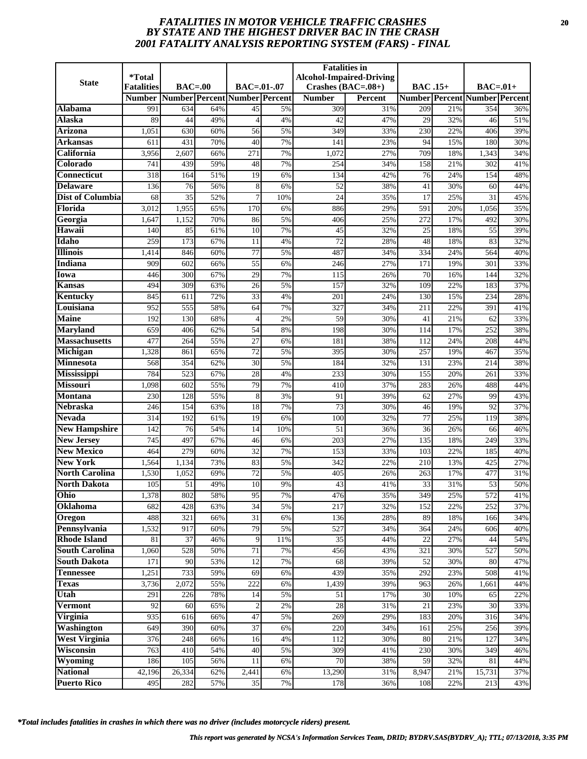# *FATALITIES IN MOTOR VEHICLE TRAFFIC CRASHES* **20** *BY STATE AND THE HIGHEST DRIVER BAC IN THE CRASH 2001 FATALITY ANALYSIS REPORTING SYSTEM (FARS) - FINAL*

| <b>State</b>                          | *Total                             |           |            |                                                         |           | <b>Fatalities</b> in                  | <b>Alcohol-Impaired-Driving</b> |                 |            |                                                    |            |
|---------------------------------------|------------------------------------|-----------|------------|---------------------------------------------------------|-----------|---------------------------------------|---------------------------------|-----------------|------------|----------------------------------------------------|------------|
|                                       | <b>Fatalities</b><br><b>Number</b> | $BAC=00$  |            | $BAC = .01-.07$<br><b>Number Percent Number Percent</b> |           | Crashes $(BAC=.08+)$<br><b>Number</b> | <b>Percent</b>                  | <b>BAC</b> .15+ |            | $BAC=.01+$<br><b>Number Percent Number Percent</b> |            |
| Alabama                               | 991                                | 634       | 64%        | 45                                                      | 5%        | 309                                   | 31%                             | 209             | 21%        | 354                                                | 36%        |
| Alaska                                | 89                                 | 44        | 49%        | $\overline{4}$                                          | 4%        | 42                                    | 47%                             | 29              | 32%        | 46                                                 | 51%        |
| <b>Arizona</b>                        | 1,051                              | 630       | 60%        | $\overline{56}$                                         | 5%        | 349                                   | 33%                             | 230             | 22%        | 406                                                | 39%        |
| Arkansas                              | 611                                | 431       | 70%        | 40                                                      | 7%        | 141                                   | 23%                             | 94              | 15%        | 180                                                | 30%        |
| California                            | 3,956                              | 2,607     | 66%        | 271                                                     | 7%        | 1,072                                 | 27%                             | 709             | 18%        | 1,343                                              | 34%        |
| Colorado                              | 741                                | 439       | 59%        | 48                                                      | 7%        | 254                                   | 34%                             | 158             | 21%        | 302                                                | 41%        |
| Connecticut                           | 318                                | 164       | 51%        | 19                                                      | 6%        | 134                                   | 42%                             | $\overline{76}$ | 24%        | 154                                                | 48%        |
| <b>Delaware</b>                       | 136                                | 76        | 56%        | 8                                                       | 6%        | 52                                    | 38%                             | 41              | 30%        | 60                                                 | 44%        |
| <b>Dist of Columbia</b>               | 68                                 | 35        | 52%        | 7                                                       | 10%       | 24                                    | 35%                             | 17              | 25%        | 31                                                 | 45%        |
| Florida                               | 3,012                              | 1,955     | 65%        | 170                                                     | 6%        | 886                                   | 29%                             | 591             | 20%        | 1,056                                              | 35%        |
| Georgia                               | 1,647                              | 1,152     | 70%        | 86                                                      | 5%        | 406                                   | 25%                             | 272             | 17%        | 492                                                | 30%        |
| Hawaii                                | 140                                | 85        | 61%        | 10                                                      | 7%        | 45                                    | 32%                             | 25              | 18%        | 55                                                 | 39%        |
| Idaho                                 | 259                                | 173       | 67%        | 11                                                      | 4%        | 72                                    | 28%                             | 48              | 18%        | 83                                                 | 32%        |
| <b>Illinois</b>                       | 1,414                              | 846       | 60%        | $\overline{77}$                                         | 5%        | 487                                   | 34%                             | 334             | 24%        | 564                                                | 40%        |
| <b>Indiana</b>                        | 909                                | 602       | 66%        | 55                                                      | 6%        | 246                                   | 27%                             | 171             | 19%        | 301                                                | 33%        |
| Iowa                                  | 446                                | 300       | 67%        | 29                                                      | 7%        | 115                                   | 26%                             | 70              | 16%        | 144                                                | 32%        |
| <b>Kansas</b>                         | 494                                | 309       | 63%        | 26                                                      | 5%        | 157                                   | 32%                             | 109             | 22%        | 183                                                | 37%        |
| Kentucky                              | 845                                | 611       | 72%        | 33                                                      | 4%        | 201                                   | 24%                             | 130             | 15%        | 234                                                | 28%        |
| Louisiana                             | 952                                | 555       | 58%        | 64                                                      | 7%        | 327                                   | 34%                             | 211             | 22%        | 391                                                | 41%        |
| <b>Maine</b>                          | 192                                | 130       | 68%        | $\overline{4}$                                          | 2%        | 59                                    | 30%                             | 41              | 21%        | 62                                                 | 33%        |
| <b>Maryland</b>                       | 659                                | 406       | 62%        | 54                                                      | 8%        | 198                                   | 30%                             | 114             | 17%        | 252                                                | 38%        |
| <b>Massachusetts</b>                  | 477                                | 264       | 55%        | 27                                                      | 6%        | 181                                   | 38%                             | 112             | 24%        | 208                                                | 44%        |
| Michigan                              | 1,328                              | 861       | 65%        | 72                                                      | 5%        | 395                                   | 30%                             | 257             | 19%        | 467                                                | 35%        |
| Minnesota                             | 568                                | 354       | 62%        | 30                                                      | 5%        | 184                                   | 32%                             | 131             | 23%        | 214                                                | 38%        |
| <b>Mississippi</b>                    | 784                                | 523       | 67%        | 28                                                      | 4%        | 233                                   | 30%                             | 155             | 20%        | 261                                                | 33%        |
| <b>Missouri</b>                       | 1,098                              | 602       | 55%        | 79                                                      | 7%        | 410                                   | 37%                             | 283             | 26%        | 488                                                | 44%        |
| Montana<br><b>Nebraska</b>            | 230                                | 128       | 55%        | 8                                                       | 3%        | 91                                    | 39%                             | 62              | 27%        | 99                                                 | 43%        |
|                                       | 246                                | 154       | 63%        | 18                                                      | 7%        | $\overline{73}$                       | 30%                             | 46              | 19%        | 92                                                 | 37%        |
| <b>Nevada</b><br><b>New Hampshire</b> | 314<br>142                         | 192<br>76 | 61%<br>54% | 19<br>14                                                | 6%<br>10% | 100<br>51                             | 32%<br>36%                      | 77<br>36        | 25%<br>26% | 119<br>66                                          | 38%<br>46% |
| <b>New Jersey</b>                     | 745                                | 497       | 67%        | 46                                                      | 6%        | 203                                   | 27%                             | 135             | 18%        | 249                                                | 33%        |
| <b>New Mexico</b>                     | 464                                | 279       | 60%        | $\overline{32}$                                         | 7%        | 153                                   | 33%                             | 103             | 22%        | 185                                                | 40%        |
| <b>New York</b>                       | 1,564                              | 1,134     | 73%        | 83                                                      | 5%        | 342                                   | 22%                             | 210             | 13%        | 425                                                | 27%        |
| <b>North Carolina</b>                 | 1,530                              | 1,052     | 69%        | 72                                                      | 5%        | 405                                   | 26%                             | 263             | 17%        | 477                                                | 31%        |
| <b>North Dakota</b>                   | 105                                | 51        | 49%        | 10                                                      | 9%        | 43                                    | 41%                             | 33              | 31%        | 53                                                 | 50%        |
| Ohio                                  | 1,378                              | 802       | 58%        | 95                                                      | 7%        | 476                                   | 35%                             | 349             | 25%        | 572                                                | 41%        |
| Oklahoma                              | 682                                | 428       | 63%        | 34                                                      | 5%        | 217                                   | 32%                             | 152             | 22%        | 252                                                | 37%        |
| Oregon                                | 488                                | 321       | 66%        | 31                                                      | 6%        | 136                                   | 28%                             | 89              | 18%        | 166                                                | 34%        |
| Pennsylvania                          | 1,532                              | 917       | 60%        | 79                                                      | 5%        | 527                                   | 34%                             | 364             | 24%        | 606                                                | 40%        |
| <b>Rhode Island</b>                   | 81                                 | 37        | 46%        | 9                                                       | 11%       | 35                                    | 44%                             | 22              | 27%        | 44                                                 | 54%        |
| <b>South Carolina</b>                 | 1,060                              | 528       | 50%        | 71                                                      | 7%        | 456                                   | 43%                             | 321             | 30%        | 527                                                | 50%        |
| <b>South Dakota</b>                   | 171                                | 90        | 53%        | 12                                                      | 7%        | 68                                    | 39%                             | 52              | 30%        | 80                                                 | 47%        |
| <b>Tennessee</b>                      | 1,251                              | 733       | 59%        | 69                                                      | 6%        | 439                                   | 35%                             | 292             | 23%        | 508                                                | 41%        |
| <b>Texas</b>                          | 3,736                              | 2,072     | 55%        | 222                                                     | 6%        | 1,439                                 | 39%                             | 963             | 26%        | 1,661                                              | 44%        |
| Utah                                  | 291                                | 226       | 78%        | 14                                                      | 5%        | 51                                    | 17%                             | 30              | 10%        | 65                                                 | 22%        |
| <b>Vermont</b>                        | 92                                 | 60        | 65%        | $\overline{2}$                                          | 2%        | 28                                    | 31%                             | 21              | 23%        | 30                                                 | 33%        |
| Virginia                              | 935                                | 616       | 66%        | 47                                                      | 5%        | 269                                   | 29%                             | 183             | 20%        | 316                                                | 34%        |
| <b>Washington</b>                     | 649                                | 390       | 60%        | 37                                                      | 6%        | 220                                   | 34%                             | 161             | 25%        | 256                                                | 39%        |
| <b>West Virginia</b>                  | 376                                | 248       | 66%        | 16                                                      | 4%        | 112                                   | 30%                             | 80              | 21%        | 127                                                | 34%        |
| Wisconsin                             | 763                                | 410       | 54%        | 40                                                      | 5%        | 309                                   | 41%                             | 230             | 30%        | 349                                                | 46%        |
| <b>Wyoming</b>                        | 186                                | 105       | 56%        | 11                                                      | 6%        | 70                                    | 38%                             | 59              | 32%        | 81                                                 | 44%        |
| <b>National</b>                       | 42,196                             | 26,334    | 62%        | 2,441                                                   | 6%        | 13,290                                | 31%                             | 8,947           | 21%        | 15,731                                             | 37%        |
| <b>Puerto Rico</b>                    | 495                                | 282       | 57%        | 35                                                      | 7%        | 178                                   | 36%                             | 108             | 22%        | 213                                                | 43%        |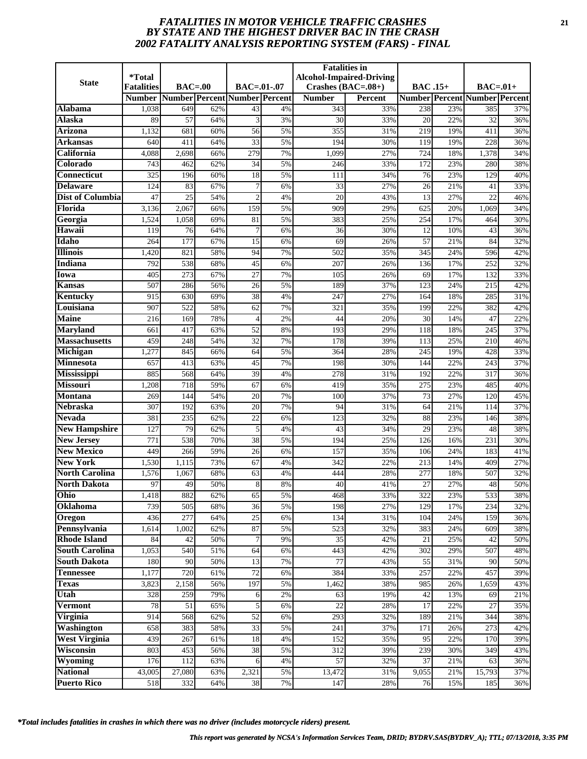# *FATALITIES IN MOTOR VEHICLE TRAFFIC CRASHES* **21** *BY STATE AND THE HIGHEST DRIVER BAC IN THE CRASH 2002 FATALITY ANALYSIS REPORTING SYSTEM (FARS) - FINAL*

|                                   | <i><b>*Total</b></i> |                               |            |                 |          | <b>Fatalities in</b> | <b>Alcohol-Impaired-Driving</b> |                  |            |                                      |            |
|-----------------------------------|----------------------|-------------------------------|------------|-----------------|----------|----------------------|---------------------------------|------------------|------------|--------------------------------------|------------|
| <b>State</b>                      | <b>Fatalities</b>    | $BAC=00$                      |            | $BAC = .01-.07$ |          | Crashes $(BAC=.08+)$ |                                 | <b>BAC</b> .15+  |            | $BAC=01+$                            |            |
|                                   | <b>Number</b>        | Number Percent Number Percent |            |                 |          | <b>Number</b>        | <b>Percent</b>                  |                  |            | <b>Number Percent Number Percent</b> |            |
| Alabama                           | 1,038                | 649                           | 62%        | 43              | 4%       | 343                  | 33%                             | 238              | 23%        | 385                                  | 37%        |
| Alaska                            | 89                   | 57                            | 64%        | 3               | 3%       | 30                   | 33%                             | 20               | 22%        | 32                                   | 36%        |
| <b>Arizona</b>                    | 1,132                | 681                           | 60%        | $\overline{56}$ | 5%       | 355                  | 31%                             | $\overline{219}$ | 19%        | 411                                  | 36%        |
| Arkansas                          | 640                  | 411                           | 64%        | 33              | 5%       | 194                  | 30%                             | 119              | 19%        | 228                                  | 36%        |
| California                        | 4,088                | 2,698                         | 66%        | 279             | 7%       | 1,099                | 27%                             | 724              | 18%        | 1,378                                | 34%        |
| Colorado                          | 743                  | 462                           | 62%        | 34              | 5%       | 246                  | 33%                             | 172              | 23%        | 280                                  | 38%        |
| <b>Connecticut</b>                | 325                  | 196                           | 60%        | 18              | 5%       | 111                  | 34%                             | $\overline{76}$  | 23%        | 129                                  | 40%        |
| <b>Delaware</b>                   | 124                  | 83                            | 67%        | 7               | 6%       | 33                   | 27%                             | 26               | 21%        | 41                                   | 33%        |
| Dist of Columbia                  | 47                   | 25                            | 54%        | $\mathcal{D}$   | 4%       | 20                   | 43%                             | 13               | 27%        | 22                                   | 46%        |
| Florida                           | 3,136                | 2,067                         | 66%        | 159             | 5%       | 909                  | 29%                             | 625              | 20%        | 1,069                                | 34%        |
| Georgia                           | 1,524                | 1,058                         | 69%        | 81              | 5%       | 383                  | 25%                             | 254              | 17%        | 464                                  | 30%        |
| Hawaii                            | 119                  | 76                            | 64%        | $\overline{7}$  | 6%       | 36                   | 30%                             | 12               | 10%        | 43                                   | 36%        |
| Idaho                             | 264                  | 177                           | 67%        | 15              | 6%       | 69                   | 26%                             | 57               | 21%        | 84                                   | 32%        |
| <b>Illinois</b>                   | 1,420                | 821                           | 58%        | 94              | 7%       | 502                  | 35%                             | 345              | 24%        | 596                                  | 42%        |
| <b>Indiana</b>                    | 792                  | 538                           | 68%        | 45              | 6%       | 207                  | 26%                             | 136              | 17%        | 252                                  | 32%        |
| Iowa                              | 405                  | 273                           | 67%        | 27              | 7%       | 105                  | 26%                             | 69               | 17%        | 132                                  | 33%        |
| Kansas                            | 507                  | 286                           | 56%        | 26              | 5%       | 189                  | 37%                             | 123              | 24%        | 215                                  | 42%        |
| <b>Kentucky</b><br>Louisiana      | 915<br>907           | 630<br>522                    | 69%<br>58% | 38<br>62        | 4%<br>7% | 247<br>321           | 27%<br>35%                      | 164<br>199       | 18%<br>22% | 285<br>382                           | 31%<br>42% |
| <b>Maine</b>                      | 216                  | 169                           | 78%        | $\overline{4}$  | 2%       | 44                   |                                 | 30               | 14%        | 47                                   | 22%        |
| <b>Maryland</b>                   | 661                  | 417                           | 63%        | 52              | 8%       | 193                  | 20%<br>29%                      | 118              | 18%        | 245                                  | 37%        |
| <b>Massachusetts</b>              | 459                  | 248                           | 54%        | 32              | 7%       | 178                  | 39%                             | 113              | 25%        | 210                                  | 46%        |
| Michigan                          | 1,277                | 845                           | 66%        | 64              | 5%       | 364                  | 28%                             | 245              | 19%        | 428                                  | 33%        |
| <b>Minnesota</b>                  | 657                  | 413                           | 63%        | 45              | 7%       | 198                  | 30%                             | 144              | 22%        | 243                                  | 37%        |
| <b>Mississippi</b>                | 885                  | 568                           | 64%        | 39              | 4%       | 278                  | 31%                             | 192              | 22%        | 317                                  | 36%        |
| <b>Missouri</b>                   | 1,208                | 718                           | 59%        | 67              | 6%       | 419                  | 35%                             | 275              | 23%        | 485                                  | 40%        |
| <b>Montana</b>                    | 269                  | 144                           | 54%        | 20              | 7%       | 100                  | 37%                             | 73               | 27%        | 120                                  | 45%        |
| <b>Nebraska</b>                   | 307                  | 192                           | 63%        | 20              | 7%       | 94                   | 31%                             | 64               | 21%        | 114                                  | 37%        |
| <b>Nevada</b>                     | 381                  | 235                           | 62%        | $\overline{22}$ | 6%       | 123                  | 32%                             | 88               | 23%        | 146                                  | 38%        |
| <b>New Hampshire</b>              | 127                  | 79                            | 62%        | 5               | 4%       | 43                   | 34%                             | 29               | 23%        | 48                                   | 38%        |
| <b>New Jersey</b>                 | 771                  | 538                           | 70%        | 38              | 5%       | 194                  | 25%                             | 126              | 16%        | 231                                  | 30%        |
| <b>New Mexico</b>                 | 449                  | 266                           | 59%        | $\overline{26}$ | 6%       | 157                  | 35%                             | 106              | 24%        | 183                                  | 41%        |
| <b>New York</b>                   | 1,530                | 1,115                         | 73%        | 67              | 4%       | 342                  | 22%                             | 213              | 14%        | 409                                  | 27%        |
| <b>North Carolina</b>             | 1,576                | 1,067                         | 68%        | 63              | 4%       | 444                  | 28%                             | 277              | 18%        | 507                                  | 32%        |
| <b>North Dakota</b>               | 97                   | 49                            | 50%        | 8               | 8%       | 40                   | 41%                             | 27               | 27%        | 48                                   | 50%        |
| Ohio                              | 1,418                | 882                           | 62%        | 65              | 5%       | 468                  | 33%                             | 322              | 23%        | 533                                  | 38%        |
| Oklahoma                          | 739                  | 505                           | 68%        | 36              | 5%       | 198                  | 27%                             | 129              | 17%        | 234                                  | 32%        |
| Oregon                            | 436                  | 277                           | 64%        | 25              | 6%       | 134                  | 31%                             | 104              | 24%        | 159                                  | 36%        |
| Pennsylvania                      | 1,614                | 1,002                         | 62%        | 87              | 5%       | 523                  | 32%                             | 383              | 24%        | 609                                  | 38%        |
| <b>Rhode Island</b>               | 84                   | 42                            | 50%        | 7               | 9%       | 35                   | 42%                             | 21               | 25%        | 42                                   | 50%        |
| <b>South Carolina</b>             | 1,053                | 540                           | 51%        | 64              | 6%       | 443                  | 42%                             | 302              | 29%        | 507                                  | 48%        |
| <b>South Dakota</b>               | 180                  | 90                            | 50%        | 13              | 7%       | 77                   | 43%                             | 55               | 31%        | 90                                   | 50%        |
| <b>Tennessee</b>                  | 1,177                | 720                           | 61%        | $\overline{72}$ | 6%       | 384                  | 33%                             | 257              | 22%        | 457                                  | 39%        |
| <b>Texas</b>                      | 3,823                | 2,158                         | 56%        | 197             | 5%       | 1,462                | 38%                             | 985              | 26%        | 1,659                                | 43%        |
| Utah                              | 328                  | 259                           | 79%        | 6               | 2%       | 63                   | 19%                             | 42               | 13%        | 69                                   | 21%        |
| <b>Vermont</b>                    | 78                   | 51                            | 65%        | 5               | 6%       | 22                   | 28%                             | 17               | 22%        | 27                                   | 35%        |
| Virginia                          | 914                  | 568                           | 62%        | 52              | 6%       | 293                  | 32%                             | 189              | 21%        | 344                                  | 38%        |
| <b>Washington</b>                 | 658<br>439           | 383                           | 58%        | 33<br>18        | 5%       | 241                  | 37%                             | 171<br>95        | 26%        | 273<br>170                           | 42%        |
| <b>West Virginia</b><br>Wisconsin |                      | 267                           | 61%<br>56% |                 | 4%<br>5% | 152                  | 35%                             |                  | 22%        |                                      | 39%        |
| Wyoming                           | 803<br>176           | 453<br>112                    | 63%        | 38              | $4\%$    | 312<br>57            | 39%<br>32%                      | 239<br>37        | 30%<br>21% | 349<br>63                            | 43%<br>36% |
| <b>National</b>                   | 43,005               | 27,080                        | 63%        | 6<br>2,321      | 5%       | 13,472               | 31%                             | 9,055            | 21%        | 15,793                               | 37%        |
| <b>Puerto Rico</b>                | 518                  | 332                           | 64%        | 38              | 7%       | 147                  | 28%                             | 76               | 15%        | 185                                  | 36%        |
|                                   |                      |                               |            |                 |          |                      |                                 |                  |            |                                      |            |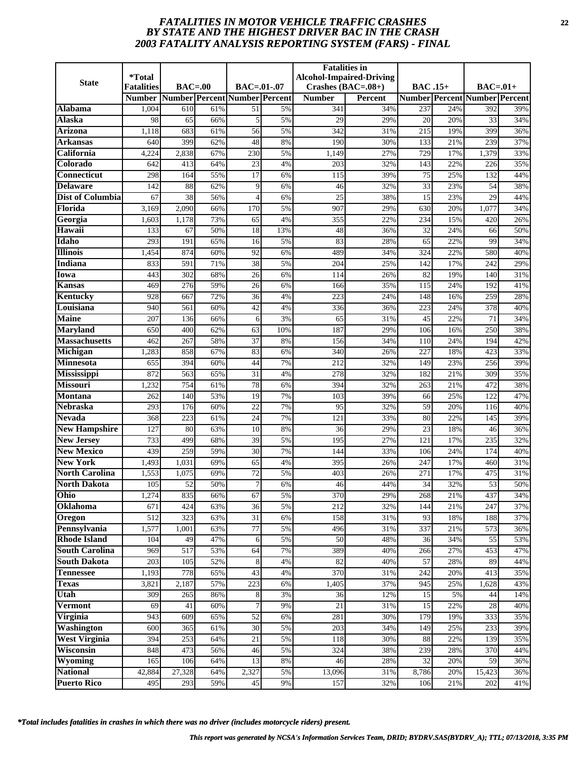# *FATALITIES IN MOTOR VEHICLE TRAFFIC CRASHES* **22** *BY STATE AND THE HIGHEST DRIVER BAC IN THE CRASH 2003 FATALITY ANALYSIS REPORTING SYSTEM (FARS) - FINAL*

| <b>State</b>                           | <i><b>*Total</b></i>               | $BAC=00$                      |            | $BAC = .01-.07$       |          | <b>Fatalities in</b>                  | <b>Alcohol-Impaired-Driving</b> |                  |            |                                                   |            |
|----------------------------------------|------------------------------------|-------------------------------|------------|-----------------------|----------|---------------------------------------|---------------------------------|------------------|------------|---------------------------------------------------|------------|
|                                        | <b>Fatalities</b><br><b>Number</b> | Number Percent Number Percent |            |                       |          | Crashes $(BAC=.08+)$<br><b>Number</b> | <b>Percent</b>                  | <b>BAC</b> .15+  |            | $BAC=01+$<br><b>Number Percent Number Percent</b> |            |
| Alabama                                | 1,004                              | 610                           | 61%        | 51                    | 5%       | 341                                   | 34%                             | 237              | 24%        | 392                                               | 39%        |
| Alaska                                 | 98                                 | 65                            | 66%        | 5                     | 5%       | 29                                    | 29%                             | 20               | 20%        | 33                                                | 34%        |
| <b>Arizona</b>                         | 1,118                              | 683                           | 61%        | $\overline{56}$       | 5%       | 342                                   | 31%                             | $\overline{215}$ | 19%        | 399                                               | 36%        |
| Arkansas                               | 640                                | 399                           | 62%        | 48                    | 8%       | 190                                   | 30%                             | 133              | 21%        | 239                                               | 37%        |
| California                             | 4,224                              | 2,838                         | 67%        | 230                   | 5%       | 1,149                                 | 27%                             | 729              | 17%        | 1,379                                             | 33%        |
| Colorado                               | 642                                | 413                           | 64%        | 23                    | 4%       | 203                                   | 32%                             | 143              | 22%        | 226                                               | 35%        |
| <b>Connecticut</b>                     | 298                                | 164                           | 55%        | $\overline{17}$       | 6%       | 115                                   | 39%                             | $\overline{75}$  | 25%        | 132                                               | 44%        |
| <b>Delaware</b>                        | 142                                | 88                            | 62%        | 9                     | 6%       | 46                                    | 32%                             | 33               | 23%        | 54                                                | 38%        |
| <b>Dist of Columbia</b>                | 67                                 | 38                            | 56%        | 4                     | 6%       | $\overline{25}$                       | 38%                             | 15               | 23%        | 29                                                | 44%        |
| Florida                                | 3,169                              | 2,090                         | 66%        | 170                   | 5%       | 907                                   | 29%                             | 630              | 20%        | 1,077                                             | 34%        |
| Georgia                                | 1,603                              | 1,178                         | 73%        | 65                    | 4%       | 355                                   | 22%                             | 234              | 15%        | 420                                               | 26%        |
| Hawaii                                 | 133                                | 67                            | 50%        | 18                    | 13%      | 48                                    | 36%                             | 32               | 24%        | 66                                                | 50%        |
| Idaho                                  | 293                                | 191                           | 65%        | 16                    | 5%       | 83                                    | 28%                             | 65               | 22%        | 99                                                | 34%        |
| <b>Illinois</b>                        | 1,454                              | 874                           | 60%        | 92                    | 6%       | 489                                   | 34%                             | 324              | 22%        | 580                                               | 40%        |
| <b>Indiana</b>                         | 833                                | 591                           | 71%        | 38                    | 5%       | 204                                   | 25%                             | 142              | 17%        | 242                                               | 29%        |
| Iowa                                   | 443                                | 302                           | 68%        | 26                    | 6%       | 114                                   | 26%                             | 82               | 19%        | 140                                               | 31%        |
| Kansas                                 | 469                                | 276                           | 59%        | 26                    | 6%       | 166                                   | 35%                             | 115              | 24%        | 192                                               | 41%        |
| <b>Kentucky</b>                        | 928                                | 667                           | 72%        | $\overline{36}$       | 4%       | 223                                   | 24%                             | 148              | 16%        | 259                                               | 28%        |
| Louisiana                              | 940                                | 561                           | 60%        | 42                    | 4%       | 336                                   | 36%                             | 223              | 24%        | 378                                               | 40%        |
| <b>Maine</b>                           | 207                                | 136                           | 66%        | 6                     | 3%       | 65                                    | 31%                             | 45               | 22%        | 71                                                | 34%        |
| <b>Maryland</b>                        | 650                                | 400                           | 62%        | 63                    | 10%      | 187                                   | 29%                             | 106              | 16%        | 250                                               | 38%        |
| <b>Massachusetts</b>                   | 462                                | 267                           | 58%        | 37                    | 8%       | 156                                   | 34%                             | 110              | 24%        | 194                                               | 42%        |
| Michigan                               | 1,283                              | 858                           | 67%        | 83                    | 6%       | 340                                   | 26%                             | 227              | 18%        | 423                                               | 33%        |
| <b>Minnesota</b>                       | 655                                | 394                           | 60%        | 44                    | 7%       | 212                                   | 32%                             | 149              | 23%        | 256                                               | 39%        |
| <b>Mississippi</b>                     | 872                                | 563                           | 65%        | $\overline{31}$       | 4%       | 278                                   | 32%                             | 182              | 21%        | 309                                               | 35%        |
| <b>Missouri</b>                        | 1,232                              | 754                           | 61%        | 78                    | 6%       | 394                                   | 32%                             | 263              | 21%        | 472                                               | 38%        |
| <b>Montana</b>                         | 262                                | 140                           | 53%        | 19                    | 7%       | 103                                   | 39%                             | 66               | 25%        | 122                                               | 47%        |
| <b>Nebraska</b>                        | 293                                | 176                           | 60%        | $\overline{22}$       | 7%       | 95                                    | 32%                             | 59               | 20%        | 116                                               | 40%        |
| <b>Nevada</b>                          | 368                                | 223                           | 61%        | $\overline{24}$       | 7%       | 121                                   | 33%                             | 80               | 22%        | 145                                               | 39%        |
| <b>New Hampshire</b>                   | 127                                | 80<br>499                     | 63%        | 10                    | 8%       | 36                                    | 29%                             | 23               | 18%        | 46                                                | 36%        |
| <b>New Jersey</b><br><b>New Mexico</b> | 733<br>439                         | 259                           | 68%<br>59% | 39<br>$\overline{30}$ | 5%<br>7% | 195<br>144                            | 27%<br>33%                      | 121<br>106       | 17%<br>24% | 235<br>174                                        | 32%<br>40% |
| <b>New York</b>                        | 1,493                              | 1,031                         | 69%        | 65                    | 4%       | 395                                   | 26%                             | 247              | 17%        | 460                                               | 31%        |
| <b>North Carolina</b>                  | 1,553                              | 1,075                         | 69%        | 72                    | 5%       | 403                                   | 26%                             | 271              | 17%        | 475                                               | 31%        |
| <b>North Dakota</b>                    | 105                                | 52                            | 50%        | 7                     | 6%       | 46                                    | 44%                             | 34               | 32%        | 53                                                | 50%        |
| Ohio                                   | 1,274                              | 835                           | 66%        | 67                    | 5%       | 370                                   | 29%                             | 268              | 21%        | 437                                               | 34%        |
| Oklahoma                               | 671                                | 424                           | 63%        | 36                    | 5%       | 212                                   | 32%                             | 144              | 21%        | 247                                               | 37%        |
| Oregon                                 | 512                                | 323                           | 63%        | 31                    | 6%       | 158                                   | 31%                             | 93               | 18%        | 188                                               | 37%        |
| Pennsylvania                           | 1,577                              | 1,001                         | 63%        | 77                    | 5%       | 496                                   | 31%                             | 337              | 21%        | 573                                               | 36%        |
| <b>Rhode Island</b>                    | 104                                | 49                            | 47%        | 6                     | 5%       | 50                                    | 48%                             | 36               | 34%        | 55                                                | 53%        |
| <b>South Carolina</b>                  | 969                                | 517                           | 53%        | 64                    | 7%       | 389                                   | 40%                             | 266              | 27%        | 453                                               | 47%        |
| <b>South Dakota</b>                    | 203                                | 105                           | 52%        | 8                     | 4%       | 82                                    | 40%                             | 57               | 28%        | 89                                                | 44%        |
| <b>Tennessee</b>                       | 1,193                              | 778                           | 65%        | 43                    | 4%       | 370                                   | 31%                             | 242              | 20%        | 413                                               | 35%        |
| <b>Texas</b>                           | 3,821                              | 2,187                         | 57%        | 223                   | 6%       | 1,405                                 | 37%                             | 945              | 25%        | 1,628                                             | 43%        |
| Utah                                   | 309                                | 265                           | 86%        | 8                     | 3%       | 36                                    | $\frac{12}{6}$                  | 15               | 5%         | 44                                                | 14%        |
| <b>Vermont</b>                         | 69                                 | 41                            | 60%        |                       | 9%       | 21                                    | 31%                             | 15               | 22%        | 28                                                | 40%        |
| Virginia                               | 943                                | 609                           | 65%        | 52                    | 6%       | 281                                   | 30%                             | 179              | 19%        | 333                                               | 35%        |
| Washington                             | 600                                | 365                           | 61%        | 30                    | 5%       | 203                                   | 34%                             | 149              | 25%        | 233                                               | 39%        |
| <b>West Virginia</b>                   | 394                                | 253                           | 64%        | 21                    | 5%       | 118                                   | 30%                             | 88               | 22%        | 139                                               | 35%        |
| Wisconsin                              | 848                                | 473                           | 56%        | 46                    | 5%       | 324                                   | 38%                             | 239              | 28%        | 370                                               | 44%        |
| Wyoming                                | 165                                | 106                           | 64%        | 13                    | 8%       | 46                                    | 28%                             | 32               | 20%        | 59                                                | 36%        |
| <b>National</b>                        | 42,884                             | 27,328                        | 64%        | 2,327                 | 5%       | 13,096                                | 31%                             | 8,786            | 20%        | 15,423                                            | 36%        |
| <b>Puerto Rico</b>                     | 495                                | 293                           | 59%        | 45                    | $9\%$    | 157                                   | 32%                             | 106              | 21%        | 202                                               | 41%        |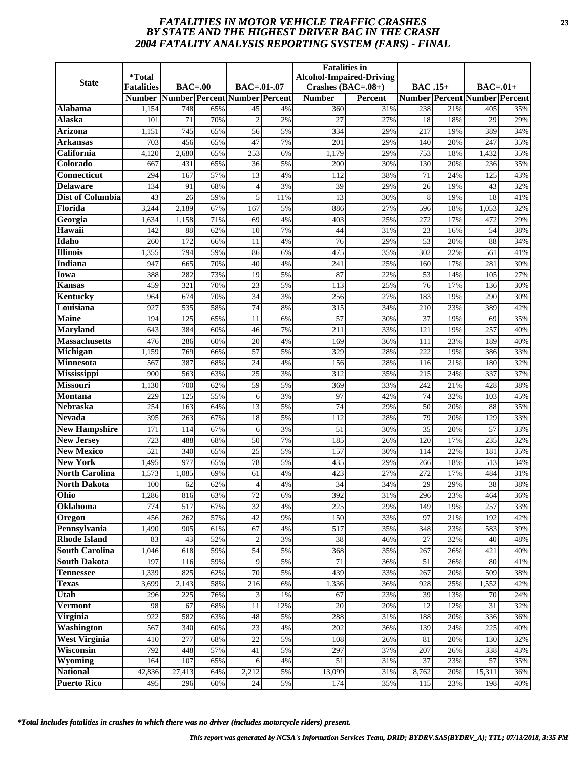# *FATALITIES IN MOTOR VEHICLE TRAFFIC CRASHES* **23** *BY STATE AND THE HIGHEST DRIVER BAC IN THE CRASH 2004 FATALITY ANALYSIS REPORTING SYSTEM (FARS) - FINAL*

|                                       | <i><b>*Total</b></i> |                               |            |                 |          | <b>Fatalities in</b> | <b>Alcohol-Impaired-Driving</b> |                 |            |                                      |            |
|---------------------------------------|----------------------|-------------------------------|------------|-----------------|----------|----------------------|---------------------------------|-----------------|------------|--------------------------------------|------------|
| <b>State</b>                          | <b>Fatalities</b>    | $BAC=00$                      |            | $BAC = .01-.07$ |          | Crashes $(BAC=.08+)$ |                                 | <b>BAC</b> .15+ |            | $BAC=01+$                            |            |
|                                       | <b>Number</b>        | Number Percent Number Percent |            |                 |          | <b>Number</b>        | <b>Percent</b>                  |                 |            | <b>Number Percent Number Percent</b> |            |
| Alabama                               | 1,154                | 748                           | 65%        | 45              | 4%       | 360                  | 31%                             | 238             | 21%        | 405                                  | 35%        |
| Alaska                                | 101                  | 71                            | 70%        | $\overline{2}$  | 2%       | 27                   | 27%                             | 18              | 18%        | 29                                   | 29%        |
| <b>Arizona</b>                        | 1,151                | 745                           | 65%        | $\overline{56}$ | 5%       | 334                  | 29%                             | 217             | 19%        | 389                                  | 34%        |
| Arkansas                              | 703                  | 456                           | 65%        | 47              | 7%       | 201                  | 29%                             | 140             | 20%        | 247                                  | 35%        |
| California                            | 4,120                | 2,680                         | 65%        | 253             | 6%       | 1,179                | 29%                             | 753             | 18%        | 1,432                                | 35%        |
| Colorado                              | 667                  | 431                           | 65%        | 36              | 5%       | 200                  | 30%                             | 130             | 20%        | 236                                  | 35%        |
| <b>Connecticut</b>                    | 294                  | 167                           | 57%        | $\overline{13}$ | 4%       | 112                  | 38%                             | $\overline{71}$ | 24%        | 125                                  | 43%        |
| <b>Delaware</b>                       | 134                  | 91                            | 68%        | $\overline{4}$  | 3%       | 39                   | 29%                             | 26              | 19%        | 43                                   | 32%        |
| <b>Dist of Columbia</b>               | 43                   | 26                            | 59%        | 5               | 11%      | 13                   | 30%                             | 8               | 19%        | 18                                   | 41%        |
| Florida                               | 3,244                | 2,189                         | 67%        | 167             | 5%       | 886                  | 27%                             | 596             | 18%        | 1,053                                | 32%        |
| Georgia                               | 1,634                | 1,158                         | 71%        | 69              | 4%       | 403                  | 25%                             | 272             | 17%        | 472                                  | 29%        |
| Hawaii                                | 142                  | 88                            | 62%        | 10              | 7%       | 44                   | 31%                             | 23              | 16%        | 54                                   | 38%        |
| Idaho                                 | 260                  | 172                           | 66%        | 11              | 4%       | 76                   | 29%                             | 53              | 20%        | 88                                   | 34%        |
| <b>Illinois</b>                       | 1,355                | 794                           | 59%        | 86              | 6%       | 475                  | 35%                             | 302             | 22%        | 561                                  | 41%        |
| Indiana                               | 947                  | 665                           | 70%        | 40              | 4%       | 241                  | 25%                             | 160             | 17%        | 281                                  | 30%        |
| Iowa                                  | 388                  | 282                           | 73%        | 19              | 5%       | 87                   | 22%                             | 53              | 14%        | 105                                  | 27%        |
| Kansas                                | 459                  | 321                           | 70%        | 23              | 5%       | 113                  | 25%                             | 76              | 17%        | 136                                  | 30%        |
| Kentucky                              | 964                  | 674                           | 70%        | $\overline{34}$ | 3%       | 256                  | 27%                             | 183             | 19%        | 290                                  | 30%        |
| Louisiana                             | 927                  | 535                           | 58%        | 74              | 8%       | 315                  | 34%                             | 210             | 23%        | 389                                  | 42%        |
| <b>Maine</b>                          | 194                  | 125                           | 65%        | 11              | 6%       | 57                   | 30%                             | 37              | 19%        | 69                                   | 35%        |
| <b>Maryland</b>                       | 643                  | 384                           | 60%        | 46              | 7%       | 211                  | 33%                             | 121             | 19%        | 257                                  | 40%        |
| <b>Massachusetts</b>                  | 476                  | 286                           | 60%        | 20              | 4%       | 169                  | 36%                             | 111             | 23%        | 189                                  | 40%        |
| Michigan                              | 1,159                | 769                           | 66%        | 57              | 5%       | 329                  | 28%                             | 222             | 19%        | 386                                  | 33%        |
| <b>Minnesota</b>                      | 567<br>900           | 387<br>563                    | 68%<br>63% | 24<br>25        | 4%<br>3% | 156<br>312           | 28%<br>35%                      | 116<br>215      | 21%<br>24% | 180<br>337                           | 32%<br>37% |
| <b>Mississippi</b><br><b>Missouri</b> | 1,130                | 700                           | 62%        | 59              | 5%       | 369                  | 33%                             | 242             | 21%        | 428                                  | 38%        |
| <b>Montana</b>                        | 229                  | 125                           | 55%        | 6               | 3%       | 97                   | 42%                             | 74              | 32%        | 103                                  | 45%        |
| <b>Nebraska</b>                       | 254                  | 163                           | 64%        | 13              | 5%       | $\overline{74}$      | 29%                             | $\overline{50}$ | 20%        | 88                                   | 35%        |
| <b>Nevada</b>                         | 395                  | 263                           | 67%        | 18              | 5%       | 112                  | 28%                             | 79              | 20%        | 129                                  | 33%        |
| <b>New Hampshire</b>                  | 171                  | 114                           | 67%        | 6               | 3%       | 51                   | 30%                             | 35              | 20%        | 57                                   | 33%        |
| <b>New Jersey</b>                     | 723                  | 488                           | 68%        | 50              | 7%       | 185                  | 26%                             | 120             | 17%        | 235                                  | 32%        |
| <b>New Mexico</b>                     | $\overline{521}$     | 340                           | 65%        | $\overline{25}$ | 5%       | 157                  | 30%                             | 114             | 22%        | 181                                  | 35%        |
| <b>New York</b>                       | 1,495                | 977                           | 65%        | 78              | 5%       | 435                  | 29%                             | 266             | 18%        | 513                                  | 34%        |
| <b>North Carolina</b>                 | 1,573                | 1,085                         | 69%        | 61              | 4%       | 423                  | 27%                             | 272             | 17%        | 484                                  | 31%        |
| <b>North Dakota</b>                   | 100                  | 62                            | 62%        | 4               | 4%       | 34                   | 34%                             | 29              | 29%        | 38                                   | 38%        |
| Ohio                                  | 1,286                | 816                           | 63%        | 72              | 6%       | 392                  | 31%                             | 296             | 23%        | 464                                  | 36%        |
| Oklahoma                              | 774                  | 517                           | 67%        | 32              | 4%       | 225                  | 29%                             | 149             | 19%        | 257                                  | 33%        |
| Oregon                                | 456                  | 262                           | 57%        | 42              | 9%       | 150                  | 33%                             | 97              | 21%        | 192                                  | 42%        |
| Pennsylvania                          | 1,490                | 905                           | 61%        | 67              | 4%       | 517                  | 35%                             | 348             | 23%        | 583                                  | 39%        |
| <b>Rhode Island</b>                   | 83                   | 43                            | 52%        | $\overline{2}$  | 3%       | 38                   | 46%                             | 27              | 32%        | 40                                   | 48%        |
| <b>South Carolina</b>                 | 1,046                | 618                           | 59%        | 54              | 5%       | 368                  | 35%                             | 267             | 26%        | 421                                  | 40%        |
| <b>South Dakota</b>                   | 197                  | 116                           | 59%        | 9               | 5%       | 71                   | 36%                             | 51              | 26%        | 80                                   | 41%        |
| <b>Tennessee</b>                      | 1,339                | 825                           | 62%        | $\overline{70}$ | 5%       | 439                  | 33%                             | 267             | 20%        | 509                                  | 38%        |
| <b>Texas</b>                          | 3,699                | 2,143                         | 58%        | 216             | 6%       | 1,336                | 36%                             | 928             | 25%        | 1,552                                | 42%        |
| Utah                                  | 296                  | 225                           | 76%        | 3               | 1%       | 67                   | 23%                             | 39              | 13%        | 70                                   | 24%        |
| <b>Vermont</b>                        | 98                   | 67                            | 68%        | 11              | 12%      | 20                   | 20%                             | 12              | 12%        | 31                                   | 32%        |
| Virginia                              | 922                  | 582                           | 63%        | 48              | 5%       | 288                  | 31%                             | 188             | 20%        | 336                                  | 36%        |
| Washington                            | 567                  | 340                           | 60%        | 23              | 4%       | 202                  | 36%                             | 139             | 24%        | 225                                  | 40%        |
| <b>West Virginia</b>                  | 410                  | 277                           | 68%        | 22              | 5%       | 108                  | 26%                             | 81              | 20%        | 130                                  | 32%        |
| Wisconsin                             | 792                  | 448                           | 57%        | 41              | 5%       | 297                  | 37%                             | 207             | 26%        | 338                                  | 43%        |
| Wyoming                               | 164                  | 107                           | 65%        | $\overline{6}$  | 4%       | 51                   | 31%                             | 37              | 23%        | 57                                   | 35%        |
| <b>National</b>                       | 42,836               | 27,413                        | 64%        | 2,212           | 5%       | 13,099               | 31%                             | 8,762           | 20%        | 15,311                               | 36%        |
| <b>Puerto Rico</b>                    | 495                  | 296                           | 60%        | 24              | 5%       | 174                  | 35%                             | 115             | 23%        | 198                                  | 40%        |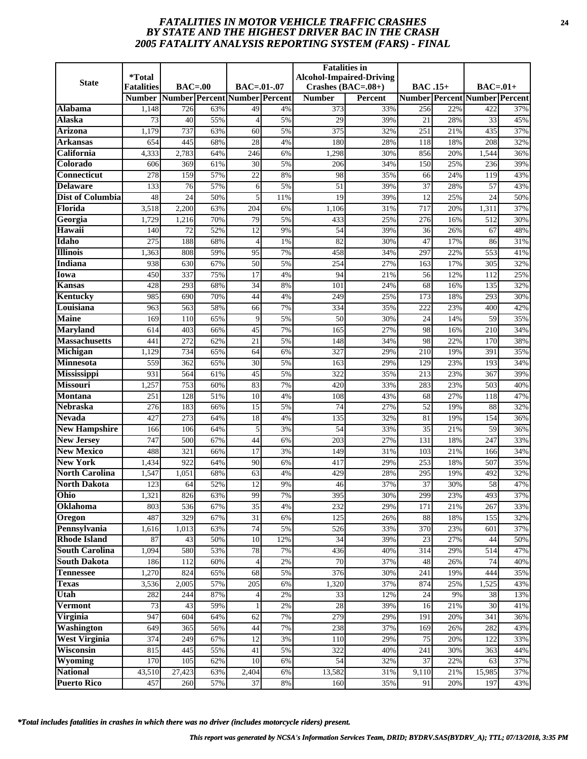# *FATALITIES IN MOTOR VEHICLE TRAFFIC CRASHES* **24** *BY STATE AND THE HIGHEST DRIVER BAC IN THE CRASH 2005 FATALITY ANALYSIS REPORTING SYSTEM (FARS) - FINAL*

| <b>State</b>                              | <i>*</i> Total<br><b>Fatalities</b> | $BAC=00$   |            | BAC=.01-.07                   |          | <b>Fatalities</b> in<br>Crashes $(BAC=.08+)$ | <b>Alcohol-Impaired-Driving</b> | <b>BAC</b> .15+ |            | $BAC=.01+$                           |            |
|-------------------------------------------|-------------------------------------|------------|------------|-------------------------------|----------|----------------------------------------------|---------------------------------|-----------------|------------|--------------------------------------|------------|
|                                           | <b>Number</b>                       |            |            | Number Percent Number Percent |          | <b>Number</b>                                | Percent                         |                 |            | <b>Number Percent Number Percent</b> |            |
| Alabama                                   | 1,148                               | 726        | 63%        | 49                            | 4%       | 373                                          | 33%                             | 256             | 22%        | 422                                  | 37%        |
| <b>Alaska</b>                             | 73                                  | 40         | 55%        | $\overline{4}$                | 5%       | 29                                           | 39%                             | 21              | 28%        | 33                                   | 45%        |
| Arizona                                   | 1,179                               | 737        | 63%        | 60                            | 5%       | 375                                          | 32%                             | 251             | 21%        | 435                                  | 37%        |
| Arkansas                                  | 654                                 | 445        | 68%        | 28                            | 4%       | 180                                          | 28%                             | 118             | 18%        | 208                                  | 32%        |
| California                                | 4,333                               | 2,783      | 64%        | 246                           | 6%       | 1,298                                        | 30%                             | 856             | 20%        | 1,544                                | 36%        |
| Colorado                                  | 606                                 | 369        | 61%        | 30                            | 5%       | 206                                          | 34%                             | 150             | 25%        | 236                                  | 39%        |
| <b>Connecticut</b>                        | $\overline{278}$                    | 159        | 57%        | $\overline{22}$               | 8%       | 98                                           | 35%                             | 66              | 24%        | 119                                  | 43%        |
| <b>Delaware</b>                           | 133                                 | 76         | 57%        | 6                             | 5%       | 51                                           | 39%                             | 37              | 28%        | 57                                   | 43%        |
| <b>Dist of Columbia</b>                   | 48                                  | 24         | 50%        | 5                             | 11%      | 19                                           | 39%                             | 12              | 25%        | 24                                   | 50%        |
| Florida                                   | 3,518                               | 2,200      | 63%        | 204                           | 6%       | 1,106                                        | 31%                             | 717             | 20%        | 1,311                                | 37%        |
| Georgia                                   | 1,729                               | 1,216      | 70%        | 79                            | 5%       | 433                                          | 25%                             | 276             | 16%        | 512                                  | 30%        |
| Hawaii                                    | 140                                 | 72         | 52%        | 12                            | 9%       | 54                                           | 39%                             | 36              | 26%        | 67                                   | 48%        |
| Idaho                                     | 275                                 | 188        | 68%        | $\overline{4}$                | 1%       | 82                                           | 30%                             | 47              | 17%        | 86                                   | 31%        |
| <b>Illinois</b>                           | 1,363                               | 808        | 59%        | 95                            | 7%       | 458                                          | 34%                             | 297             | 22%        | 553                                  | 41%        |
| <b>Indiana</b>                            | 938                                 | 630        | 67%        | 50                            | 5%       | 254                                          | 27%                             | 163             | 17%        | 305                                  | 32%        |
| Iowa                                      | 450                                 | 337        | 75%        | 17                            | 4%       | 94                                           | 21%                             | 56              | 12%        | 112                                  | 25%        |
| Kansas                                    | 428                                 | 293        | 68%        | 34                            | 8%       | 101                                          | 24%                             | 68              | 16%        | 135                                  | 32%        |
| Kentucky                                  | 985                                 | 690        | 70%        | 44                            | 4%       | 249                                          | 25%                             | 173             | 18%        | 293                                  | 30%        |
| Louisiana                                 | 963                                 | 563        | 58%        | 66                            | 7%       | 334                                          | 35%                             | 222             | 23%        | 400                                  | 42%        |
| <b>Maine</b>                              | 169                                 | 110        | 65%        | 9                             | 5%       | 50                                           | 30%                             | 24              | 14%        | 59                                   | 35%        |
| <b>Maryland</b>                           | 614                                 | 403        | 66%        | 45                            | 7%       | 165                                          | 27%                             | 98              | 16%        | 210                                  | 34%        |
| <b>Massachusetts</b>                      | 441                                 | 272        | 62%        | 21                            | 5%       | 148                                          | 34%                             | 98              | 22%        | 170                                  | 38%        |
| Michigan                                  | 1,129                               | 734        | 65%        | 64                            | 6%       | 327                                          | 29%                             | 210             | 19%        | 391                                  | 35%        |
| Minnesota                                 | 559                                 | 362        | 65%        | 30                            | 5%       | 163                                          | 29%                             | 129             | 23%        | 193                                  | 34%        |
| Mississippi                               | 931                                 | 564        | 61%        | 45                            | 5%       | 322                                          | 35%                             | 213             | 23%        | 367                                  | 39%        |
| <b>Missouri</b>                           | 1,257                               | 753        | 60%        | 83                            | 7%       | 420                                          | 33%                             | 283             | 23%        | 503                                  | 40%        |
| <b>Montana</b>                            | 251                                 | 128        | 51%        | 10                            | 4%       | 108                                          | 43%                             | 68              | 27%        | 118                                  | 47%        |
| <b>Nebraska</b>                           | 276                                 | 183        | 66%        | 15                            | 5%       | 74                                           | 27%                             | 52              | 19%        | 88                                   | 32%        |
| <b>Nevada</b>                             | 427                                 | 273        | 64%        | 18                            | 4%       | 135                                          | 32%                             | $\overline{81}$ | 19%        | 154<br>59                            | 36%        |
| <b>New Hampshire</b><br><b>New Jersey</b> | 166<br>747                          | 106<br>500 | 64%<br>67% | 5<br>44                       | 3%       | 54<br>203                                    | 33%                             | 35<br>131       | 21%<br>18% | 247                                  | 36%<br>33% |
| <b>New Mexico</b>                         | 488                                 | 321        | 66%        | $\overline{17}$               | 6%<br>3% | 149                                          | 27%<br>31%                      | 103             | 21%        | 166                                  | 34%        |
| <b>New York</b>                           | 1,434                               | 922        | 64%        | 90                            | 6%       | 417                                          | 29%                             | 253             | 18%        | 507                                  | 35%        |
| <b>North Carolina</b>                     | 1,547                               | 1,051      | 68%        | 63                            | 4%       | 429                                          | 28%                             | 295             | 19%        | 492                                  | 32%        |
| <b>North Dakota</b>                       | 123                                 | 64         | 52%        | 12                            | 9%       | 46                                           | 37%                             | 37              | 30%        | 58                                   | 47%        |
| Ohio                                      | 1,321                               | 826        | 63%        | 99                            | 7%       | 395                                          | 30%                             | 299             | 23%        | 493                                  | 37%        |
| Oklahoma                                  | 803                                 | 536        | 67%        | $\overline{35}$               | 4%       | 232                                          | 29%                             | 171             | 21%        | 267                                  | 33%        |
| Oregon                                    | 487                                 | 329        | 67%        | 31                            | 6%       | 125                                          | 26%                             | 88              | 18%        | 155                                  | 32%        |
| Pennsylvania                              | 1,616                               | 1,013      | 63%        | 74                            | 5%       | 526                                          | 33%                             | 370             | 23%        | 601                                  | 37%        |
| <b>Rhode Island</b>                       | 87                                  | 43         | 50%        | 10                            | 12%      | 34                                           | 39%                             | 23              | 27%        | 44                                   | 50%        |
| <b>South Carolina</b>                     | 1,094                               | 580        | 53%        | 78                            | 7%       | 436                                          | 40%                             | 314             | 29%        | 514                                  | 47%        |
| <b>South Dakota</b>                       | 186                                 | 112        | 60%        | $\overline{4}$                | 2%       | 70                                           | 37%                             | 48              | 26%        | 74                                   | 40%        |
| <b>Tennessee</b>                          | 1,270                               | 824        | 65%        | 68                            | 5%       | 376                                          | 30%                             | 241             | 19%        | 444                                  | 35%        |
| <b>Texas</b>                              | 3,536                               | 2,005      | 57%        | 205                           | 6%       | 1,320                                        | 37%                             | 874             | 25%        | 1,525                                | 43%        |
| Utah                                      | 282                                 | 244        | 87%        | 4                             | $2\%$    | 33                                           | 12%                             | 24              | 9%         | 38                                   | 13%        |
| <b>Vermont</b>                            | $\overline{73}$                     | 43         | 59%        |                               | 2%       | $\overline{28}$                              | 39%                             | 16              | 21%        | 30                                   | 41%        |
| Virginia                                  | 947                                 | 604        | 64%        | 62                            | 7%       | 279                                          | 29%                             | 191             | 20%        | 341                                  | 36%        |
| Washington                                | 649                                 | 365        | 56%        | 44                            | 7%       | 238                                          | 37%                             | 169             | 26%        | 282                                  | 43%        |
| <b>West Virginia</b>                      | 374                                 | 249        | 67%        | 12                            | 3%       | 110                                          | 29%                             | 75              | 20%        | 122                                  | 33%        |
| Wisconsin                                 | 815                                 | 445        | 55%        | 41                            | 5%       | 322                                          | 40%                             | 241             | 30%        | 363                                  | 44%        |
| Wyoming                                   | 170                                 | 105        | 62%        | 10                            | 6%       | 54                                           | 32%                             | 37              | 22%        | 63                                   | 37%        |
| <b>National</b>                           | 43,510                              | 27,423     | 63%        | 2,404                         | 6%       | 13,582                                       | 31%                             | 9,110           | 21%        | 15,985                               | 37%        |
| <b>Puerto Rico</b>                        | 457                                 | 260        | 57%        | 37                            | 8%       | 160                                          | 35%                             | 91              | 20%        | 197                                  | 43%        |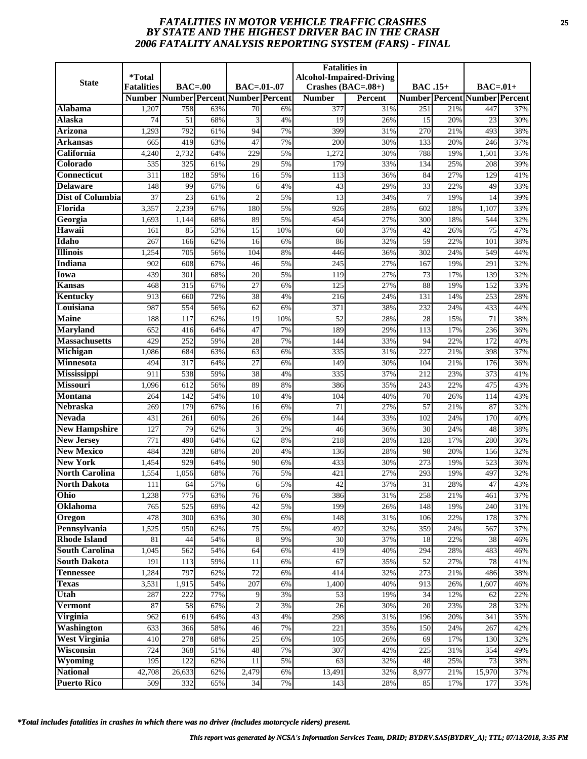# *FATALITIES IN MOTOR VEHICLE TRAFFIC CRASHES* **25** *BY STATE AND THE HIGHEST DRIVER BAC IN THE CRASH 2006 FATALITY ANALYSIS REPORTING SYSTEM (FARS) - FINAL*

|                                        | <i><b>*Total</b></i> |                               |            |                       |          | <b>Fatalities in</b> | <b>Alcohol-Impaired-Driving</b> |                  |            |                                      |            |
|----------------------------------------|----------------------|-------------------------------|------------|-----------------------|----------|----------------------|---------------------------------|------------------|------------|--------------------------------------|------------|
| <b>State</b>                           | <b>Fatalities</b>    | $BAC=00$                      |            | $BAC = .01-.07$       |          | Crashes $(BAC=.08+)$ |                                 | <b>BAC</b> .15+  |            | $BAC=.01+$                           |            |
|                                        | <b>Number</b>        | Number Percent Number Percent |            |                       |          | <b>Number</b>        | <b>Percent</b>                  |                  |            | <b>Number Percent Number Percent</b> |            |
| Alabama                                | 1,207                | 758                           | 63%        | 70                    | 6%       | 377                  | 31%                             | 251              | 21%        | 447                                  | 37%        |
| Alaska                                 | 74                   | 51                            | 68%        | 3                     | 4%       | 19                   | 26%                             | 15               | 20%        | 23                                   | 30%        |
| <b>Arizona</b>                         | 1,293                | 792                           | 61%        | 94                    | 7%       | 399                  | 31%                             | $\overline{270}$ | 21%        | 493                                  | 38%        |
| Arkansas                               | 665                  | 419                           | 63%        | 47                    | 7%       | 200                  | 30%                             | 133              | 20%        | 246                                  | 37%        |
| California                             | 4,240                | 2,732                         | 64%        | 229                   | 5%       | 1,272                | 30%                             | 788              | 19%        | 1,501                                | 35%        |
| Colorado                               | 535                  | 325                           | 61%        | 29                    | 5%       | 179                  | 33%                             | 134              | 25%        | 208                                  | 39%        |
| <b>Connecticut</b>                     | 311                  | 182                           | 59%        | 16                    | 5%       | 113                  | 36%                             | 84               | 27%        | 129                                  | 41%        |
| <b>Delaware</b>                        | 148                  | 99                            | 67%        | 6                     | 4%       | 43                   | 29%                             | 33               | 22%        | 49                                   | 33%        |
| <b>Dist of Columbia</b>                | 37                   | 23                            | 61%        | $\mathfrak{D}$        | 5%       | 13                   | 34%                             | $\overline{7}$   | 19%        | 14                                   | 39%        |
| Florida                                | 3,357                | 2,239                         | 67%        | 180                   | 5%       | 926                  | 28%                             | 602              | 18%        | 1,107                                | 33%        |
| Georgia                                | 1,693                | 1,144                         | 68%        | 89                    | 5%       | 454                  | 27%                             | 300              | 18%        | 544                                  | 32%        |
| Hawaii                                 | 161                  | 85                            | 53%        | 15                    | 10%      | 60                   | 37%                             | 42               | 26%        | 75                                   | 47%        |
| Idaho                                  | 267                  | 166                           | 62%        | 16                    | 6%       | 86                   | 32%                             | 59               | 22%        | 101                                  | 38%        |
| <b>Illinois</b>                        | 1,254                | 705                           | 56%        | 104                   | 8%       | 446                  | 36%                             | 302              | 24%        | 549                                  | 44%        |
| <b>Indiana</b>                         | 902                  | 608                           | 67%        | 46                    | 5%       | 245                  | 27%                             | 167              | 19%        | 291                                  | 32%        |
| Iowa                                   | 439                  | 301                           | 68%        | 20                    | 5%       | 119                  | 27%                             | 73               | 17%        | 139                                  | 32%        |
| Kansas                                 | 468                  | 315                           | 67%        | 27                    | 6%       | 125                  | 27%                             | 88               | 19%        | 152                                  | 33%        |
| Kentucky                               | 913                  | 660                           | 72%        | 38                    | 4%       | 216                  | 24%                             | 131              | 14%        | 253                                  | 28%        |
| Louisiana                              | 987                  | 554                           | 56%        | 62                    | 6%       | 371                  | 38%                             | 232              | 24%        | 433                                  | 44%        |
| <b>Maine</b>                           | 188                  | 117                           | 62%        | 19                    | 10%      | 52                   | 28%                             | 28               | 15%        | 71                                   | 38%        |
| <b>Maryland</b>                        | 652                  | 416                           | 64%        | 47                    | 7%       | 189                  | 29%                             | 113              | 17%        | 236                                  | 36%        |
| <b>Massachusetts</b>                   | 429                  | 252                           | 59%        | 28                    | 7%       | 144                  | 33%                             | 94               | 22%        | 172                                  | 40%        |
| Michigan                               | 1,086                | 684                           | 63%        | 63                    | 6%       | 335                  | 31%                             | 227              | 21%        | 398                                  | 37%        |
| <b>Minnesota</b>                       | 494                  | 317                           | 64%        | 27                    | 6%       | 149                  | 30%                             | 104              | 21%        | 176                                  | 36%        |
| <b>Mississippi</b>                     | 911                  | 538                           | 59%        | 38                    | 4%       | 335                  | 37%                             | 212              | 23%        | 373                                  | 41%        |
| <b>Missouri</b>                        | 1,096                | 612                           | 56%        | 89                    | 8%       | 386                  | 35%                             | 243              | 22%        | 475                                  | 43%        |
| <b>Montana</b>                         | 264                  | 142                           | 54%        | 10                    | 4%       | 104                  | 40%                             | 70               | 26%        | 114                                  | 43%        |
| <b>Nebraska</b>                        | 269                  | 179                           | 67%        | 16                    | 6%       | $\overline{71}$      | 27%                             | $\overline{57}$  | 21%        | 87                                   | 32%        |
| <b>Nevada</b>                          | 431                  | 261                           | 60%        | 26                    | 6%       | 144                  | 33%                             | 102              | 24%        | 170                                  | 40%        |
| <b>New Hampshire</b>                   | 127                  | 79                            | 62%        | 3                     | 2%       | 46                   | 36%                             | 30               | 24%        | 48                                   | 38%        |
| <b>New Jersey</b><br><b>New Mexico</b> | 771<br>484           | 490<br>328                    | 64%<br>68% | 62<br>$\overline{20}$ | 8%<br>4% | 218<br>136           | 28%<br>28%                      | 128<br>98        | 17%<br>20% | 280<br>156                           | 36%<br>32% |
| <b>New York</b>                        |                      | 929                           | 64%        | 90                    |          | 433                  | 30%                             | 273              | 19%        | 523                                  | 36%        |
| <b>North Carolina</b>                  | 1,454                | 1,056                         | 68%        | 76                    | 6%<br>5% | 421                  | 27%                             | 293              | 19%        | 497                                  | 32%        |
| <b>North Dakota</b>                    | 1,554<br>111         |                               |            |                       |          | 42                   | 37%                             | 31               | 28%        |                                      |            |
| Ohio                                   | 1,238                | 64<br>775                     | 57%<br>63% | 6<br>76               | 5%<br>6% | 386                  | 31%                             | 258              | 21%        | 47<br>461                            | 43%<br>37% |
| Oklahoma                               | 765                  | 525                           | 69%        | 42                    | 5%       | 199                  | 26%                             | 148              | 19%        | 240                                  | 31%        |
| Oregon                                 | 478                  | 300                           | 63%        | 30                    | 6%       | 148                  | 31%                             | 106              | 22%        | 178                                  | 37%        |
| Pennsylvania                           | 1,525                | 950                           | 62%        | 75                    | 5%       | 492                  | 32%                             | 359              | 24%        | 567                                  | 37%        |
| <b>Rhode Island</b>                    | 81                   | 44                            | 54%        | 8                     | 9%       | 30                   | 37%                             | 18               | 22%        | 38                                   | 46%        |
| <b>South Carolina</b>                  | 1,045                | 562                           | 54%        | 64                    | 6%       | 419                  | 40%                             | 294              | 28%        | 483                                  | 46%        |
| <b>South Dakota</b>                    | 191                  | 113                           | 59%        | 11                    | 6%       | 67                   | 35%                             | 52               | 27%        | 78                                   | 41%        |
| <b>Tennessee</b>                       | 1,284                | 797                           | 62%        | $\overline{72}$       | 6%       | 414                  | 32%                             | 273              | 21%        | 486                                  | 38%        |
| <b>Texas</b>                           | 3,531                | 1,915                         | 54%        | 207                   | 6%       | 1,400                | 40%                             | 913              | 26%        | 1,607                                | 46%        |
| Utah                                   | 287                  | 222                           | 77%        | 9                     | 3%       | 53                   | 19%                             | 34               | 12%        | 62                                   | 22%        |
| <b>Vermont</b>                         | 87                   | 58                            | 67%        | $\overline{c}$        | 3%       | 26                   | 30%                             | 20               | 23%        | 28                                   | 32%        |
| Virginia                               | 962                  | 619                           | 64%        | 43                    | 4%       | 298                  | 31%                             | 196              | 20%        | 341                                  | 35%        |
| Washington                             | $\overline{633}$     | 366                           | 58%        | 46                    | 7%       | 221                  | 35%                             | 150              | 24%        | 267                                  | 42%        |
| <b>West Virginia</b>                   | 410                  | 278                           | 68%        | 25                    | 6%       | 105                  | 26%                             | 69               | 17%        | 130                                  | 32%        |
| Wisconsin                              | 724                  | 368                           | 51%        | 48                    | 7%       | 307                  | 42%                             | 225              | 31%        | 354                                  | 49%        |
| Wyoming                                | 195                  | 122                           | 62%        | 11                    | 5%       | 63                   | 32%                             | 48               | 25%        | 73                                   | 38%        |
| <b>National</b>                        | 42,708               | 26,633                        | 62%        | 2,479                 | 6%       | 13,491               | 32%                             | 8,977            | 21%        | 15,970                               | 37%        |
| <b>Puerto Rico</b>                     | 509                  | 332                           | 65%        | 34                    | 7%       | 143                  | 28%                             | 85               | 17%        | 177                                  | 35%        |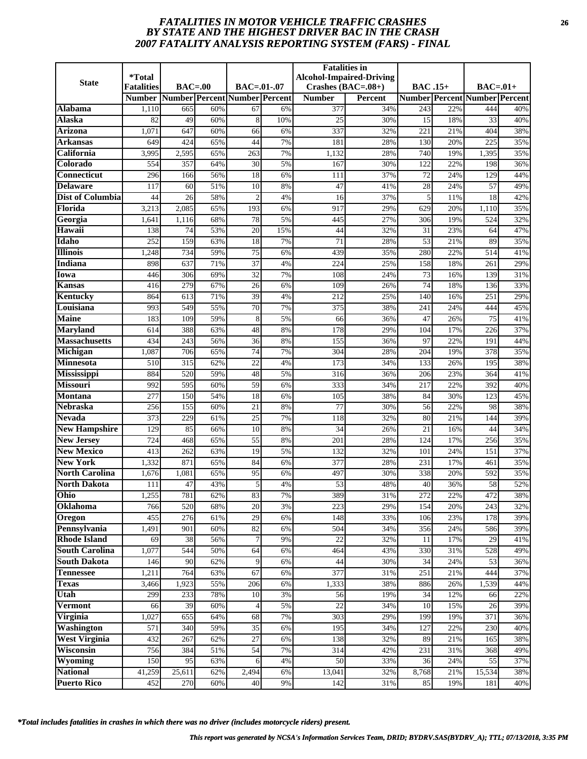# *FATALITIES IN MOTOR VEHICLE TRAFFIC CRASHES* **26** *BY STATE AND THE HIGHEST DRIVER BAC IN THE CRASH 2007 FATALITY ANALYSIS REPORTING SYSTEM (FARS) - FINAL*

| <b>State</b>                         | <i>*</i> Total<br><b>Fatalities</b> | $BAC=00$    |            | BAC=.01-.07                   |          | <b>Fatalities</b> in<br>Crashes $(BAC=.08+)$ | <b>Alcohol-Impaired-Driving</b> | <b>BAC</b> .15+ |            | $BAC=.01+$                           |            |
|--------------------------------------|-------------------------------------|-------------|------------|-------------------------------|----------|----------------------------------------------|---------------------------------|-----------------|------------|--------------------------------------|------------|
|                                      | <b>Number</b>                       |             |            | Number Percent Number Percent |          | <b>Number</b>                                | Percent                         |                 |            | <b>Number Percent Number Percent</b> |            |
| Alabama                              | 1,110                               | 665         | 60%        | 67                            | 6%       | 377                                          | 34%                             | 243             | 22%        | 444                                  | 40%        |
| <b>Alaska</b>                        | 82                                  | 49          | 60%        | 8                             | 10%      | 25                                           | 30%                             | 15              | 18%        | 33                                   | 40%        |
| Arizona                              | 1,071                               | 647         | 60%        | 66                            | 6%       | 337                                          | 32%                             | 221             | 21%        | 404                                  | 38%        |
| Arkansas                             | 649                                 | 424         | 65%        | 44                            | 7%       | 181                                          | 28%                             | 130             | 20%        | 225                                  | 35%        |
| California                           | 3,995                               | 2,595       | 65%        | 263                           | 7%       | 1,132                                        | 28%                             | 740             | 19%        | 1,395                                | 35%        |
| Colorado                             | 554                                 | 357         | 64%        | 30                            | 5%       | 167                                          | 30%                             | 122             | 22%        | 198                                  | 36%        |
| <b>Connecticut</b>                   | 296                                 | 166         | 56%        | $\overline{18}$               | 6%       | 111                                          | 37%                             | $\overline{72}$ | 24%        | 129                                  | 44%        |
| <b>Delaware</b>                      | 117                                 | 60          | 51%        | 10                            | 8%       | 47                                           | 41%                             | 28              | 24%        | 57                                   | 49%        |
| <b>Dist of Columbia</b>              | 44                                  | 26          | 58%        | $\overline{2}$                | 4%       | 16                                           | 37%                             | 5               | 11%        | 18                                   | 42%        |
| Florida                              | 3,213                               | 2,085       | 65%        | 193                           | 6%       | 917                                          | 29%                             | 629             | 20%        | 1,110                                | 35%        |
| Georgia                              | 1,641                               | 1,116       | 68%        | 78                            | 5%       | 445                                          | 27%                             | 306             | 19%        | 524                                  | 32%        |
| Hawaii                               | 138                                 | 74          | 53%        | 20                            | 15%      | 44                                           | 32%                             | 31              | 23%        | 64                                   | 47%        |
| Idaho                                | 252                                 | 159         | 63%        | 18                            | 7%       | 71                                           | 28%                             | 53              | 21%        | 89                                   | 35%        |
| <b>Illinois</b>                      | 1,248                               | 734         | 59%        | $\overline{75}$               | 6%       | 439                                          | 35%                             | 280             | 22%        | 514                                  | 41%        |
| <b>Indiana</b>                       | 898                                 | 637         | 71%        | 37                            | 4%       | 224                                          | 25%                             | 158             | 18%        | 261                                  | 29%        |
| Iowa                                 | 446                                 | 306         | 69%        | 32                            | 7%       | 108                                          | 24%                             | 73              | 16%        | 139                                  | 31%        |
| Kansas                               | 416                                 | 279         | 67%        | 26                            | 6%       | 109                                          | 26%                             | 74              | 18%        | 136                                  | 33%        |
| Kentucky                             | 864                                 | 613         | 71%        | 39                            | 4%       | 212                                          | 25%                             | 140             | 16%        | 251                                  | 29%        |
| Louisiana                            | 993                                 | 549         | 55%        | 70                            | 7%       | 375                                          | 38%                             | 241             | 24%        | 444                                  | 45%        |
| <b>Maine</b>                         | 183                                 | 109         | 59%        | 8                             | 5%       | 66                                           | 36%                             | 47              | 26%        | 75                                   | 41%        |
| <b>Maryland</b>                      | 614                                 | 388         | 63%        | 48                            | 8%       | 178                                          | 29%                             | 104             | 17%        | 226                                  | 37%        |
| <b>Massachusetts</b>                 | 434                                 | 243         | 56%        | 36                            | 8%       | 155                                          | 36%                             | 97              | 22%        | 191                                  | 44%        |
| Michigan                             | 1,087                               | 706         | 65%        | 74                            | 7%       | 304                                          | 28%                             | 204             | 19%        | 378                                  | 35%        |
| Minnesota                            | 510                                 | 315         | 62%        | 22                            | 4%       | 173                                          | 34%                             | 133             | 26%        | 195                                  | 38%        |
| Mississippi                          | 884                                 | 520         | 59%        | 48                            | 5%       | 316                                          | 36%                             | 206             | 23%        | 364                                  | 41%        |
| <b>Missouri</b>                      | 992                                 | 595         | 60%        | 59                            | 6%       | 333                                          | 34%                             | 217             | 22%        | 392                                  | 40%        |
| <b>Montana</b>                       | 277                                 | 150         | 54%        | 18                            | 6%       | 105                                          | 38%                             | 84              | 30%        | 123                                  | 45%        |
| <b>Nebraska</b>                      | 256                                 | 155         | 60%        | 21                            | 8%       | $\overline{77}$                              | 30%                             | 56              | 22%        | 98                                   | 38%        |
| <b>Nevada</b>                        | 373                                 | 229         | 61%        | $\overline{25}$               | 7%       | 118                                          | 32%                             | 80              | 21%        | 144                                  | 39%        |
| <b>New Hampshire</b>                 | 129                                 | 85          | 66%        | 10                            | 8%       | 34                                           | 26%                             | 21              | 16%        | 44                                   | 34%        |
| <b>New Jersey</b>                    | 724                                 | 468         | 65%        | 55                            | 8%       | 201                                          | 28%                             | 124             | 17%        | 256                                  | 35%        |
| <b>New Mexico</b><br><b>New York</b> | 413                                 | 262         | 63%        | $\overline{19}$<br>84         | 5%       | 132                                          | 32%                             | 101             | 24%        | 151                                  | 37%        |
| <b>North Carolina</b>                | 1,332                               | 871         | 65%        |                               | 6%       | 377                                          | 28%                             | 231             | 17%        | 461                                  | 35%        |
| <b>North Dakota</b>                  | 1,676                               | 1,081<br>47 | 65%<br>43% | 95<br>5                       | 6%<br>4% | 497<br>53                                    | 30%<br>48%                      | 338<br>40       | 20%<br>36% | 592<br>58                            | 35%<br>52% |
| Ohio                                 | 111<br>1,255                        | 781         | 62%        | 83                            | 7%       | 389                                          | 31%                             | 272             | 22%        | 472                                  | 38%        |
| Oklahoma                             | 766                                 | 520         | 68%        | 20                            | 3%       | 223                                          | 29%                             | 154             | 20%        | 243                                  | 32%        |
| Oregon                               | 455                                 | 276         | 61%        | 29                            | 6%       | 148                                          | 33%                             | 106             | 23%        | 178                                  | 39%        |
| Pennsylvania                         | 1,491                               | 901         | 60%        | 82                            | 6%       | 504                                          | 34%                             | 356             | 24%        | 586                                  | 39%        |
| <b>Rhode Island</b>                  | 69                                  | 38          | 56%        | $\overline{7}$                | 9%       | $\overline{22}$                              | 32%                             | 11              | 17%        | 29                                   | 41%        |
| <b>South Carolina</b>                | 1,077                               | 544         | 50%        | 64                            | 6%       | 464                                          | 43%                             | 330             | 31%        | 528                                  | 49%        |
| <b>South Dakota</b>                  | 146                                 | 90          | 62%        | 9                             | 6%       | 44                                           | 30%                             | 34              | 24%        | 53                                   | 36%        |
| <b>Tennessee</b>                     | 1,211                               | 764         | 63%        | 67                            | 6%       | 377                                          | 31%                             | 251             | 21%        | 444                                  | 37%        |
| <b>Texas</b>                         | 3,466                               | 1,923       | 55%        | 206                           | 6%       | 1,333                                        | 38%                             | 886             | 26%        | 1,539                                | 44%        |
| Utah                                 | 299                                 | 233         | 78%        | 10                            | 3%       | 56                                           | 19%                             | 34              | 12%        | 66                                   | 22%        |
| Vermont                              | 66                                  | 39          | 60%        |                               | 5%       | $\overline{22}$                              | 34%                             | 10              | 15%        | 26                                   | 39%        |
| Virginia                             | 1,027                               | 655         | 64%        | 68                            | 7%       | 303                                          | 29%                             | 199             | 19%        | 371                                  | 36%        |
| Washington                           | 571                                 | 340         | 59%        | 35                            | 6%       | 195                                          | 34%                             | 127             | 22%        | 230                                  | 40%        |
| <b>West Virginia</b>                 | 432                                 | 267         | 62%        | 27                            | 6%       | 138                                          | 32%                             | 89              | 21%        | 165                                  | 38%        |
| Wisconsin                            | 756                                 | 384         | 51%        | 54                            | 7%       | 314                                          | 42%                             | 231             | 31%        | 368                                  | 49%        |
| Wyoming                              | 150                                 | 95          | 63%        | 6                             | 4%       | 50                                           | 33%                             | 36              | 24%        | 55                                   | 37%        |
| <b>National</b>                      | 41,259                              | 25,611      | 62%        | 2,494                         | 6%       | 13,041                                       | 32%                             | 8,768           | 21%        | 15,534                               | 38%        |
| <b>Puerto Rico</b>                   | 452                                 | 270         | 60%        | 40                            | 9%       | 142                                          | 31%                             | 85              | 19%        | 181                                  | 40%        |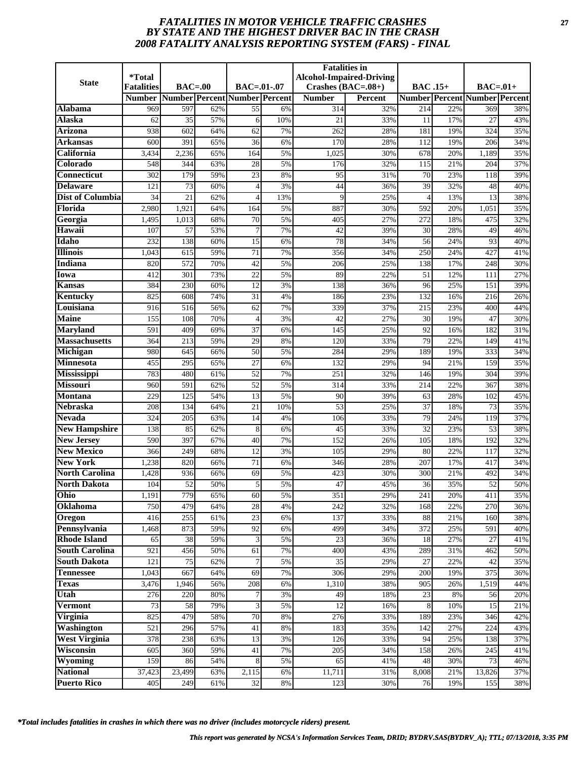# *FATALITIES IN MOTOR VEHICLE TRAFFIC CRASHES* **27** *BY STATE AND THE HIGHEST DRIVER BAC IN THE CRASH 2008 FATALITY ANALYSIS REPORTING SYSTEM (FARS) - FINAL*

|                                         | <i><b>*Total</b></i> |                  |            |                               |          | <b>Fatalities in</b> | <b>Alcohol-Impaired-Driving</b> |                 |            |                                      |            |
|-----------------------------------------|----------------------|------------------|------------|-------------------------------|----------|----------------------|---------------------------------|-----------------|------------|--------------------------------------|------------|
| <b>State</b>                            | <b>Fatalities</b>    | $BAC=00$         |            | $BAC = .01-.07$               |          | Crashes $(BAC=.08+)$ |                                 | <b>BAC</b> .15+ |            | $BAC=01+$                            |            |
|                                         | <b>Number</b>        |                  |            | Number Percent Number Percent |          | <b>Number</b>        | <b>Percent</b>                  |                 |            | <b>Number Percent Number Percent</b> |            |
| Alabama                                 | 969                  | 597              | 62%        | 55                            | 6%       | 314                  | 32%                             | 214             | 22%        | 369                                  | 38%        |
| Alaska                                  | 62                   | 35               | 57%        | 6                             | 10%      | 21                   | 33%                             | 11              | 17%        | 27                                   | 43%        |
| <b>Arizona</b>                          | 938                  | 602              | 64%        | 62                            | 7%       | 262                  | 28%                             | 181             | 19%        | 324                                  | 35%        |
| Arkansas                                | 600                  | 391              | 65%        | 36                            | 6%       | 170                  | 28%                             | 112             | 19%        | 206                                  | 34%        |
| California                              | 3,434                | 2,236            | 65%        | 164                           | 5%       | 1,025                | 30%                             | 678             | 20%        | 1,189                                | 35%        |
| Colorado                                | 548                  | 344              | 63%        | 28                            | 5%       | 176                  | 32%                             | 115             | 21%        | 204                                  | 37%        |
| <b>Connecticut</b>                      | 302                  | 179              | 59%        | $\overline{23}$               | 8%       | 95                   | 31%                             | $\overline{70}$ | 23%        | 118                                  | 39%        |
| <b>Delaware</b>                         | 121                  | 73               | 60%        | $\overline{4}$                | 3%       | 44                   | 36%                             | 39              | 32%        | 48                                   | 40%        |
| <b>Dist of Columbia</b>                 | 34                   | 21               | 62%        | 4                             | 13%      | 9                    | 25%                             | $\overline{4}$  | 13%        | 13                                   | 38%        |
| Florida                                 | 2,980                | 1,921            | 64%        | 164                           | 5%       | 887                  | 30%                             | 592             | 20%        | 1,051                                | 35%        |
| Georgia                                 | 1,495                | 1,013            | 68%        | 70                            | 5%       | 405                  | 27%                             | 272             | 18%        | 475                                  | 32%        |
| Hawaii                                  | 107                  | 57               | 53%        | $\overline{7}$                | 7%       | 42                   | 39%                             | 30              | 28%        | 49                                   | 46%        |
| Idaho                                   | 232                  | 138              | 60%        | 15                            | 6%       | 78                   | 34%                             | 56              | 24%        | 93                                   | 40%        |
| <b>Illinois</b>                         | 1,043                | 615              | 59%        | 71                            | 7%       | 356                  | 34%                             | 250             | 24%        | 427                                  | 41%        |
| <b>Indiana</b>                          | 820                  | 572              | 70%        | 42                            | 5%       | 206                  | 25%                             | 138             | 17%        | 248                                  | 30%        |
| Iowa                                    | 412                  | 301              | 73%        | 22                            | 5%       | 89                   | 22%                             | 51              | 12%        | 111                                  | 27%        |
| Kansas                                  | 384                  | 230              | 60%        | 12                            | 3%       | 138                  | 36%                             | 96              | 25%        | 151                                  | 39%        |
| Kentucky                                | 825                  | 608              | 74%        | $\overline{31}$               | 4%       | 186                  | 23%                             | 132             | 16%        | 216                                  | 26%        |
| Louisiana                               | 916                  | 516              | 56%        | 62                            | 7%       | 339                  | 37%                             | 215             | 23%        | 400                                  | 44%        |
| <b>Maine</b>                            | 155                  | 108              | 70%        | $\overline{4}$                | 3%       | 42                   | 27%                             | 30              | 19%        | 47                                   | 30%        |
| <b>Maryland</b><br><b>Massachusetts</b> | 591                  | 409              | 69%        | 37                            | 6%       | 145                  | 25%                             | 92<br>79        | 16%        | 182                                  | 31%        |
|                                         | 364<br>980           | 213<br>645       | 59%<br>66% | 29<br>50                      | 8%<br>5% | 120<br>284           | 33%<br>29%                      | 189             | 22%<br>19% | 149<br>333                           | 41%<br>34% |
| Michigan<br><b>Minnesota</b>            | 455                  | 295              | 65%        | 27                            |          | 132                  | 29%                             | 94              | 21%        | 159                                  | 35%        |
| <b>Mississippi</b>                      | 783                  | 480              | 61%        | $\overline{52}$               | 6%<br>7% | 251                  | 32%                             | 146             | 19%        | 304                                  | 39%        |
| <b>Missouri</b>                         | 960                  | 591              | 62%        | 52                            | 5%       | 314                  | 33%                             | 214             | 22%        | 367                                  | 38%        |
| <b>Montana</b>                          | 229                  | 125              | 54%        | 13                            | 5%       | 90                   | 39%                             | 63              | 28%        | 102                                  | 45%        |
| <b>Nebraska</b>                         | 208                  | 134              | 64%        | 21                            | 10%      | $\overline{53}$      | 25%                             | 37              | 18%        | 73                                   | 35%        |
| <b>Nevada</b>                           | 324                  | 205              | 63%        | 14                            | 4%       | 106                  | 33%                             | 79              | 24%        | 119                                  | 37%        |
| <b>New Hampshire</b>                    | 138                  | 85               | 62%        | 8                             | 6%       | 45                   | 33%                             | 32              | 23%        | 53                                   | 38%        |
| <b>New Jersey</b>                       | 590                  | 397              | 67%        | 40                            | 7%       | 152                  | 26%                             | 105             | 18%        | 192                                  | 32%        |
| <b>New Mexico</b>                       | 366                  | $\overline{249}$ | 68%        | $\overline{12}$               | 3%       | 105                  | 29%                             | 80              | 22%        | 117                                  | 32%        |
| <b>New York</b>                         | 1,238                | 820              | 66%        | 71                            | 6%       | 346                  | 28%                             | 207             | 17%        | 417                                  | 34%        |
| <b>North Carolina</b>                   | 1,428                | 936              | 66%        | 69                            | 5%       | 423                  | 30%                             | 300             | 21%        | 492                                  | 34%        |
| <b>North Dakota</b>                     | 104                  | 52               | 50%        | 5                             | 5%       | 47                   | 45%                             | 36              | 35%        | 52                                   | 50%        |
| Ohio                                    | 1,191                | 779              | 65%        | 60                            | 5%       | 351                  | 29%                             | 241             | 20%        | 411                                  | 35%        |
| Oklahoma                                | 750                  | 479              | 64%        | 28                            | 4%       | 242                  | 32%                             | 168             | 22%        | 270                                  | 36%        |
| Oregon                                  | 416                  | 255              | 61%        | 23                            | 6%       | 137                  | 33%                             | 88              | 21%        | 160                                  | 38%        |
| Pennsylvania                            | 1,468                | 873              | 59%        | 92                            | 6%       | 499                  | 34%                             | 372             | 25%        | 591                                  | 40%        |
| <b>Rhode Island</b>                     | 65                   | 38               | 59%        | 3                             | 5%       | 23                   | 36%                             | 18              | 27%        | 27                                   | 41%        |
| <b>South Carolina</b>                   | 921                  | 456              | 50%        | 61                            | 7%       | 400                  | 43%                             | 289             | 31%        | 462                                  | 50%        |
| <b>South Dakota</b>                     | 121                  | 75               | 62%        | 7                             | 5%       | 35                   | 29%                             | 27              | 22%        | 42                                   | 35%        |
| <b>Tennessee</b>                        | 1,043                | 667              | 64%        | 69                            | 7%       | 306                  | 29%                             | 200             | 19%        | 375                                  | 36%        |
| <b>Texas</b>                            | 3,476                | 1,946            | 56%        | 208                           | 6%       | 1,310                | 38%                             | 905             | 26%        | 1,519                                | 44%        |
| Utah                                    | 276                  | 220              | 80%        |                               | 3%       | 49                   | 18%                             | 23              | 8%         | 56                                   | 20%        |
| <b>Vermont</b>                          | 73                   | 58               | 79%        | 3                             | 5%       | 12                   | 16%                             | 8               | 10%        | 15                                   | 21%        |
| Virginia                                | 825                  | 479              | 58%        | 70                            | 8%       | 276                  | 33%                             | 189             | 23%        | 346                                  | 42%        |
| <b>Washington</b>                       | 521                  | 296              | 57%        | 41                            | 8%       | 183                  | 35%                             | 142             | 27%        | 224                                  | 43%        |
| <b>West Virginia</b>                    | 378                  | 238              | 63%        | 13                            | 3%       | 126                  | 33%                             | 94              | 25%        | 138                                  | 37%        |
| Wisconsin                               | 605                  | 360              | 59%        | 41                            | 7%       | 205                  | 34%                             | 158             | 26%        | 245                                  | 41%        |
| Wyoming                                 | 159                  | 86               | 54%        | 8                             | 5%       | 65                   | 41%                             | 48              | 30%        | 73                                   | 46%        |
| <b>National</b>                         | 37,423               | 23,499           | 63%        | 2,115                         | 6%       | 11,711               | 31%                             | 8,008           | 21%        | 13,826                               | 37%        |
| <b>Puerto Rico</b>                      | 405                  | 249              | 61%        | 32                            | 8%       | 123                  | 30%                             | 76              | 19%        | 155                                  | 38%        |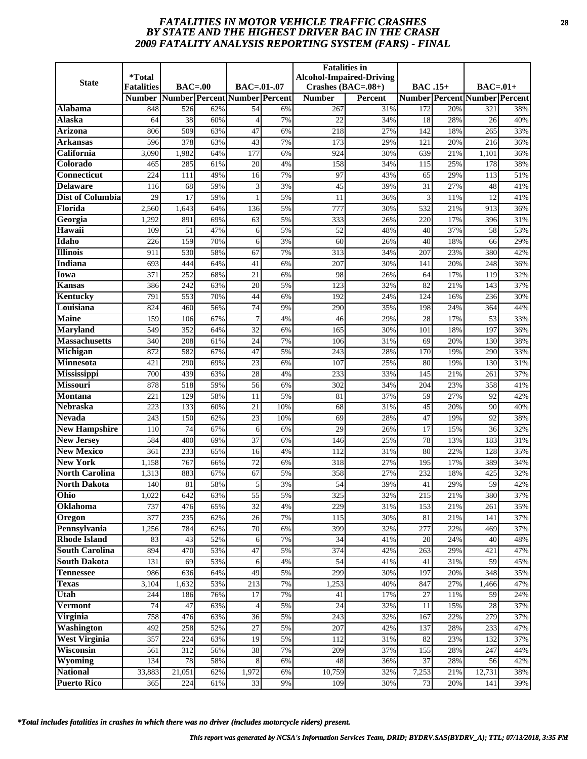# *FATALITIES IN MOTOR VEHICLE TRAFFIC CRASHES* **28** *BY STATE AND THE HIGHEST DRIVER BAC IN THE CRASH 2009 FATALITY ANALYSIS REPORTING SYSTEM (FARS) - FINAL*

| <b>State</b>            | *Total<br><b>Fatalities</b> | $BAC=00$         |     | BAC=.01-.07                   |     | <b>Fatalities</b> in<br>Crashes $(BAC=.08+)$ | <b>Alcohol-Impaired-Driving</b> | <b>BAC</b> .15+ |     | $BAC=.01+$                           |     |
|-------------------------|-----------------------------|------------------|-----|-------------------------------|-----|----------------------------------------------|---------------------------------|-----------------|-----|--------------------------------------|-----|
|                         | <b>Number</b>               |                  |     | Number Percent Number Percent |     | <b>Number</b>                                | Percent                         |                 |     | <b>Number Percent Number Percent</b> |     |
| Alabama                 | 848                         | 526              | 62% | 54                            | 6%  | 267                                          | 31%                             | 172             | 20% | 321                                  | 38% |
| <b>Alaska</b>           | 64                          | 38               | 60% | $\Delta$                      | 7%  | 22                                           | 34%                             | 18              | 28% | 26                                   | 40% |
| Arizona                 | 806                         | 509              | 63% | 47                            | 6%  | 218                                          | 27%                             | 142             | 18% | 265                                  | 33% |
| Arkansas                | 596                         | 378              | 63% | 43                            | 7%  | 173                                          | 29%                             | 121             | 20% | 216                                  | 36% |
| California              | 3,090                       | 1,982            | 64% | 177                           | 6%  | 924                                          | 30%                             | 639             | 21% | 1,101                                | 36% |
| Colorado                | 465                         | 285              | 61% | 20                            | 4%  | 158                                          | 34%                             | 115             | 25% | 178                                  | 38% |
| <b>Connecticut</b>      | 224                         | $\overline{111}$ | 49% | 16                            | 7%  | 97                                           | 43%                             | 65              | 29% | 113                                  | 51% |
| <b>Delaware</b>         | 116                         | 68               | 59% | 3                             | 3%  | 45                                           | 39%                             | 31              | 27% | 48                                   | 41% |
| <b>Dist of Columbia</b> | 29                          | 17               | 59% |                               | 5%  | 11                                           | 36%                             | 3               | 11% | 12                                   | 41% |
| Florida                 | 2,560                       | 1,643            | 64% | 136                           | 5%  | 777                                          | 30%                             | 532             | 21% | 913                                  | 36% |
| Georgia                 | 1,292                       | 891              | 69% | 63                            | 5%  | 333                                          | 26%                             | 220             | 17% | 396                                  | 31% |
| Hawaii                  | 109                         | 51               | 47% | 6                             | 5%  | 52                                           | 48%                             | 40              | 37% | 58                                   | 53% |
| Idaho                   | 226                         | 159              | 70% | 6                             | 3%  | 60                                           | 26%                             | 40              | 18% | 66                                   | 29% |
| <b>Illinois</b>         | 911                         | 530              | 58% | 67                            | 7%  | 313                                          | 34%                             | 207             | 23% | 380                                  | 42% |
| <b>Indiana</b>          | 693                         | 444              | 64% | 41                            | 6%  | 207                                          | 30%                             | 141             | 20% | 248                                  | 36% |
| Iowa                    | 371                         | 252              | 68% | 21                            | 6%  | 98                                           | 26%                             | 64              | 17% | 119                                  | 32% |
| Kansas                  | 386                         | 242              | 63% | 20                            | 5%  | 123                                          | 32%                             | 82              | 21% | 143                                  | 37% |
| Kentucky                | 791                         | 553              | 70% | 44                            | 6%  | 192                                          | 24%                             | 124             | 16% | 236                                  | 30% |
| Louisiana               | 824                         | 460              | 56% | 74                            | 9%  | 290                                          | 35%                             | 198             | 24% | 364                                  | 44% |
| <b>Maine</b>            | 159                         | 106              | 67% | $\overline{7}$                | 4%  | 46                                           | 29%                             | 28              | 17% | 53                                   | 33% |
| <b>Maryland</b>         | 549                         | 352              | 64% | $\overline{32}$               | 6%  | 165                                          | 30%                             | 101             | 18% | 197                                  | 36% |
| <b>Massachusetts</b>    | 340                         | 208              | 61% | 24                            | 7%  | 106                                          | 31%                             | 69              | 20% | 130                                  | 38% |
| Michigan                | 872                         | 582              | 67% | 47                            | 5%  | 243                                          | 28%                             | 170             | 19% | 290                                  | 33% |
| Minnesota               | 421                         | 290              | 69% | 23                            | 6%  | 107                                          | 25%                             | 80              | 19% | 130                                  | 31% |
| Mississippi             | 700                         | 439              | 63% | 28                            | 4%  | 233                                          | 33%                             | 145             | 21% | 261                                  | 37% |
| <b>Missouri</b>         | 878                         | 518              | 59% | 56                            | 6%  | 302                                          | 34%                             | 204             | 23% | 358                                  | 41% |
| <b>Montana</b>          | 221                         | 129              | 58% | 11                            | 5%  | 81                                           | 37%                             | 59              | 27% | 92                                   | 42% |
| <b>Nebraska</b>         | 223                         | 133              | 60% | 21                            | 10% | 68                                           | 31%                             | 45              | 20% | 90                                   | 40% |
| <b>Nevada</b>           | 243                         | 150              | 62% | 23                            | 10% | 69                                           | 28%                             | 47              | 19% | 92                                   | 38% |
| <b>New Hampshire</b>    | 110                         | 74               | 67% | 6                             | 6%  | 29                                           | 26%                             | 17              | 15% | 36                                   | 32% |
| <b>New Jersey</b>       | 584                         | 400              | 69% | 37                            | 6%  | 146                                          | 25%                             | 78              | 13% | 183                                  | 31% |
| <b>New Mexico</b>       | 361                         | 233              | 65% | 16                            | 4%  | 112                                          | 31%                             | 80              | 22% | 128                                  | 35% |
| <b>New York</b>         | 1,158                       | 767              | 66% | 72                            | 6%  | 318                                          | 27%                             | 195             | 17% | 389                                  | 34% |
| <b>North Carolina</b>   | 1,313                       | 883              | 67% | 67                            | 5%  | 358                                          | 27%                             | 232             | 18% | 425                                  | 32% |
| <b>North Dakota</b>     | 140                         | 81               | 58% | 5                             | 3%  | 54                                           | 39%                             | 41              | 29% | 59                                   | 42% |
| Ohio                    | 1,022                       | 642              | 63% | 55                            | 5%  | 325                                          | 32%                             | 215             | 21% | 380                                  | 37% |
| Oklahoma                | 737                         | 476              | 65% | $\overline{32}$               | 4%  | 229                                          | 31%                             | 153             | 21% | 261                                  | 35% |
| Oregon                  | 377                         | 235              | 62% | 26                            | 7%  | 115                                          | 30%                             | 81              | 21% | 141                                  | 37% |
| Pennsylvania            | 1,256                       | 784              | 62% | $70\,$                        | 6%  | 399                                          | 32%                             | 277             | 22% | 469                                  | 37% |
| <b>Rhode Island</b>     | 83                          | 43               | 52% | 6                             | 7%  | 34                                           | 41%                             | 20              | 24% | 40                                   | 48% |
| <b>South Carolina</b>   | 894                         | 470              | 53% | 47                            | 5%  | 374                                          | 42%                             | 263             | 29% | 421                                  | 47% |
| <b>South Dakota</b>     | 131                         | 69               | 53% | 6                             | 4%  | 54                                           | 41%                             | 41              | 31% | 59                                   | 45% |
| <b>Tennessee</b>        | 986                         | 636              | 64% | 49                            | 5%  | 299                                          | 30%                             | 197             | 20% | 348                                  | 35% |
| <b>Texas</b>            | 3,104                       | 1,632            | 53% | 213                           | 7%  | 1,253                                        | 40%                             | 847             | 27% | 1,466                                | 47% |
| Utah                    | 244                         | 186              | 76% | 17                            | 7%  | 41                                           | 17%                             | 27              | 11% | 59                                   | 24% |
| Vermont                 | 74                          | 47               | 63% | $\overline{4}$                | 5%  | 24                                           | 32%                             | 11              | 15% | 28                                   | 37% |
| Virginia                | 758                         | 476              | 63% | 36                            | 5%  | 243                                          | 32%                             | 167             | 22% | 279                                  | 37% |
| <b>Washington</b>       | 492                         | 258              | 52% | 27                            | 5%  | 207                                          | 42%                             | 137             | 28% | 233                                  | 47% |
| <b>West Virginia</b>    | 357                         | 224              | 63% | 19                            | 5%  | 112                                          | 31%                             | 82              | 23% | 132                                  | 37% |
| Wisconsin               | 561                         | 312              | 56% | 38                            | 7%  | 209                                          | 37%                             | 155             | 28% | 247                                  | 44% |
| Wyoming                 | 134                         | 78               | 58% | 8                             | 6%  | 48                                           | 36%                             | 37              | 28% | 56                                   | 42% |
| <b>National</b>         | 33,883                      | 21,051           | 62% | 1,972                         | 6%  | 10,759                                       | 32%                             | 7,253           | 21% | 12,731                               | 38% |
| <b>Puerto Rico</b>      | 365                         | 224              | 61% | 33                            | 9%  | 109                                          | 30%                             | 73              | 20% | 141                                  | 39% |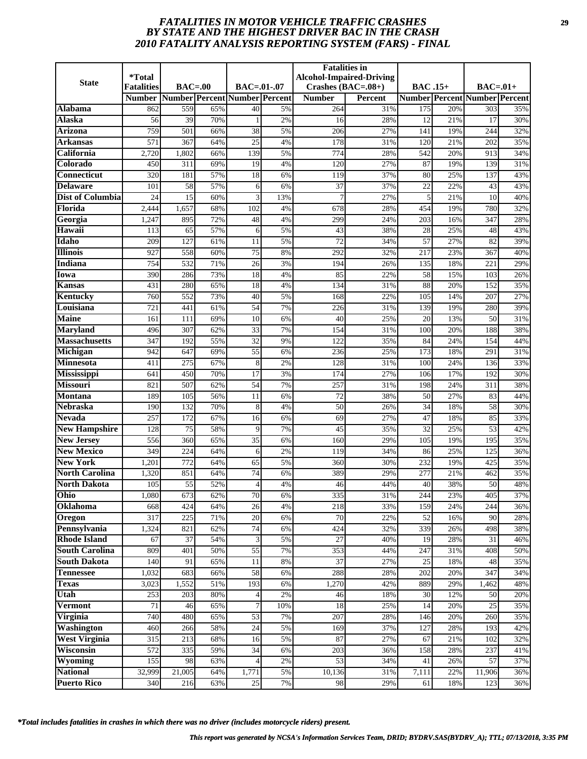# *FATALITIES IN MOTOR VEHICLE TRAFFIC CRASHES* **29** *BY STATE AND THE HIGHEST DRIVER BAC IN THE CRASH 2010 FATALITY ANALYSIS REPORTING SYSTEM (FARS) - FINAL*

| <b>State</b>            | *Total<br><b>Fatalities</b> | $BAC=00$ |     | BAC=.01-.07                   |       | <b>Fatalities</b> in<br>Crashes $(BAC=.08+)$ | <b>Alcohol-Impaired-Driving</b> | <b>BAC</b> .15+ |     | $BAC=.01+$                           |     |
|-------------------------|-----------------------------|----------|-----|-------------------------------|-------|----------------------------------------------|---------------------------------|-----------------|-----|--------------------------------------|-----|
|                         | <b>Number</b>               |          |     | Number Percent Number Percent |       | <b>Number</b>                                | Percent                         |                 |     | <b>Number Percent Number Percent</b> |     |
| Alabama                 | 862                         | 559      | 65% | 40                            | 5%    | 264                                          | 31%                             | 175             | 20% | 303                                  | 35% |
| <b>Alaska</b>           | 56                          | 39       | 70% |                               | 2%    | 16                                           | 28%                             | 12              | 21% | 17                                   | 30% |
| <b>Arizona</b>          | 759                         | 501      | 66% | 38                            | 5%    | 206                                          | 27%                             | 141             | 19% | 244                                  | 32% |
| Arkansas                | 571                         | 367      | 64% | $\overline{25}$               | 4%    | 178                                          | 31%                             | 120             | 21% | 202                                  | 35% |
| California              | 2,720                       | 1,802    | 66% | 139                           | 5%    | 774                                          | 28%                             | 542             | 20% | 913                                  | 34% |
| Colorado                | 450                         | 311      | 69% | 19                            | 4%    | 120                                          | 27%                             | 87              | 19% | 139                                  | 31% |
| <b>Connecticut</b>      | 320                         | 181      | 57% | $\overline{18}$               | 6%    | 119                                          | 37%                             | 80              | 25% | 137                                  | 43% |
| <b>Delaware</b>         | 101                         | 58       | 57% | 6                             | 6%    | 37                                           | 37%                             | 22              | 22% | 43                                   | 43% |
| <b>Dist of Columbia</b> | 24                          | 15       | 60% | 3                             | 13%   | $\overline{7}$                               | 27%                             | 5               | 21% | 10                                   | 40% |
| Florida                 | 2,444                       | 1,657    | 68% | 102                           | 4%    | 678                                          | 28%                             | 454             | 19% | 780                                  | 32% |
| Georgia                 | 1,247                       | 895      | 72% | 48                            | 4%    | 299                                          | 24%                             | 203             | 16% | 347                                  | 28% |
| Hawaii                  | 113                         | 65       | 57% | 6                             | 5%    | 43                                           | 38%                             | 28              | 25% | 48                                   | 43% |
| Idaho                   | 209                         | 127      | 61% | 11                            | 5%    | 72                                           | 34%                             | 57              | 27% | 82                                   | 39% |
| <b>Illinois</b>         | 927                         | 558      | 60% | $\overline{75}$               | 8%    | 292                                          | 32%                             | 217             | 23% | 367                                  | 40% |
| <b>Indiana</b>          | 754                         | 532      | 71% | 26                            | 3%    | 194                                          | 26%                             | 135             | 18% | 221                                  | 29% |
| Iowa                    | 390                         | 286      | 73% | 18                            | 4%    | 85                                           | 22%                             | 58              | 15% | 103                                  | 26% |
| <b>Kansas</b>           | 431                         | 280      | 65% | 18                            | 4%    | 134                                          | 31%                             | 88              | 20% | 152                                  | 35% |
| Kentucky                | 760                         | 552      | 73% | 40                            | 5%    | 168                                          | 22%                             | 105             | 14% | 207                                  | 27% |
| Louisiana               | 721                         | 441      | 61% | 54                            | 7%    | 226                                          | 31%                             | 139             | 19% | 280                                  | 39% |
| <b>Maine</b>            | 161                         | 111      | 69% | 10                            | 6%    | 40                                           | 25%                             | 20              | 13% | 50                                   | 31% |
| <b>Maryland</b>         | 496                         | 307      | 62% | $\overline{33}$               | 7%    | 154                                          | 31%                             | 100             | 20% | 188                                  | 38% |
| <b>Massachusetts</b>    | 347                         | 192      | 55% | 32                            | 9%    | 122                                          | 35%                             | 84              | 24% | 154                                  | 44% |
| Michigan                | 942                         | 647      | 69% | 55                            | 6%    | 236                                          | 25%                             | 173             | 18% | 291                                  | 31% |
| Minnesota               | 411                         | 275      | 67% | 8                             | 2%    | 128                                          | 31%                             | 100             | 24% | 136                                  | 33% |
| Mississippi             | 641                         | 450      | 70% | 17                            | 3%    | 174                                          | 27%                             | 106             | 17% | 192                                  | 30% |
| <b>Missouri</b>         | 821                         | 507      | 62% | 54                            | 7%    | 257                                          | 31%                             | 198             | 24% | 311                                  | 38% |
| <b>Montana</b>          | 189                         | 105      | 56% | 11                            | 6%    | 72                                           | 38%                             | 50              | 27% | 83                                   | 44% |
| <b>Nebraska</b>         | 190                         | 132      | 70% | 8                             | 4%    | 50                                           | 26%                             | 34              | 18% | 58                                   | 30% |
| <b>Nevada</b>           | 257                         | 172      | 67% | 16                            | 6%    | 69                                           | 27%                             | 47              | 18% | 85                                   | 33% |
| <b>New Hampshire</b>    | 128                         | 75       | 58% | 9                             | 7%    | 45                                           | 35%                             | 32              | 25% | 53                                   | 42% |
| <b>New Jersey</b>       | 556                         | 360      | 65% | 35                            | 6%    | 160                                          | 29%                             | 105             | 19% | 195                                  | 35% |
| <b>New Mexico</b>       | 349                         | 224      | 64% | 6                             | 2%    | 119                                          | 34%                             | 86              | 25% | 125                                  | 36% |
| <b>New York</b>         | 1,201                       | 772      | 64% | 65                            | 5%    | 360                                          | 30%                             | 232             | 19% | 425                                  | 35% |
| <b>North Carolina</b>   | 1,320                       | 851      | 64% | 74                            | 6%    | 389                                          | 29%                             | 277             | 21% | 462                                  | 35% |
| <b>North Dakota</b>     | 105                         | 55       | 52% | 4                             | 4%    | 46                                           | 44%                             | 40              | 38% | 50                                   | 48% |
| Ohio                    | 1,080                       | 673      | 62% | 70                            | 6%    | 335                                          | 31%                             | 244             | 23% | 405                                  | 37% |
| Oklahoma                | 668                         | 424      | 64% | 26                            | 4%    | 218                                          | 33%                             | 159             | 24% | 244                                  | 36% |
| Oregon                  | 317                         | 225      | 71% | 20                            | 6%    | 70                                           | 22%                             | 52              | 16% | 90                                   | 28% |
| Pennsylvania            | 1,324                       | 821      | 62% | 74                            | 6%    | 424                                          | 32%                             | 339             | 26% | 498                                  | 38% |
| <b>Rhode Island</b>     | 67                          | 37       | 54% | 3                             | 5%    | 27                                           | 40%                             | 19              | 28% | 31                                   | 46% |
| <b>South Carolina</b>   | 809                         | 401      | 50% | 55                            | 7%    | 353                                          | 44%                             | 247             | 31% | 408                                  | 50% |
| <b>South Dakota</b>     | 140                         | 91       | 65% | 11                            | 8%    | 37                                           | 27%                             | 25              | 18% | 48                                   | 35% |
| <b>Tennessee</b>        | 1,032                       | 683      | 66% | 58                            | 6%    | 288                                          | 28%                             | 202             | 20% | 347                                  | 34% |
| <b>Texas</b>            | 3,023                       | 1,552    | 51% | 193                           | 6%    | 1,270                                        | 42%                             | 889             | 29% | 1,462                                | 48% |
| Utah                    | 253                         | 203      | 80% | 4                             | $2\%$ | 46                                           | 18%                             | 30              | 12% | 50                                   | 20% |
| Vermont                 | 71                          | 46       | 65% |                               | 10%   | 18                                           | 25%                             | 14              | 20% | 25                                   | 35% |
| Virginia                | 740                         | 480      | 65% | 53                            | 7%    | 207                                          | 28%                             | 146             | 20% | 260                                  | 35% |
| Washington              | 460                         | 266      | 58% | 24                            | 5%    | 169                                          | 37%                             | 127             | 28% | 193                                  | 42% |
| <b>West Virginia</b>    | 315                         | 213      | 68% | 16                            | 5%    | 87                                           | 27%                             | 67              | 21% | 102                                  | 32% |
| Wisconsin               | 572                         | 335      | 59% | 34                            | 6%    | 203                                          | 36%                             | 158             | 28% | 237                                  | 41% |
| Wyoming                 | 155                         | 98       | 63% |                               | $2\%$ | 53                                           | 34%                             | 41              | 26% | 57                                   | 37% |
| <b>National</b>         | 32,999                      | 21,005   | 64% | 1,771                         | 5%    | 10,136                                       | 31%                             | 7,111           | 22% | $\overline{11,906}$                  | 36% |
| <b>Puerto Rico</b>      | 340                         | 216      | 63% | 25                            | 7%    | 98                                           | 29%                             | 61              | 18% | 123                                  | 36% |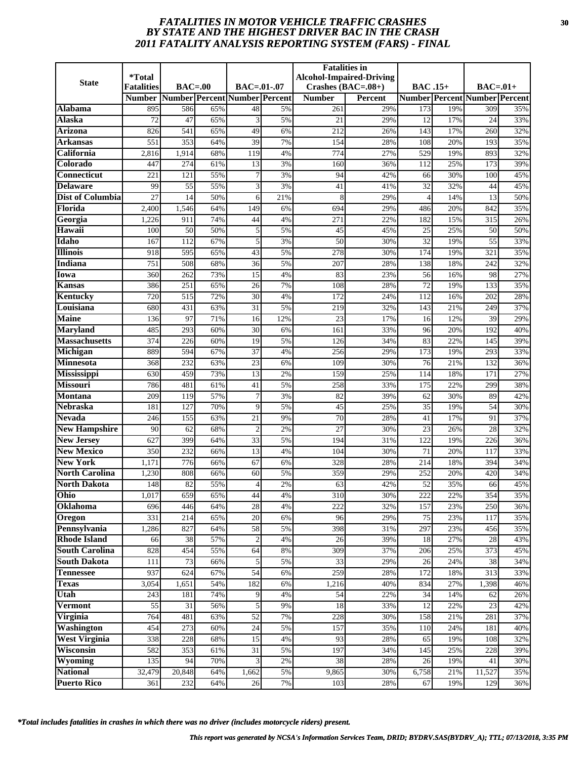# *FATALITIES IN MOTOR VEHICLE TRAFFIC CRASHES* **30** *BY STATE AND THE HIGHEST DRIVER BAC IN THE CRASH 2011 FATALITY ANALYSIS REPORTING SYSTEM (FARS) - FINAL*

| <b>State</b>             | <i><b>*Total</b></i> |            |            |                               |          | <b>Fatalities in</b> | <b>Alcohol-Impaired-Driving</b> |                 |            |                                      |            |
|--------------------------|----------------------|------------|------------|-------------------------------|----------|----------------------|---------------------------------|-----------------|------------|--------------------------------------|------------|
|                          | <b>Fatalities</b>    | $BAC=00$   |            | $BAC = .01-.07$               |          | Crashes $(BAC=.08+)$ |                                 | <b>BAC</b> .15+ |            | $BAC=.01+$                           |            |
|                          | <b>Number</b>        |            |            | Number Percent Number Percent |          | <b>Number</b>        | <b>Percent</b>                  |                 |            | <b>Number Percent Number Percent</b> |            |
| Alabama                  | 895                  | 586        | 65%        | 48                            | 5%       | 261                  | 29%                             | 173             | 19%        | 309                                  | 35%        |
| Alaska<br><b>Arizona</b> | 72<br>826            | 47<br>541  | 65%<br>65% | 3<br>49                       | 5%<br>6% | 21<br>212            | 29%<br>26%                      | 12<br>143       | 17%<br>17% | 24<br>260                            | 33%<br>32% |
| Arkansas                 | 551                  | 353        | 64%        | 39                            | 7%       | 154                  | 28%                             | 108             | 20%        | 193                                  | 35%        |
| California               | 2,816                | 1,914      | 68%        | 119                           | 4%       | 774                  | 27%                             | 529             | 19%        | 893                                  | 32%        |
| Colorado                 | 447                  | 274        | 61%        | 13                            | 3%       | 160                  | 36%                             | 112             | 25%        | 173                                  | 39%        |
| <b>Connecticut</b>       | 221                  | 121        | 55%        |                               | 3%       | 94                   | 42%                             | 66              | 30%        | 100                                  | 45%        |
| <b>Delaware</b>          | 99                   | 55         | 55%        | 3                             | 3%       | 41                   | 41%                             | 32              | 32%        | 44                                   | 45%        |
| <b>Dist of Columbia</b>  | 27                   | 14         | 50%        | 6                             | 21%      | 8                    | 29%                             | $\overline{4}$  | 14%        | 13                                   | 50%        |
| Florida                  | 2,400                | 1,546      | 64%        | 149                           | 6%       | 694                  | 29%                             | 486             | 20%        | 842                                  | 35%        |
| Georgia                  | 1,226                | 911        | 74%        | 44                            | 4%       | 271                  | 22%                             | 182             | 15%        | 315                                  | 26%        |
| Hawaii                   | 100                  | 50         | 50%        | 5                             | 5%       | 45                   | 45%                             | 25              | 25%        | 50                                   | 50%        |
| Idaho                    | 167                  | 112        | 67%        | 5                             | 3%       | 50                   | 30%                             | 32              | 19%        | 55                                   | 33%        |
| <b>Illinois</b>          | 918                  | 595        | 65%        | 43                            | 5%       | 278                  | 30%                             | 174             | 19%        | 321                                  | 35%        |
| Indiana                  | 751                  | 508        | 68%        | 36                            | 5%       | 207                  | 28%                             | 138             | 18%        | 242                                  | 32%        |
| Iowa                     | 360                  | 262        | 73%        | 15                            | 4%       | 83                   | 23%                             | 56              | 16%        | 98                                   | 27%        |
| Kansas                   | 386                  | 251        | 65%        | 26                            | 7%       | 108                  | 28%                             | 72              | 19%        | 133                                  | 35%        |
| Kentucky                 | 720                  | 515        | 72%        | $\overline{30}$               | 4%       | 172                  | 24%                             | 112             | 16%        | 202                                  | 28%        |
| Louisiana                | 680                  | 431        | 63%        | 31                            | 5%       | 219                  | 32%                             | 143             | 21%        | 249                                  | 37%        |
| <b>Maine</b>             | 136                  | 97         | 71%        | 16                            | 12%      | 23                   | 17%                             | 16              | 12%        | 39                                   | 29%        |
| <b>Maryland</b>          | 485                  | 293        | 60%        | 30                            | 6%       | 161                  | 33%                             | 96              | 20%        | 192                                  | 40%        |
| <b>Massachusetts</b>     | 374                  | 226        | 60%        | 19                            | 5%       | 126                  | 34%                             | 83              | 22%        | 145                                  | 39%        |
| Michigan                 | 889                  | 594        | 67%        | 37                            | 4%       | 256                  | 29%                             | 173             | 19%        | 293                                  | 33%        |
| <b>Minnesota</b>         | 368                  | 232        | 63%        | 23                            | 6%       | 109                  | 30%                             | 76              | 21%        | 132                                  | 36%        |
| <b>Mississippi</b>       | 630                  | 459        | 73%        | $\overline{13}$               | 2%       | 159                  | 25%                             | 114             | 18%        | 171                                  | 27%        |
| <b>Missouri</b>          | 786                  | 481        | 61%        | 41                            | 5%       | 258                  | 33%                             | 175             | 22%        | 299                                  | 38%        |
| <b>Montana</b>           | 209                  | 119        | 57%        | 7                             | 3%       | 82                   | 39%                             | 62              | 30%        | 89                                   | 42%        |
| <b>Nebraska</b>          | 181                  | 127        | 70%        | 9                             | 5%       | $\overline{45}$      | 25%                             | 35              | 19%        | $\overline{54}$                      | 30%        |
| <b>Nevada</b>            | 246                  | 155        | 63%        | $\overline{21}$               | 9%       | 70                   | 28%                             | 41              | 17%        | 91                                   | 37%        |
| <b>New Hampshire</b>     | 90                   | 62         | 68%        | $\overline{2}$                | 2%       | $\overline{27}$      | 30%                             | 23              | 26%        | 28                                   | 32%        |
| <b>New Jersey</b>        | 627                  | 399        | 64%        | 33                            | 5%       | 194                  | 31%                             | 122             | 19%        | 226                                  | 36%        |
| <b>New Mexico</b>        | 350                  | 232        | 66%        | $\overline{13}$               | 4%       | 104                  | 30%                             | $\overline{71}$ | 20%        | 117                                  | 33%        |
| <b>New York</b>          | 1,171                | 776        | 66%        | 67                            | 6%       | 328                  | 28%                             | 214             | 18%        | 394                                  | 34%        |
| <b>North Carolina</b>    | 1,230                | 808        | 66%        | 60                            | 5%       | 359                  | 29%                             | 252             | 20%        | 420                                  | 34%        |
| <b>North Dakota</b>      | 148                  | 82         | 55%        | 4                             | 2%       | 63                   | 42%                             | 52              | 35%        | 66                                   | 45%        |
| Ohio                     | 1,017                | 659        | 65%        | 44                            | 4%       | 310                  | 30%                             | 222             | 22%        | 354                                  | 35%        |
| Oklahoma                 | 696                  | 446        | 64%        | 28                            | 4%       | 222                  | 32%                             | 157             | 23%        | 250                                  | 36%        |
| Oregon<br>Pennsylvania   | 331                  | 214<br>827 | 65%        | 20                            | 6%       | 96                   | 29%                             | 75              | 23%        | 117                                  | 35%        |
| <b>Rhode Island</b>      | 1,286<br>66          | 38         | 64%<br>57% | 58<br>$\overline{2}$          | 5%<br>4% | 398<br>26            | 31%<br>39%                      | 297<br>18       | 23%<br>27% | 456<br>28                            | 35%<br>43% |
| <b>South Carolina</b>    | 828                  | 454        | 55%        | 64                            | 8%       | 309                  | 37%                             | 206             | 25%        | 373                                  | 45%        |
| <b>South Dakota</b>      | 111                  | 73         | 66%        | 5                             | 5%       | 33                   | 29%                             | 26              | 24%        | 38                                   | 34%        |
| <b>Tennessee</b>         | 937                  | 624        | 67%        | 54                            | 6%       | 259                  | 28%                             | 172             | 18%        | 313                                  | 33%        |
| <b>Texas</b>             | 3,054                | 1,651      | 54%        | 182                           | 6%       | 1,216                | 40%                             | 834             | 27%        | 1,398                                | 46%        |
| Utah                     | 243                  | 181        | 74%        | 9                             | 4%       | 54                   | 22%                             | 34              | 14%        | 62                                   | 26%        |
| <b>Vermont</b>           | 55                   | 31         | 56%        | 5                             | 9%       | 18                   | 33%                             | 12              | 22%        | 23                                   | 42%        |
| Virginia                 | 764                  | 481        | 63%        | 52                            | 7%       | 228                  | 30%                             | 158             | 21%        | 281                                  | 37%        |
| <b>Washington</b>        | 454                  | 273        | 60%        | 24                            | 5%       | 157                  | 35%                             | 110             | 24%        | 181                                  | 40%        |
| <b>West Virginia</b>     | 338                  | 228        | 68%        | 15                            | 4%       | 93                   | 28%                             | 65              | 19%        | 108                                  | 32%        |
| Wisconsin                | 582                  | 353        | 61%        | 31                            | 5%       | 197                  | 34%                             | 145             | 25%        | 228                                  | 39%        |
| Wyoming                  | 135                  | 94         | 70%        |                               | 2%       | 38                   | 28%                             | 26              | 19%        | 41                                   | 30%        |
| <b>National</b>          | 32,479               | 20,848     | 64%        | 1,662                         | 5%       | 9,865                | 30%                             | 6,758           | 21%        | 11,527                               | 35%        |
| <b>Puerto Rico</b>       | 361                  | 232        | 64%        | 26                            | 7%       | 103                  | 28%                             | 67              | 19%        | 129                                  | 36%        |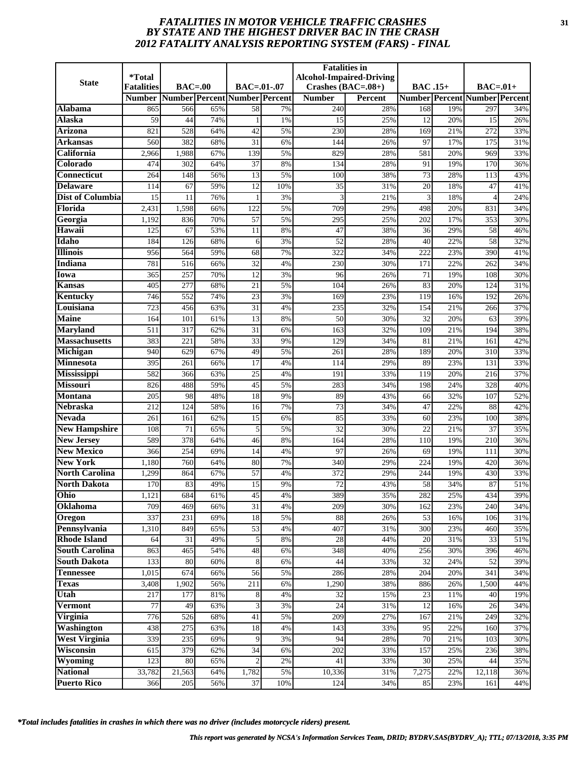# *FATALITIES IN MOTOR VEHICLE TRAFFIC CRASHES* **31** *BY STATE AND THE HIGHEST DRIVER BAC IN THE CRASH 2012 FATALITY ANALYSIS REPORTING SYSTEM (FARS) - FINAL*

| <b>State</b>                              | *Total<br><b>Fatalities</b> | $BAC=00$         |            | BAC=.01-.07                   |          | <b>Fatalities</b> in<br>Crashes $(BAC=.08+)$ | <b>Alcohol-Impaired-Driving</b> | <b>BAC</b> .15+ |            | $BAC=01+$                            |            |
|-------------------------------------------|-----------------------------|------------------|------------|-------------------------------|----------|----------------------------------------------|---------------------------------|-----------------|------------|--------------------------------------|------------|
|                                           | <b>Number</b>               |                  |            | Number Percent Number Percent |          | <b>Number</b>                                | Percent                         |                 |            | <b>Number Percent Number Percent</b> |            |
| Alabama                                   | 865                         | 566              | 65%        | 58                            | 7%       | 240                                          | 28%                             | 168             | 19%        | 297                                  | 34%        |
| <b>Alaska</b>                             | 59                          | 44               | 74%        |                               | 1%       | 15                                           | 25%                             | 12              | 20%        | 15                                   | 26%        |
| Arizona                                   | 821                         | 528              | 64%        | 42                            | 5%       | 230                                          | 28%                             | 169             | 21%        | 272                                  | 33%        |
| Arkansas                                  | 560                         | 382              | 68%        | $\overline{31}$               | 6%       | 144                                          | 26%                             | 97              | 17%        | 175                                  | 31%        |
| California                                | 2,966                       | 1,988            | 67%        | 139                           | 5%       | 829                                          | 28%                             | 581             | 20%        | 969                                  | 33%        |
| Colorado                                  | 474                         | 302              | 64%        | 37                            | 8%       | 134                                          | 28%                             | 91              | 19%        | 170                                  | 36%        |
| <b>Connecticut</b>                        | 264                         | 148              | 56%        | $\overline{13}$               | 5%       | 100                                          | 38%                             | $\overline{73}$ | 28%        | 113                                  | 43%        |
| <b>Delaware</b>                           | 114                         | 67               | 59%        | $\overline{12}$               | 10%      | 35                                           | 31%                             | 20              | 18%        | 47                                   | 41%        |
| <b>Dist of Columbia</b>                   | 15                          | 11               | 76%        | $\mathbf{1}$                  | 3%       | 3                                            | 21%                             | 3               | 18%        | $\overline{4}$                       | 24%        |
| Florida                                   | 2,431                       | 1,598            | 66%        | 122                           | 5%       | 709                                          | 29%                             | 498             | 20%        | 831                                  | 34%        |
| Georgia                                   | 1,192                       | 836              | 70%        | $\overline{57}$               | 5%       | 295                                          | 25%                             | 202             | 17%        | 353                                  | 30%        |
| Hawaii                                    | 125                         | 67               | 53%        | 11                            | 8%       | 47                                           | 38%                             | 36              | 29%        | 58                                   | 46%        |
| Idaho                                     | 184                         | 126              | 68%        | 6                             | 3%       | 52                                           | 28%                             | 40              | 22%        | 58                                   | 32%        |
| <b>Illinois</b>                           | 956                         | 564              | 59%        | 68                            | 7%       | 322                                          | 34%                             | 222             | 23%        | 390                                  | 41%        |
| <b>Indiana</b>                            | 781                         | 516              | 66%        | 32                            | 4%       | 230                                          | 30%                             | 171             | 22%        | 262                                  | 34%        |
| Iowa                                      | 365                         | 257              | 70%        | 12                            | 3%       | 96                                           | 26%                             | 71              | 19%        | 108                                  | 30%        |
| <b>Kansas</b>                             | 405                         | 277              | 68%        | 21                            | 5%       | 104                                          | 26%                             | 83              | 20%        | 124                                  | 31%        |
| Kentucky                                  | 746                         | 552              | 74%        | $\overline{23}$               | 3%       | 169                                          | 23%                             | 119             | 16%        | 192                                  | 26%        |
| Louisiana                                 | 723                         | 456              | 63%        | 31                            | 4%       | 235                                          | 32%                             | 154             | 21%        | 266                                  | 37%        |
| <b>Maine</b>                              | 164                         | 101              | 61%        | 13                            | 8%       | 50                                           | 30%                             | 32              | 20%        | 63                                   | 39%        |
| <b>Maryland</b>                           | 511                         | $\overline{317}$ | 62%        | $\overline{31}$               | 6%       | 163                                          | 32%                             | 109             | 21%        | 194                                  | 38%        |
| <b>Massachusetts</b>                      | 383                         | 221              | 58%        | 33                            | 9%       | 129                                          | 34%                             | 81              | 21%        | 161                                  | 42%        |
| Michigan                                  | 940                         | 629              | 67%        | 49                            | 5%       | 261                                          | 28%                             | 189             | 20%        | 310                                  | 33%        |
| Minnesota                                 | 395                         | 261              | 66%        | 17                            | 4%       | 114                                          | 29%                             | 89              | 23%        | 131                                  | 33%        |
| Mississippi                               | 582                         | 366              | 63%        | 25                            | 4%       | 191                                          | 33%                             | 119             | 20%        | 216                                  | 37%        |
| <b>Missouri</b>                           | 826                         | 488              | 59%        | 45                            | 5%       | 283                                          | 34%                             | 198             | 24%        | 328                                  | 40%        |
| <b>Montana</b>                            | 205                         | 98               | 48%        | 18                            | 9%       | 89                                           | 43%                             | 66              | 32%        | 107                                  | 52%        |
| <b>Nebraska</b>                           | 212                         | 124              | 58%        | 16                            | 7%       | $\overline{73}$                              | 34%                             | 47              | 22%        | 88                                   | 42%        |
| <b>Nevada</b>                             | 261                         | 161              | 62%        | $\overline{15}$               | 6%       | $\overline{85}$                              | 33%                             | 60              | 23%        | 100                                  | 38%        |
| <b>New Hampshire</b><br><b>New Jersey</b> | 108<br>589                  | 71<br>378        | 65%        | 5<br>46                       | 5%<br>8% | 32<br>164                                    | 30%                             | 22<br>110       | 21%<br>19% | 37<br>210                            | 35%<br>36% |
| <b>New Mexico</b>                         | 366                         | 254              | 64%<br>69% | 14                            | 4%       | 97                                           | 28%<br>26%                      | 69              | 19%        | 111                                  | 30%        |
| <b>New York</b>                           | 1,180                       | 760              | 64%        | 80                            | 7%       | 340                                          | 29%                             | 224             | 19%        | 420                                  | 36%        |
| <b>North Carolina</b>                     | 1,299                       | 864              | 67%        | 57                            | 4%       | 372                                          | 29%                             | 244             | 19%        | 430                                  | 33%        |
| <b>North Dakota</b>                       | 170                         | 83               | 49%        | 15                            | 9%       | 72                                           | 43%                             | 58              | 34%        | 87                                   | 51%        |
| Ohio                                      | 1,121                       | 684              | 61%        | 45                            | 4%       | 389                                          | 35%                             | 282             | 25%        | 434                                  | 39%        |
| Oklahoma                                  | 709                         | 469              | 66%        | 31                            | 4%       | 209                                          | 30%                             | 162             | 23%        | 240                                  | 34%        |
| Oregon                                    | 337                         | 231              | 69%        | 18                            | 5%       | 88                                           | 26%                             | 53              | 16%        | 106                                  | 31%        |
| Pennsylvania                              | 1,310                       | 849              | 65%        | 53                            | 4%       | 407                                          | 31%                             | 300             | 23%        | 460                                  | 35%        |
| <b>Rhode Island</b>                       | 64                          | 31               | 49%        | 5                             | 8%       | 28                                           | 44%                             | 20              | 31%        | 33                                   | 51%        |
| <b>South Carolina</b>                     | 863                         | 465              | 54%        | 48                            | 6%       | 348                                          | 40%                             | 256             | 30%        | 396                                  | 46%        |
| <b>South Dakota</b>                       | 133                         | 80               | 60%        | 8                             | 6%       | 44                                           | 33%                             | 32              | 24%        | 52                                   | 39%        |
| <b>Tennessee</b>                          | 1,015                       | 674              | 66%        | 56                            | 5%       | 286                                          | 28%                             | 204             | 20%        | 341                                  | 34%        |
| <b>Texas</b>                              | 3,408                       | 1,902            | 56%        | 211                           | 6%       | 1,290                                        | 38%                             | 886             | 26%        | 1,500                                | 44%        |
| Utah                                      | 217                         | 177              | $81\%$     | 8                             | 4%       | 32                                           | 15%                             | 23              | 11%        | 40                                   | 19%        |
| <b>Vermont</b>                            | $\overline{77}$             | 49               | 63%        | 3                             | 3%       | $\overline{24}$                              | 31%                             | 12              | 16%        | 26                                   | 34%        |
| Virginia                                  | 776                         | 526              | 68%        | 41                            | 5%       | 209                                          | 27%                             | 167             | 21%        | 249                                  | 32%        |
| <b>Washington</b>                         | 438                         | 275              | 63%        | 18                            | 4%       | 143                                          | 33%                             | 95              | 22%        | 160                                  | 37%        |
| <b>West Virginia</b>                      | 339                         | 235              | 69%        | 9                             | 3%       | 94                                           | 28%                             | 70              | 21%        | 103                                  | 30%        |
| Wisconsin                                 | 615                         | 379              | 62%        | 34                            | 6%       | 202                                          | 33%                             | 157             | 25%        | 236                                  | 38%        |
| Wyoming                                   | 123                         | 80               | 65%        | $\overline{c}$                | $2\%$    | 41                                           | 33%                             | 30              | 25%        | 44                                   | 35%        |
| <b>National</b>                           | 33,782                      | 21,563           | 64%        | 1,782                         | 5%       | 10,336                                       | 31%                             | 7,275           | 22%        | 12,118                               | 36%        |
| <b>Puerto Rico</b>                        | 366                         | 205              | 56%        | 37                            | 10%      | 124                                          | 34%                             | 85              | 23%        | 161                                  | 44%        |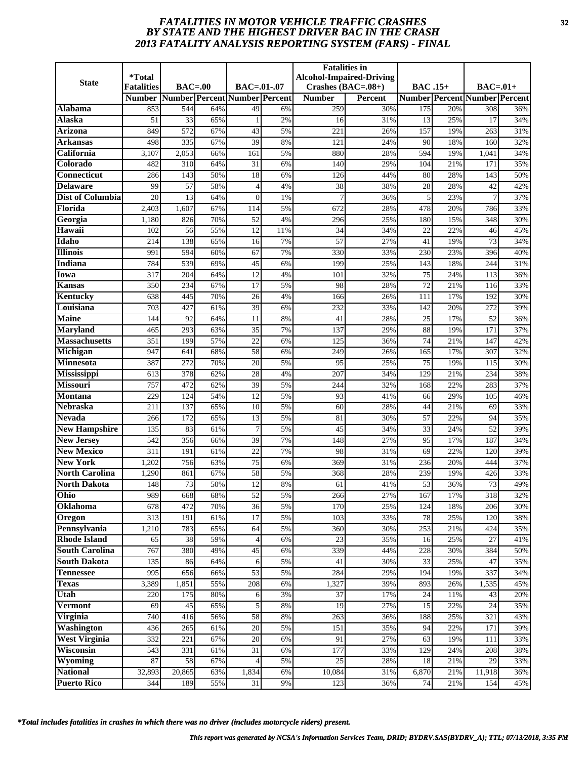# *FATALITIES IN MOTOR VEHICLE TRAFFIC CRASHES* **32** *BY STATE AND THE HIGHEST DRIVER BAC IN THE CRASH 2013 FATALITY ANALYSIS REPORTING SYSTEM (FARS) - FINAL*

| <b>State</b>                               | <i><b>*Total</b></i> |              |            |                               |          | <b>Fatalities in</b> | <b>Alcohol-Impaired-Driving</b> |                 |            |                                      |            |
|--------------------------------------------|----------------------|--------------|------------|-------------------------------|----------|----------------------|---------------------------------|-----------------|------------|--------------------------------------|------------|
|                                            | <b>Fatalities</b>    | $BAC=00$     |            | $BAC = .01-.07$               |          | Crashes $(BAC=.08+)$ |                                 | <b>BAC</b> .15+ |            | $BAC=.01+$                           |            |
|                                            | <b>Number</b>        |              |            | Number Percent Number Percent |          | <b>Number</b>        | <b>Percent</b>                  |                 |            | <b>Number Percent Number Percent</b> |            |
| Alabama                                    | 853                  | 544          | 64%        | 49                            | 6%       | 259                  | 30%                             | 175             | 20%        | 308                                  | 36%        |
| Alaska                                     | 51                   | 33           | 65%        | $\mathbf{1}$                  | 2%       | 16                   | 31%                             | 13              | 25%        | 17                                   | 34%        |
| <b>Arizona</b>                             | 849                  | 572          | 67%        | 43                            | 5%       | 221                  | 26%                             | 157             | 19%        | 263                                  | 31%        |
| Arkansas                                   | 498                  | 335          | 67%        | 39                            | 8%       | 121                  | 24%                             | 90              | 18%        | 160                                  | 32%        |
| California                                 | 3,107                | 2,053        | 66%        | 161                           | 5%       | 880                  | 28%                             | 594             | 19%        | 1,041                                | 34%        |
| Colorado                                   | 482                  | 310          | 64%        | 31                            | 6%       | 140                  | 29%                             | 104             | 21%        | 171                                  | 35%        |
| <b>Connecticut</b>                         | 286                  | 143          | 50%        | 18                            | 6%       | 126                  | 44%                             | 80              | 28%        | 143                                  | 50%        |
| <b>Delaware</b><br><b>Dist of Columbia</b> | 99<br>20             | 57           | 58%        | $\overline{4}$                | 4%       | 38                   | 38%                             | 28              | 28%        | 42                                   | 42%        |
| Florida                                    |                      | 13           | 64%        | $\Omega$                      | 1%       | 7                    | 36%                             | 5               | 23%        | $\overline{7}$                       | 37%        |
| Georgia                                    | 2,403<br>1,180       | 1,607<br>826 | 67%<br>70% | 114<br>52                     | 5%<br>4% | 672<br>296           | 28%<br>25%                      | 478<br>180      | 20%<br>15% | 786<br>348                           | 33%<br>30% |
| Hawaii                                     | 102                  | 56           | 55%        | 12                            | 11%      | 34                   | 34%                             | 22              | 22%        | 46                                   | 45%        |
| Idaho                                      | 214                  | 138          | 65%        | 16                            | 7%       | 57                   | 27%                             | 41              | 19%        | 73                                   | 34%        |
| <b>Illinois</b>                            | 991                  | 594          | 60%        | 67                            | 7%       | 330                  | 33%                             | 230             | 23%        | 396                                  | 40%        |
| <b>Indiana</b>                             | 784                  | 539          | 69%        | 45                            | 6%       | 199                  | 25%                             | 143             | 18%        | 244                                  | 31%        |
| Iowa                                       | 317                  | 204          | 64%        | 12                            | 4%       | 101                  | 32%                             | 75              | 24%        | 113                                  | 36%        |
| Kansas                                     | 350                  | 234          | 67%        | 17                            | 5%       | 98                   | 28%                             | 72              | 21%        | 116                                  | 33%        |
| Kentucky                                   | 638                  | 445          | 70%        | 26                            | 4%       | 166                  | 26%                             | 111             | 17%        | 192                                  | 30%        |
| Louisiana                                  | 703                  | 427          | 61%        | 39                            | 6%       | 232                  | 33%                             | 142             | 20%        | 272                                  | 39%        |
| <b>Maine</b>                               | 144                  | 92           | 64%        | 11                            | 8%       | 41                   | 28%                             | 25              | 17%        | 52                                   | 36%        |
| <b>Maryland</b>                            | 465                  | 293          | 63%        | 35                            | 7%       | 137                  | 29%                             | $\overline{88}$ | 19%        | 171                                  | 37%        |
| <b>Massachusetts</b>                       | 351                  | 199          | 57%        | $\overline{22}$               | 6%       | 125                  | 36%                             | 74              | 21%        | 147                                  | 42%        |
| Michigan                                   | 947                  | 641          | 68%        | 58                            | 6%       | 249                  | 26%                             | 165             | 17%        | 307                                  | 32%        |
| <b>Minnesota</b>                           | 387                  | 272          | 70%        | 20                            | 5%       | 95                   | 25%                             | 75              | 19%        | 115                                  | 30%        |
| <b>Mississippi</b>                         | 613                  | 378          | 62%        | 28                            | 4%       | 207                  | 34%                             | 129             | 21%        | 234                                  | 38%        |
| <b>Missouri</b>                            | 757                  | 472          | 62%        | 39                            | 5%       | 244                  | 32%                             | 168             | 22%        | 283                                  | 37%        |
| <b>Montana</b>                             | 229                  | 124          | 54%        | 12                            | 5%       | 93                   | 41%                             | 66              | 29%        | 105                                  | 46%        |
| <b>Nebraska</b>                            | 211                  | 137          | 65%        | 10                            | 5%       | 60                   | 28%                             | 44              | 21%        | 69                                   | 33%        |
| <b>Nevada</b>                              | 266                  | 172          | 65%        | 13                            | 5%       | 81                   | 30%                             | $\overline{57}$ | 22%        | 94                                   | 35%        |
| <b>New Hampshire</b>                       | 135                  | 83           | 61%        | $\overline{7}$                | 5%       | 45                   | 34%                             | 33              | 24%        | 52                                   | 39%        |
| <b>New Jersey</b>                          | 542                  | 356          | 66%        | 39                            | 7%       | 148                  | 27%                             | 95              | 17%        | 187                                  | 34%        |
| <b>New Mexico</b>                          | 311                  | 191          | 61%        | $\overline{22}$               | 7%       | 98                   | 31%                             | 69              | 22%        | 120                                  | 39%        |
| <b>New York</b>                            | 1,202                | 756          | 63%        | $\overline{75}$               | 6%       | 369                  | 31%                             | 236             | 20%        | 444                                  | 37%        |
| <b>North Carolina</b>                      | 1,290                | 861          | 67%        | 58                            | 5%       | 368                  | 28%                             | 239             | 19%        | 426                                  | 33%        |
| <b>North Dakota</b>                        | 148                  | 73           | 50%        | 12                            | 8%       | 61                   | 41%                             | 53              | 36%        | 73                                   | 49%        |
| Ohio                                       | 989                  | 668          | 68%        | 52                            | 5%       | 266                  | 27%                             | 167             | 17%        | 318                                  | 32%        |
| Oklahoma                                   | 678                  | 472          | 70%        | 36                            | 5%       | 170                  | 25%                             | 124             | 18%        | 206                                  | 30%        |
| Oregon                                     | 313                  | 191          | 61%        | 17                            | 5%       | 103                  | 33%                             | 78              | 25%        | 120                                  | 38%        |
| Pennsylvania                               | 1,210                | 783          | 65%        | 64                            | 5%       | 360                  | 30%                             | 253             | 21%        | 424                                  | 35%        |
| <b>Rhode Island</b>                        | 65                   | 38           | 59%        | $\overline{4}$                | 6%       | 23                   | 35%                             | 16              | 25%        | 27                                   | 41%        |
| <b>South Carolina</b>                      | 767                  | 380          | 49%        | 45                            | 6%       | 339                  | 44%                             | 228             | 30%        | 384                                  | 50%        |
| <b>South Dakota</b>                        | 135                  | 86           | 64%        | 6                             | 5%       | 41                   | 30%                             | 33              | 25%        | 47                                   | 35%        |
| <b>Tennessee</b>                           | 995                  | 656          | 66%        | 53                            | 5%       | 284                  | 29%                             | 194             | 19%        | 337                                  | 34%        |
| <b>Texas</b>                               | 3,389                | 1,851        | 55%        | 208                           | 6%       | 1,327                | 39%                             | 893             | 26%        | 1,535                                | 45%        |
| Utah                                       | 220                  | 175          | 80%        | 6                             | 3%       | 37                   | 17%                             | 24              | 11%        | 43                                   | 20%        |
| <b>Vermont</b>                             | 69                   | 45           | 65%        | 5                             | 8%       | $\overline{19}$      | 27%                             | 15              | 22%        | 24                                   | 35%        |
| Virginia                                   | 740                  | 416          | 56%        | 58                            | $8\%$    | 263                  | 36%                             | 188             | 25%        | 321                                  | 43%        |
| Washington<br><b>West Virginia</b>         | 436                  | 265          | 61%<br>67% | 20                            | 5%       | 151                  | 35%                             | 94<br>63        | 22%        | 171                                  | 39%        |
| Wisconsin                                  | 332<br>543           | 221<br>331   | 61%        | 20<br>31                      | 6%<br>6% | 91<br>177            | 27%<br>33%                      | 129             | 19%<br>24% | 111<br>208                           | 33%<br>38% |
| Wyoming                                    | 87                   | 58           | 67%        |                               | 5%       | 25                   | 28%                             | 18              | 21%        | 29                                   | 33%        |
| <b>National</b>                            | 32,893               | 20,865       | 63%        | 1,834                         | 6%       | 10,084               | 31%                             | 6,870           | 21%        | $\overline{11,918}$                  | 36%        |
| <b>Puerto Rico</b>                         | 344                  | 189          | 55%        | 31                            | 9%       | 123                  | 36%                             | 74              | 21%        | 154                                  | 45%        |
|                                            |                      |              |            |                               |          |                      |                                 |                 |            |                                      |            |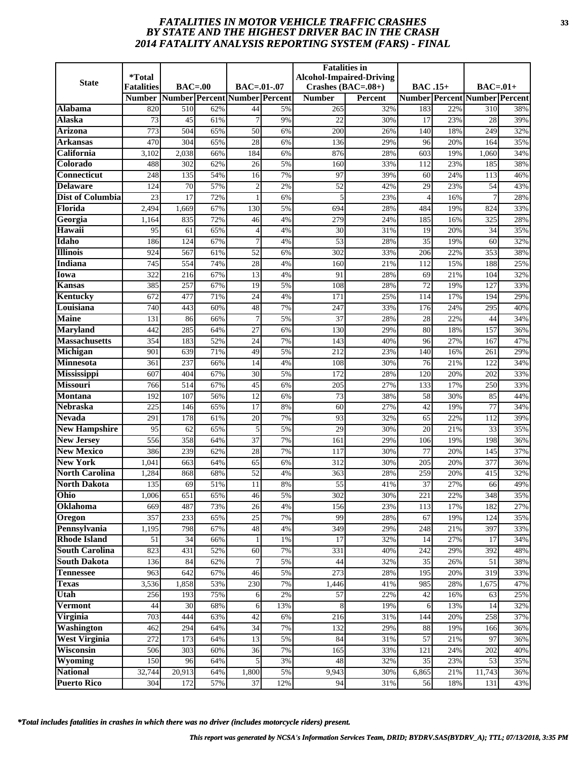# *FATALITIES IN MOTOR VEHICLE TRAFFIC CRASHES* **33** *BY STATE AND THE HIGHEST DRIVER BAC IN THE CRASH 2014 FATALITY ANALYSIS REPORTING SYSTEM (FARS) - FINAL*

| <b>State</b>               | *Total<br><b>Fatalities</b> | $BAC=00$      |            | BAC=.01-.07                   |          | <b>Fatalities</b> in<br>Crashes $(BAC=.08+)$ | <b>Alcohol-Impaired-Driving</b> | <b>BAC</b> .15+ |            | $BAC=.01+$                           |            |
|----------------------------|-----------------------------|---------------|------------|-------------------------------|----------|----------------------------------------------|---------------------------------|-----------------|------------|--------------------------------------|------------|
|                            | <b>Number</b>               |               |            | Number Percent Number Percent |          | <b>Number</b>                                | Percent                         |                 |            | <b>Number Percent Number Percent</b> |            |
| Alabama                    | 820                         | 510           | 62%        | 44                            | 5%       | 265                                          | 32%                             | 183             | 22%        | 310                                  | 38%        |
| <b>Alaska</b>              | 73                          | 45            | 61%        |                               | 9%       | 22                                           | 30%                             | 17              | 23%        | 28                                   | 39%        |
| <b>Arizona</b>             | 773                         | 504           | 65%        | 50                            | 6%       | 200                                          | 26%                             | 140             | 18%        | 249                                  | 32%        |
| Arkansas                   | 470                         | 304           | 65%        | $\overline{28}$               | 6%       | 136                                          | 29%                             | 96              | 20%        | 164                                  | 35%        |
| California                 | 3,102                       | 2,038         | 66%        | 184                           | 6%       | 876                                          | 28%                             | 603             | 19%        | 1,060                                | 34%        |
| Colorado                   | 488                         | 302           | 62%        | 26                            | 5%       | 160                                          | 33%                             | 112             | 23%        | 185                                  | 38%        |
| <b>Connecticut</b>         | 248                         | 135           | 54%        | 16                            | 7%       | 97                                           | 39%                             | 60              | 24%        | 113                                  | 46%        |
| <b>Delaware</b>            | 124                         | 70            | 57%        | $\mathfrak{D}$                | 2%       | 52                                           | 42%                             | 29              | 23%        | 54                                   | 43%        |
| <b>Dist of Columbia</b>    | 23                          | 17            | 72%        |                               | 6%       | 5                                            | 23%                             | $\overline{4}$  | 16%        | $\overline{7}$                       | 28%        |
| Florida                    | 2,494                       | 1,669         | 67%        | 130                           | 5%       | 694                                          | 28%                             | 484             | 19%        | 824                                  | 33%        |
| Georgia                    | 1,164                       | 835           | 72%        | 46                            | 4%       | 279                                          | 24%                             | 185             | 16%        | 325                                  | 28%        |
| Hawaii                     | 95                          | 61            | 65%        | 4                             | 4%       | 30                                           | 31%                             | 19              | 20%        | 34                                   | 35%        |
| Idaho                      | 186                         | 124           | 67%        | 7                             | 4%       | 53                                           | 28%                             | 35              | 19%        | 60                                   | 32%        |
| <b>Illinois</b>            | 924                         | 567           | 61%        | $\overline{52}$               | 6%       | 302                                          | 33%                             | 206             | 22%        | 353                                  | 38%        |
| <b>Indiana</b>             | 745                         | 554           | 74%        | 28                            | 4%       | 160                                          | 21%                             | 112             | 15%        | 188                                  | 25%        |
| Iowa                       | 322                         | 216           | 67%        | 13                            | 4%       | 91                                           | 28%                             | 69              | 21%        | 104                                  | 32%        |
| Kansas                     | 385                         | 257           | 67%        | 19                            | 5%       | 108                                          | 28%                             | 72              | 19%        | 127                                  | 33%        |
| Kentucky                   | 672                         | 477           | 71%        | $\overline{24}$               | 4%       | 171                                          | 25%                             | 114             | 17%        | 194                                  | 29%        |
| Louisiana                  | 740                         | 443           | 60%        | 48                            | 7%       | 247                                          | 33%                             | 176             | 24%        | 295                                  | 40%        |
| <b>Maine</b>               | 131                         | 86            | 66%        | 7                             | 5%       | 37                                           | 28%                             | 28              | 22%        | 44                                   | 34%        |
| <b>Maryland</b>            | 442                         | 285           | 64%        | 27                            | 6%       | 130                                          | 29%                             | 80              | 18%        | 157                                  | 36%        |
| <b>Massachusetts</b>       | 354                         | 183           | 52%        | 24                            | 7%       | 143                                          | 40%                             | 96              | 27%        | 167                                  | 47%        |
| Michigan<br>Minnesota      | 901                         | 639<br>237    | 71%<br>66% | 49                            | 5%       | 212                                          | 23%<br>30%                      | 140<br>76       | 16%<br>21% | 261<br>122                           | 29%<br>34% |
| Mississippi                | 361<br>607                  | 404           | 67%        | 14<br>30                      | 4%<br>5% | 108<br>172                                   | 28%                             | 120             | 20%        | 202                                  | 33%        |
| <b>Missouri</b>            | 766                         | 514           | 67%        | 45                            | 6%       | 205                                          | 27%                             | 133             | 17%        | 250                                  | 33%        |
| <b>Montana</b>             | 192                         | 107           | 56%        | 12                            | 6%       | 73                                           | 38%                             | 58              | 30%        | 85                                   | 44%        |
| <b>Nebraska</b>            | 225                         | 146           | 65%        | 17                            | 8%       | 60                                           | 27%                             | 42              | 19%        | 77                                   | 34%        |
| <b>Nevada</b>              | 291                         | 178           | 61%        | 20                            | 7%       | 93                                           | 32%                             | 65              | 22%        | 112                                  | 39%        |
| <b>New Hampshire</b>       | 95                          | 62            | 65%        | 5                             | 5%       | 29                                           | 30%                             | 20              | 21%        | 33                                   | 35%        |
| <b>New Jersey</b>          | 556                         | 358           | 64%        | 37                            | 7%       | 161                                          | 29%                             | 106             | 19%        | 198                                  | 36%        |
| <b>New Mexico</b>          | 386                         | 239           | 62%        | $\overline{28}$               | 7%       | 117                                          | 30%                             | $\overline{77}$ | 20%        | 145                                  | 37%        |
| <b>New York</b>            | 1,041                       | 663           | 64%        | 65                            | 6%       | 312                                          | 30%                             | 205             | 20%        | 377                                  | 36%        |
| <b>North Carolina</b>      | 1,284                       | 868           | 68%        | 52                            | 4%       | 363                                          | 28%                             | 259             | 20%        | 415                                  | 32%        |
| <b>North Dakota</b>        | 135                         | 69            | 51%        | 11                            | 8%       | 55                                           | 41%                             | 37              | 27%        | 66                                   | 49%        |
| Ohio                       | 1,006                       | 651           | 65%        | 46                            | 5%       | 302                                          | 30%                             | 221             | 22%        | 348                                  | 35%        |
| Oklahoma                   | 669                         | 487           | 73%        | 26                            | 4%       | 156                                          | 23%                             | 113             | 17%        | 182                                  | 27%        |
| Oregon                     | 357                         | 233           | 65%        | 25                            | 7%       | 99                                           | 28%                             | 67              | 19%        | 124                                  | 35%        |
| Pennsylvania               | 1,195                       | 798           | 67%        | 48                            | 4%       | 349                                          | 29%                             | 248             | 21%        | 397                                  | 33%        |
| <b>Rhode Island</b>        | 51                          | 34            | 66%        | 1                             | 1%       | 17                                           | 32%                             | 14              | 27%        | 17                                   | 34%        |
| <b>South Carolina</b>      | 823                         | 431           | 52%        | 60                            | 7%       | 331                                          | 40%                             | 242             | 29%        | 392                                  | 48%        |
| <b>South Dakota</b>        | 136                         | 84            | 62%        | 7                             | 5%       | 44                                           | 32%                             | 35              | 26%        | 51                                   | 38%        |
| <b>Tennessee</b>           | 963                         | 642           | 67%        | 46                            | 5%       | 273                                          | 28%                             | 195             | 20%        | 319                                  | 33%        |
| <b>Texas</b>               | 3,536                       | 1,858         | 53%        | 230                           | 7%       | 1,446                                        | 41%                             | 985             | 28%        | 1,675                                | 47%        |
| Utah                       | 256                         | 193           | 75%        | 6                             | 2%       | 57                                           | 22%                             | 42              | 16%        | 63                                   | 25%        |
| <b>Vermont</b>             | 44                          | 30            | 68%        | 6                             | 13%      | 8                                            | 19%                             | 6               | 13%        | 14                                   | 32%        |
| Virginia                   | 703                         | 444           | 63%        | 42                            | 6%       | 216                                          | 31%                             | 144             | 20%        | 258                                  | 37%        |
| <b>Washington</b>          | 462                         | 294           | 64%        | 34                            | 7%       | 132                                          | 29%                             | 88              | 19%        | 166                                  | 36%        |
| <b>West Virginia</b>       | 272                         | 173           | 64%        | 13                            | 5%       | 84                                           | 31%                             | 57              | 21%        | 97                                   | 36%        |
| Wisconsin                  | 506<br>150                  | 303<br>96     | 60%        | 36<br>5                       | 7%<br>3% | 165                                          | 33%                             | 121             | 24%        | 202                                  | 40%        |
| Wyoming<br><b>National</b> |                             |               | 64%        |                               | 5%       | 48                                           | 32%                             | 35              | 23%        | 53                                   | 35%        |
| <b>Puerto Rico</b>         | 32,744<br>304               | 20,913<br>172 | 64%<br>57% | 1,800<br>37                   |          | 9,943<br>94                                  | 30%<br>31%                      | 6,865<br>56     | 21%<br>18% | 11,743<br>131                        | 36%        |
|                            |                             |               |            |                               | 12%      |                                              |                                 |                 |            |                                      | 43%        |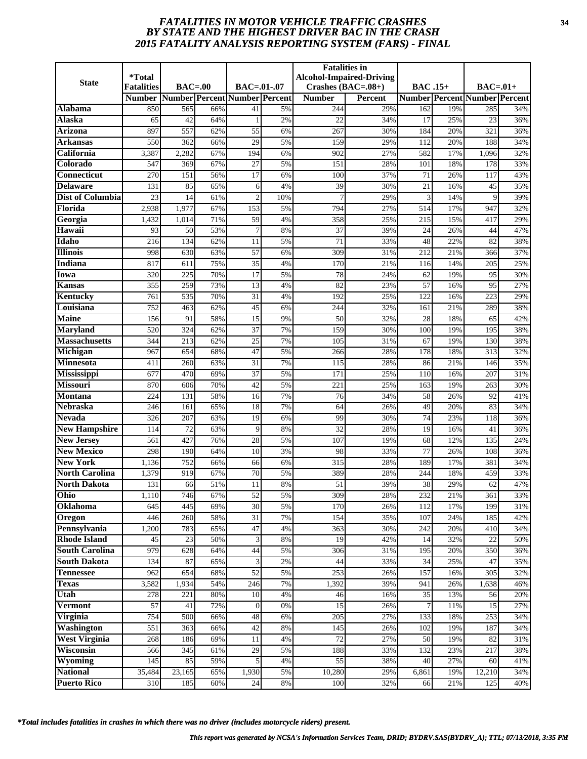# *FATALITIES IN MOTOR VEHICLE TRAFFIC CRASHES* **34** *BY STATE AND THE HIGHEST DRIVER BAC IN THE CRASH 2015 FATALITY ANALYSIS REPORTING SYSTEM (FARS) - FINAL*

| <b>State</b>                              | <i><b>*Total</b></i>               | $BAC=00$            |            | $BAC = .01-.07$               |          | <b>Fatalities in</b>                  | <b>Alcohol-Impaired-Driving</b> |                 |            |                                                   |            |
|-------------------------------------------|------------------------------------|---------------------|------------|-------------------------------|----------|---------------------------------------|---------------------------------|-----------------|------------|---------------------------------------------------|------------|
|                                           | <b>Fatalities</b><br><b>Number</b> |                     |            | Number Percent Number Percent |          | Crashes $(BAC=.08+)$<br><b>Number</b> | <b>Percent</b>                  | <b>BAC</b> .15+ |            | $BAC=01+$<br><b>Number Percent Number Percent</b> |            |
| Alabama                                   | 850                                | 565                 | 66%        | 41                            | 5%       | 244                                   | 29%                             | 162             | 19%        | 285                                               | 34%        |
| Alaska                                    | 65                                 | 42                  | 64%        | $\mathbf{1}$                  | 2%       | 22                                    | 34%                             | 17              | 25%        | 23                                                | 36%        |
| <b>Arizona</b>                            | 897                                | 557                 | 62%        | $\overline{55}$               | 6%       | 267                                   | 30%                             | 184             | 20%        | 321                                               | 36%        |
| Arkansas                                  | 550                                | 362                 | 66%        | $\overline{29}$               | 5%       | 159                                   | 29%                             | 112             | 20%        | 188                                               | 34%        |
| California                                | 3,387                              | 2,282               | 67%        | 194                           | 6%       | 902                                   | 27%                             | 582             | 17%        | 1,096                                             | 32%        |
| Colorado                                  | 547                                | 369                 | 67%        | 27                            | 5%       | 151                                   | 28%                             | 101             | 18%        | 178                                               | 33%        |
| <b>Connecticut</b>                        | 270                                | 151                 | 56%        | $\overline{17}$               | 6%       | 100                                   | 37%                             | $\overline{71}$ | 26%        | 117                                               | 43%        |
| <b>Delaware</b>                           | 131                                | 85                  | 65%        | 6                             | 4%       | 39                                    | 30%                             | 21              | 16%        | 45                                                | 35%        |
| <b>Dist of Columbia</b>                   | 23                                 | 14                  | 61%        | $\overline{2}$                | 10%      | 7                                     | 29%                             | 3               | 14%        | 9                                                 | 39%        |
| Florida                                   | 2,938                              | 1,977               | 67%        | 153                           | 5%       | 794                                   | 27%                             | 514             | 17%        | 947                                               | 32%        |
| Georgia                                   | 1,432                              | 1,014               | 71%        | 59                            | 4%       | 358                                   | 25%                             | 215             | 15%        | 417                                               | 29%        |
| Hawaii                                    | 93                                 | 50                  | 53%        | $\overline{7}$                | 8%       | 37                                    | 39%                             | 24              | 26%        | 44                                                | 47%        |
| Idaho                                     | 216                                | 134                 | 62%        | 11                            | 5%       | 71                                    | 33%                             | 48              | 22%        | 82                                                | 38%        |
| <b>Illinois</b>                           | 998                                | 630                 | 63%        | 57                            | 6%       | 309                                   | 31%                             | 212             | 21%        | 366                                               | 37%        |
| Indiana                                   | 817                                | 611                 | 75%        | 35                            | 4%       | 170                                   | 21%                             | 116             | 14%        | 205                                               | 25%        |
| Iowa                                      | 320                                | 225                 | 70%        | 17                            | 5%       | 78                                    | 24%                             | 62              | 19%        | 95                                                | 30%        |
| Kansas                                    | 355                                | 259                 | 73%        | 13                            | 4%       | 82                                    | 23%                             | 57              | 16%        | 95                                                | 27%        |
| Kentucky                                  | 761                                | 535                 | 70%        | $\overline{31}$               | 4%       | 192                                   | 25%                             | 122             | 16%        | 223                                               | 29%        |
| Louisiana                                 | 752                                | 463                 | 62%        | 45                            | 6%       | 244                                   | 32%                             | 161             | 21%        | 289                                               | 38%        |
| <b>Maine</b>                              | 156                                | 91                  | 58%        | 15                            | 9%       | 50                                    | 32%                             | 28              | 18%        | 65                                                | 42%        |
| <b>Maryland</b>                           | 520                                | 324                 | 62%        | 37                            | 7%       | 159                                   | 30%                             | 100             | 19%        | 195                                               | 38%        |
| <b>Massachusetts</b>                      | 344                                | 213                 | 62%        | $\overline{25}$               | 7%       | 105                                   | 31%                             | 67              | 19%        | 130                                               | 38%        |
| Michigan                                  | 967                                | 654                 | 68%        | 47                            | 5%       | 266                                   | 28%                             | 178             | 18%        | 313                                               | 32%        |
| <b>Minnesota</b>                          | 411                                | 260                 | 63%        | 31                            | 7%       | 115                                   | 28%                             | 86              | 21%        | 146                                               | 35%        |
| <b>Mississippi</b>                        | 677                                | 470                 | 69%        | $\overline{37}$               | 5%       | 171                                   | 25%                             | 110             | 16%        | 207                                               | 31%        |
| <b>Missouri</b>                           | 870                                | 606                 | 70%        | 42                            | 5%       | 221                                   | 25%                             | 163             | 19%        | 263                                               | 30%        |
| <b>Montana</b>                            | 224                                | 131                 | 58%        | 16                            | 7%       | 76                                    | 34%                             | 58              | 26%        | 92                                                | 41%        |
| <b>Nebraska</b>                           | 246                                | 161                 | 65%        | 18                            | 7%       | 64                                    | 26%                             | 49              | 20%        | 83                                                | 34%        |
| <b>Nevada</b>                             | 326                                | 207                 | 63%        | 19                            | 6%       | 99<br>$\overline{32}$                 | 30%                             | 74              | 23%        | 118                                               | 36%        |
| <b>New Hampshire</b><br><b>New Jersey</b> | 114<br>561                         | 72<br>427           | 63%<br>76% | 9<br>28                       | 8%<br>5% | 107                                   | 28%<br>19%                      | 19<br>68        | 16%<br>12% | 41<br>135                                         | 36%<br>24% |
| <b>New Mexico</b>                         | 298                                | 190                 | 64%        | $\overline{10}$               | 3%       | 98                                    | 33%                             | 77              | 26%        | 108                                               | 36%        |
| <b>New York</b>                           | 1,136                              | 752                 | 66%        | 66                            | 6%       | 315                                   | 28%                             | 189             | 17%        | 381                                               | 34%        |
| <b>North Carolina</b>                     | 1,379                              | 919                 | 67%        | 70                            | 5%       | 389                                   | 28%                             | 244             | 18%        | 459                                               | 33%        |
| <b>North Dakota</b>                       | 131                                | 66                  | 51%        | 11                            | 8%       | 51                                    | 39%                             | 38              | 29%        | 62                                                | 47%        |
| Ohio                                      | 1,110                              | 746                 | 67%        | 52                            | 5%       | 309                                   | 28%                             | 232             | 21%        | 361                                               | 33%        |
| Oklahoma                                  | 645                                | 445                 | 69%        | 30                            | 5%       | 170                                   | 26%                             | 112             | 17%        | 199                                               | 31%        |
| Oregon                                    | 446                                | 260                 | 58%        | 31                            | 7%       | 154                                   | 35%                             | 107             | 24%        | 185                                               | 42%        |
| Pennsylvania                              | 1,200                              | 783                 | 65%        | 47                            | 4%       | 363                                   | 30%                             | 242             | 20%        | 410                                               | 34%        |
| <b>Rhode Island</b>                       | 45                                 | 23                  | 50%        | 3                             | 8%       | 19                                    | 42%                             | 14              | 32%        | 22                                                | 50%        |
| <b>South Carolina</b>                     | 979                                | 628                 | 64%        | 44                            | 5%       | 306                                   | 31%                             | 195             | 20%        | 350                                               | 36%        |
| <b>South Dakota</b>                       | 134                                | 87                  | 65%        | 3                             | 2%       | 44                                    | 33%                             | 34              | 25%        | 47                                                | 35%        |
| <b>Tennessee</b>                          | 962                                | 654                 | 68%        | $\overline{52}$               | 5%       | 253                                   | 26%                             | 157             | 16%        | 305                                               | 32%        |
| <b>Texas</b>                              | 3,582                              | 1,934               | 54%        | 246                           | 7%       | 1,392                                 | 39%                             | 941             | 26%        | 1,638                                             | 46%        |
| Utah                                      | 278                                | 221                 | 80%        | 10                            | 4%       | 46                                    | 16%                             | 35              | 13%        | 56                                                | 20%        |
| <b>Vermont</b>                            | 57                                 | 41                  | 72%        | $\overline{0}$                | 0%       | 15                                    | 26%                             | $\overline{7}$  | 11%        | 15                                                | 27%        |
| Virginia                                  | 754                                | 500                 | 66%        | 48                            | 6%       | 205                                   | 27%                             | 133             | 18%        | 253                                               | 34%        |
| <b>Washington</b>                         | 551                                | 363                 | 66%        | 42                            | 8%       | 145                                   | 26%                             | 102             | 19%        | 187                                               | 34%        |
| <b>West Virginia</b>                      | 268                                | 186                 | 69%        | 11                            | 4%       | 72                                    | 27%                             | 50              | 19%        | 82                                                | 31%        |
| Wisconsin                                 | 566                                | 345                 | 61%        | 29                            | 5%       | 188                                   | 33%                             | 132             | 23%        | 217                                               | 38%        |
| Wyoming                                   | 145                                | 85                  | 59%        | 5                             | 4%       | 55                                    | 38%                             | 40              | 27%        | 60                                                | 41%        |
| <b>National</b>                           | 35,484                             | $\overline{23,165}$ | 65%        | 1,930                         | 5%       | 10,280                                | 29%                             | 6,861           | 19%        | 12,210                                            | 34%        |
| <b>Puerto Rico</b>                        | 310                                | 185                 | 60%        | 24                            | 8%       | 100                                   | 32%                             | 66              | 21%        | 125                                               | 40%        |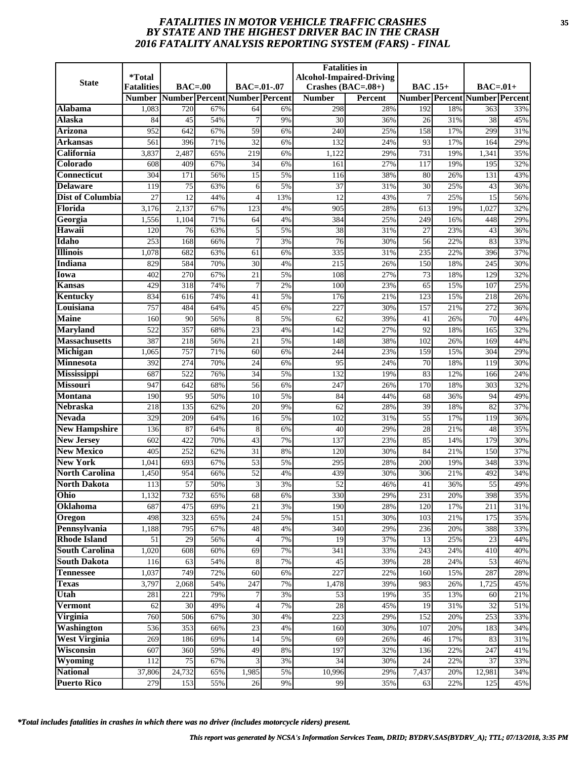# *FATALITIES IN MOTOR VEHICLE TRAFFIC CRASHES* **35** *BY STATE AND THE HIGHEST DRIVER BAC IN THE CRASH 2016 FATALITY ANALYSIS REPORTING SYSTEM (FARS) - FINAL*

| <b>State</b>                           | <i>*</i> Total<br><b>Fatalities</b> | $BAC=00$   |            | BAC=.01-.07                   |          | <b>Fatalities</b> in<br>Crashes $(BAC=.08+)$ | <b>Alcohol-Impaired-Driving</b> | <b>BAC</b> .15+ |            | $BAC=.01+$                           |            |
|----------------------------------------|-------------------------------------|------------|------------|-------------------------------|----------|----------------------------------------------|---------------------------------|-----------------|------------|--------------------------------------|------------|
|                                        | <b>Number</b>                       |            |            | Number Percent Number Percent |          | <b>Number</b>                                | Percent                         |                 |            | <b>Number Percent Number Percent</b> |            |
| Alabama                                | 1,083                               | 720        | 67%        | 64                            | 6%       | 298                                          | 28%                             | 192             | 18%        | 363                                  | 33%        |
| <b>Alaska</b>                          | 84                                  | 45         | 54%        |                               | 9%       | 30                                           | 36%                             | 26              | 31%        | 38                                   | 45%        |
| Arizona                                | 952                                 | 642        | 67%        | 59                            | 6%       | 240                                          | 25%                             | 158             | 17%        | 299                                  | 31%        |
| Arkansas                               | 561                                 | 396        | 71%        | $\overline{32}$               | 6%       | 132                                          | 24%                             | 93              | 17%        | 164                                  | 29%        |
| California                             | 3,837                               | 2,487      | 65%        | 219                           | 6%       | 1,122                                        | 29%                             | 731             | 19%        | 1,341                                | 35%        |
| Colorado                               | 608                                 | 409        | 67%        | 34                            | 6%       | 161                                          | 27%                             | 117             | 19%        | 195                                  | 32%        |
| <b>Connecticut</b>                     | 304                                 | 171        | 56%        | $\overline{15}$               | 5%       | 116                                          | 38%                             | 80              | 26%        | 131                                  | 43%        |
| <b>Delaware</b>                        | 119                                 | 75         | 63%        | 6                             | 5%       | 37                                           | 31%                             | 30              | 25%        | 43                                   | 36%        |
| <b>Dist of Columbia</b>                | 27                                  | 12         | 44%        | $\overline{4}$                | 13%      | 12                                           | 43%                             | $\overline{7}$  | 25%        | 15                                   | 56%        |
| Florida                                | 3,176                               | 2,137      | 67%        | 123                           | 4%       | 905                                          | 28%                             | 613             | 19%        | 1,027                                | 32%        |
| Georgia                                | 1,556                               | 1,104      | 71%        | 64                            | 4%       | 384                                          | 25%                             | 249             | 16%        | 448                                  | 29%        |
| Hawaii                                 | 120                                 | 76         | 63%        | 5                             | 5%       | 38                                           | 31%                             | 27              | 23%        | 43                                   | 36%        |
| Idaho                                  | 253                                 | 168        | 66%        | 7                             | 3%       | 76                                           | 30%                             | 56              | 22%        | 83                                   | 33%        |
| <b>Illinois</b>                        | 1,078                               | 682        | 63%        | 61                            | 6%       | 335                                          | 31%                             | 235             | 22%        | 396                                  | 37%        |
| <b>Indiana</b>                         | 829                                 | 584        | 70%        | 30                            | 4%       | 215                                          | 26%                             | 150             | 18%        | 245                                  | 30%        |
| Iowa                                   | 402                                 | 270        | 67%        | 21                            | 5%       | 108                                          | 27%                             | 73              | 18%        | 129                                  | 32%        |
| Kansas                                 | 429                                 | 318        | 74%        | $\overline{7}$                | 2%       | 100                                          | 23%                             | 65              | 15%        | 107                                  | 25%        |
| Kentucky                               | 834                                 | 616        | 74%        | 41                            | 5%       | 176                                          | 21%                             | 123             | 15%        | 218                                  | 26%        |
| Louisiana                              | 757                                 | 484        | 64%        | 45                            | 6%       | 227                                          | 30%                             | 157             | 21%        | 272                                  | 36%        |
| <b>Maine</b>                           | 160                                 | 90         | 56%        | 8                             | 5%       | 62                                           | 39%                             | 41              | 26%        | 70                                   | 44%        |
| <b>Maryland</b>                        | 522                                 | 357        | 68%        | 23                            | 4%       | 142                                          | 27%                             | 92              | 18%        | 165                                  | 32%        |
| <b>Massachusetts</b>                   | 387                                 | 218        | 56%        | 21                            | 5%       | 148                                          | 38%                             | 102             | 26%        | 169                                  | 44%        |
| Michigan                               | 1,065                               | 757        | 71%        | 60                            | 6%       | 244                                          | 23%                             | 159             | 15%        | 304                                  | 29%        |
| Minnesota                              | 392                                 | 274        | 70%        | 24                            | 6%       | 95                                           | 24%                             | 70              | 18%        | 119                                  | 30%        |
| Mississippi                            | 687                                 | 522        | 76%        | $\overline{34}$               | 5%       | 132                                          | 19%                             | 83              | 12%        | 166                                  | 24%        |
| <b>Missouri</b>                        | 947                                 | 642        | 68%        | 56                            | 6%       | 247                                          | 26%                             | 170             | 18%        | 303                                  | 32%        |
| <b>Montana</b>                         | 190                                 | 95         | 50%        | 10                            | 5%       | 84                                           | 44%                             | 68              | 36%        | 94                                   | 49%        |
| <b>Nebraska</b>                        | 218                                 | 135        | 62%        | 20                            | 9%       | 62                                           | 28%                             | 39              | 18%        | 82                                   | 37%        |
| <b>Nevada</b>                          | 329                                 | 209        | 64%        | 16                            | 5%       | 102                                          | 31%                             | $\overline{55}$ | 17%        | 119                                  | 36%        |
| <b>New Hampshire</b>                   | 136                                 | 87         | 64%        | 8                             | 6%       | 40                                           | 29%                             | 28              | 21%        | 48                                   | 35%        |
| <b>New Jersey</b><br><b>New Mexico</b> | 602<br>$\overline{405}$             | 422<br>252 | 70%<br>62% | 43<br>$\overline{31}$         | 7%<br>8% | 137<br>120                                   | 23%<br>30%                      | 85<br>84        | 14%<br>21% | 179<br>150                           | 30%<br>37% |
| <b>New York</b>                        | 1,041                               | 693        | 67%        | 53                            | 5%       | 295                                          | 28%                             | 200             | 19%        | 348                                  | 33%        |
| <b>North Carolina</b>                  | 1,450                               | 954        | 66%        | 52                            | 4%       | 439                                          | 30%                             | 306             | 21%        | 492                                  | 34%        |
| <b>North Dakota</b>                    | 113                                 | 57         | 50%        | 3                             | 3%       | 52                                           | 46%                             | 41              | 36%        | 55                                   | 49%        |
| Ohio                                   | 1,132                               | 732        | 65%        | 68                            | 6%       | 330                                          | 29%                             | 231             | 20%        | 398                                  | 35%        |
| Oklahoma                               | 687                                 | 475        | 69%        | 21                            | 3%       | 190                                          | 28%                             | 120             | 17%        | 211                                  | 31%        |
| Oregon                                 | 498                                 | 323        | 65%        | 24                            | 5%       | 151                                          | 30%                             | 103             | 21%        | 175                                  | 35%        |
| Pennsylvania                           | 1,188                               | 795        | 67%        | 48                            | 4%       | 340                                          | 29%                             | 236             | 20%        | 388                                  | 33%        |
| <b>Rhode Island</b>                    | 51                                  | 29         | 56%        | $\overline{4}$                | 7%       | 19                                           | 37%                             | 13              | 25%        | 23                                   | 44%        |
| <b>South Carolina</b>                  | 1,020                               | 608        | 60%        | 69                            | 7%       | 341                                          | 33%                             | 243             | 24%        | 410                                  | 40%        |
| <b>South Dakota</b>                    | 116                                 | 63         | 54%        | 8                             | 7%       | 45                                           | 39%                             | 28              | 24%        | 53                                   | 46%        |
| <b>Tennessee</b>                       | 1,037                               | 749        | 72%        | 60                            | 6%       | 227                                          | 22%                             | 160             | 15%        | 287                                  | 28%        |
| <b>Texas</b>                           | 3,797                               | 2,068      | 54%        | 247                           | 7%       | 1,478                                        | 39%                             | 983             | 26%        | 1,725                                | 45%        |
| Utah                                   | 281                                 | 221        | 79%        | 7                             | 3%       | 53                                           | 19%                             | 35              | 13%        | 60                                   | 21%        |
| <b>Vermont</b>                         | 62                                  | 30         | 49%        |                               | 7%       | $\overline{28}$                              | 45%                             | 19              | 31%        | 32                                   | 51%        |
| Virginia                               | 760                                 | 506        | 67%        | 30                            | 4%       | 223                                          | 29%                             | 152             | 20%        | 253                                  | 33%        |
| Washington                             | 536                                 | 353        | 66%        | 23                            | 4%       | 160                                          | 30%                             | 107             | 20%        | 183                                  | 34%        |
| <b>West Virginia</b>                   | 269                                 | 186        | 69%        | 14                            | 5%       | 69                                           | 26%                             | 46              | 17%        | 83                                   | 31%        |
| Wisconsin                              | 607                                 | 360        | 59%        | 49                            | $8\%$    | 197                                          | 32%                             | 136             | 22%        | 247                                  | 41%        |
| Wyoming                                | 112                                 | 75         | 67%        |                               | 3%       | 34                                           | 30%                             | 24              | 22%        | 37                                   | 33%        |
| <b>National</b>                        | 37,806                              | 24,732     | 65%        | 1,985                         | 5%       | 10,996                                       | 29%                             | 7,437           | 20%        | 12,981                               | 34%        |
| <b>Puerto Rico</b>                     | 279                                 | 153        | 55%        | 26                            | 9%       | 99                                           | 35%                             | 63              | 22%        | 125                                  | 45%        |